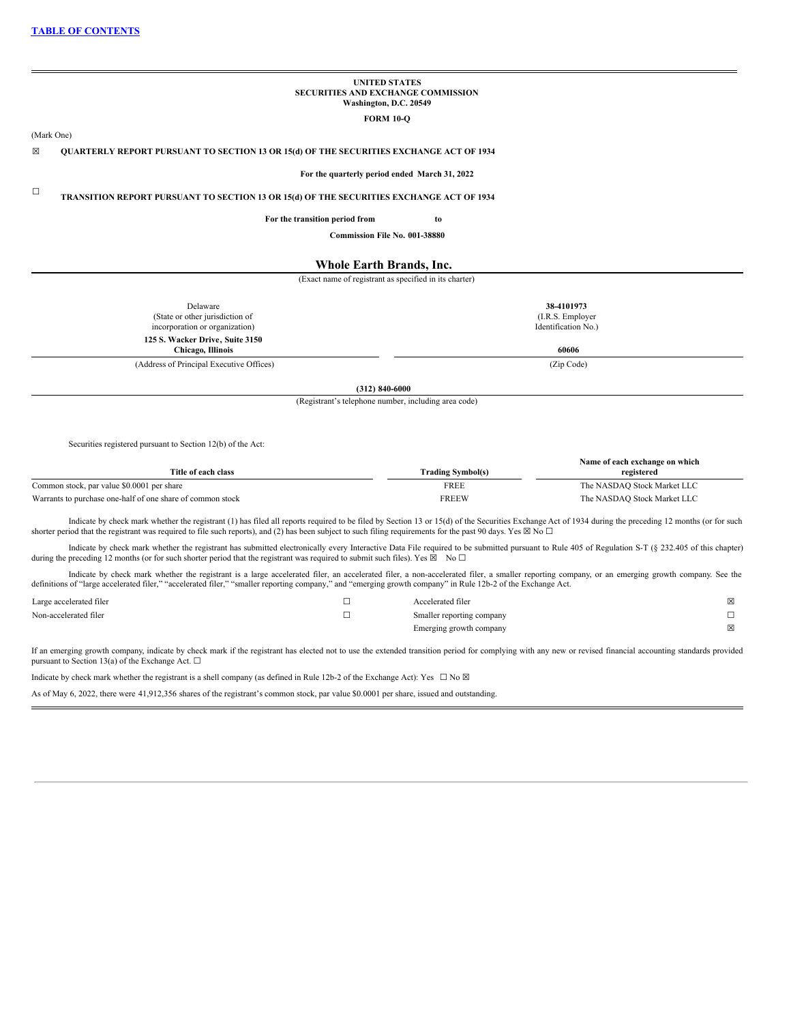# **UNITED STATES SECURITIES AND EXCHANGE COMMISSION Washington, D.C. 20549**

**FORM 10-Q**

(Mark One)

☒ **QUARTERLY REPORT PURSUANT TO SECTION 13 OR 15(d) OF THE SECURITIES EXCHANGE ACT OF 1934**

**For the quarterly period ended March 31, 2022**

☐ **TRANSITION REPORT PURSUANT TO SECTION <sup>13</sup> OR 15(d) OF THE SECURITIES EXCHANGE ACT OF <sup>1934</sup>**

**For the transition period from to**

**Commission File No. 001-38880**

# **Whole Earth Brands, Inc.**

(Exact name of registrant as specified in its charter)

<span id="page-0-0"></span>

| Delaware                                                                                                                                                                                                                                                                                                                                                                              |                                                      | 38-4101973                                   |
|---------------------------------------------------------------------------------------------------------------------------------------------------------------------------------------------------------------------------------------------------------------------------------------------------------------------------------------------------------------------------------------|------------------------------------------------------|----------------------------------------------|
| (State or other jurisdiction of                                                                                                                                                                                                                                                                                                                                                       |                                                      | (I.R.S. Employer                             |
| incorporation or organization)                                                                                                                                                                                                                                                                                                                                                        |                                                      | Identification No.)                          |
| 125 S. Wacker Drive, Suite 3150<br>Chicago, Illinois                                                                                                                                                                                                                                                                                                                                  |                                                      | 60606                                        |
| (Address of Principal Executive Offices)                                                                                                                                                                                                                                                                                                                                              |                                                      | (Zip Code)                                   |
|                                                                                                                                                                                                                                                                                                                                                                                       | $(312) 840 - 6000$                                   |                                              |
|                                                                                                                                                                                                                                                                                                                                                                                       | (Registrant's telephone number, including area code) |                                              |
| Securities registered pursuant to Section 12(b) of the Act:                                                                                                                                                                                                                                                                                                                           |                                                      |                                              |
| Title of each class                                                                                                                                                                                                                                                                                                                                                                   | <b>Trading Symbol(s)</b>                             | Name of each exchange on which<br>registered |
| Common stock, par value \$0.0001 per share                                                                                                                                                                                                                                                                                                                                            | <b>FREE</b>                                          | The NASDAQ Stock Market LLC                  |
| Warrants to purchase one-half of one share of common stock                                                                                                                                                                                                                                                                                                                            | <b>FREEW</b>                                         | The NASDAQ Stock Market LLC                  |
| Indicate by check mark whether the registrant (1) has filed all reports required to be filed by Section 13 or 15(d) of the Securities Exchange Act of 1934 during the preceding 12 months (or for such<br>shorter period that the registrant was required to file such reports), and (2) has been subject to such filing requirements for the past 90 days. Yes $\boxtimes$ No $\Box$ |                                                      |                                              |
| Indicate by check mark whether the registrant has submitted electronically every Interactive Data File required to be submitted pursuant to Rule 405 of Regulation S-T (§ 232.405 of this chapter)<br>during the preceding 12 months (or for such shorter period that the registrant was required to submit such files). Yes $\boxtimes$ No $\square$                                 |                                                      |                                              |
| Indicate by check mark whether the registrant is a large accelerated filer, an accelerated filer, a non-accelerated filer, a smaller reporting company, or an emerging growth company. See the<br>definitions of "large accelerated filer," "accelerated filer," "smaller reporting company," and "emerging growth company" in Rule 12b-2 of the Exchange Act.                        |                                                      |                                              |
| Large accelerated filer                                                                                                                                                                                                                                                                                                                                                               | □<br>Accelerated filer                               | ⊠                                            |
| Non-accelerated filer                                                                                                                                                                                                                                                                                                                                                                 | □<br>Smaller reporting company                       | □                                            |
|                                                                                                                                                                                                                                                                                                                                                                                       | Emerging growth company                              | ⊠                                            |
| If an emerging growth company, indicate by check mark if the registrant has elected not to use the extended transition period for complying with any new or revised financial accounting standards provided<br>pursuant to Section 13(a) of the Exchange Act. $\square$                                                                                                               |                                                      |                                              |
| Indicate by check mark whether the registrant is a shell company (as defined in Rule 12b-2 of the Exchange Act): Yes $\Box$ No $\boxtimes$                                                                                                                                                                                                                                            |                                                      |                                              |
| As of May 6, 2022, there were 41,912,356 shares of the registrant's common stock, par value \$0.0001 per share, issued and outstanding.                                                                                                                                                                                                                                               |                                                      |                                              |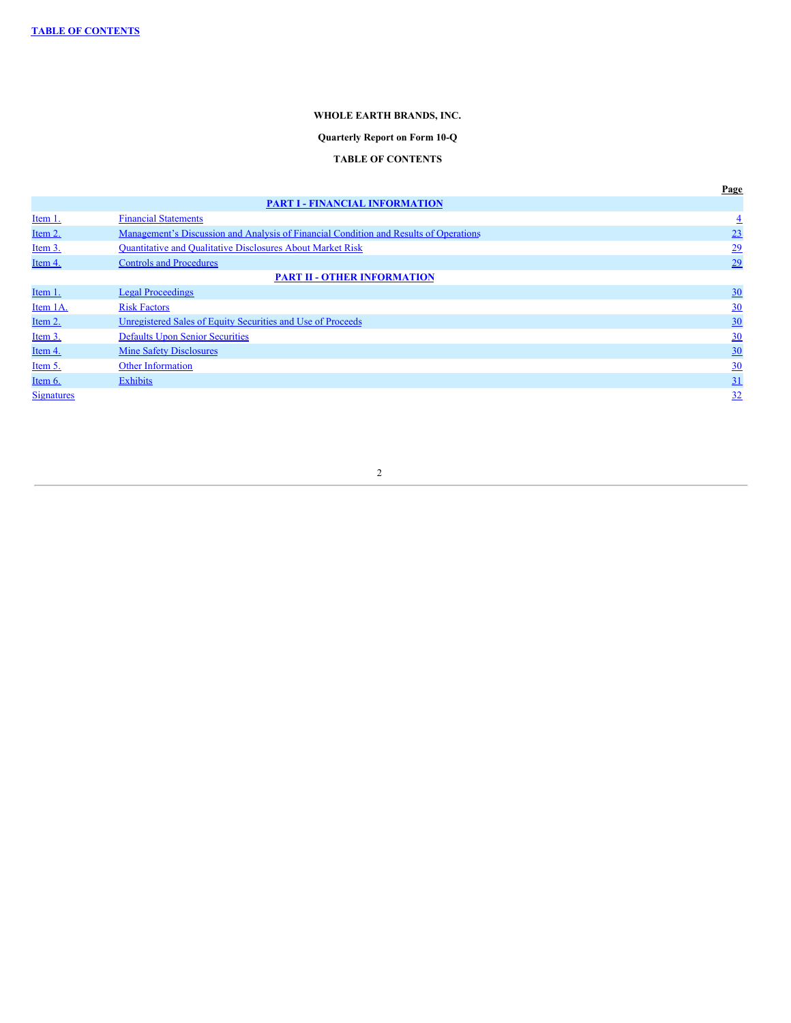# **WHOLE EARTH BRANDS, INC.**

# **Quarterly Report on Form 10-Q**

# **TABLE OF CONTENTS**

<span id="page-1-0"></span>

|                   |                                                                                       | Page             |
|-------------------|---------------------------------------------------------------------------------------|------------------|
|                   | <b>PART I - FINANCIAL INFORMATION</b>                                                 |                  |
| Item 1.           | <b>Financial Statements</b>                                                           | $\overline{4}$   |
| Item 2.           | Management's Discussion and Analysis of Financial Condition and Results of Operations | 23               |
| Item 3.           | Quantitative and Qualitative Disclosures About Market Risk                            | $\overline{29}$  |
| Item 4.           | <b>Controls and Procedures</b>                                                        | 29               |
|                   | <b>PART II - OTHER INFORMATION</b>                                                    |                  |
| Item 1.           | <b>Legal Proceedings</b>                                                              | $\underline{30}$ |
| Item 1A.          | <b>Risk Factors</b>                                                                   | 30               |
| Item 2.           | Unregistered Sales of Equity Securities and Use of Proceeds                           | 30               |
| Item 3.           | <b>Defaults Upon Senior Securities</b>                                                | $\frac{30}{2}$   |
| Item 4.           | <b>Mine Safety Disclosures</b>                                                        | 30               |
| Item 5.           | Other Information                                                                     | $\frac{30}{2}$   |
| Item 6.           | Exhibits                                                                              | $\frac{31}{2}$   |
| <b>Signatures</b> |                                                                                       | 32               |
|                   |                                                                                       |                  |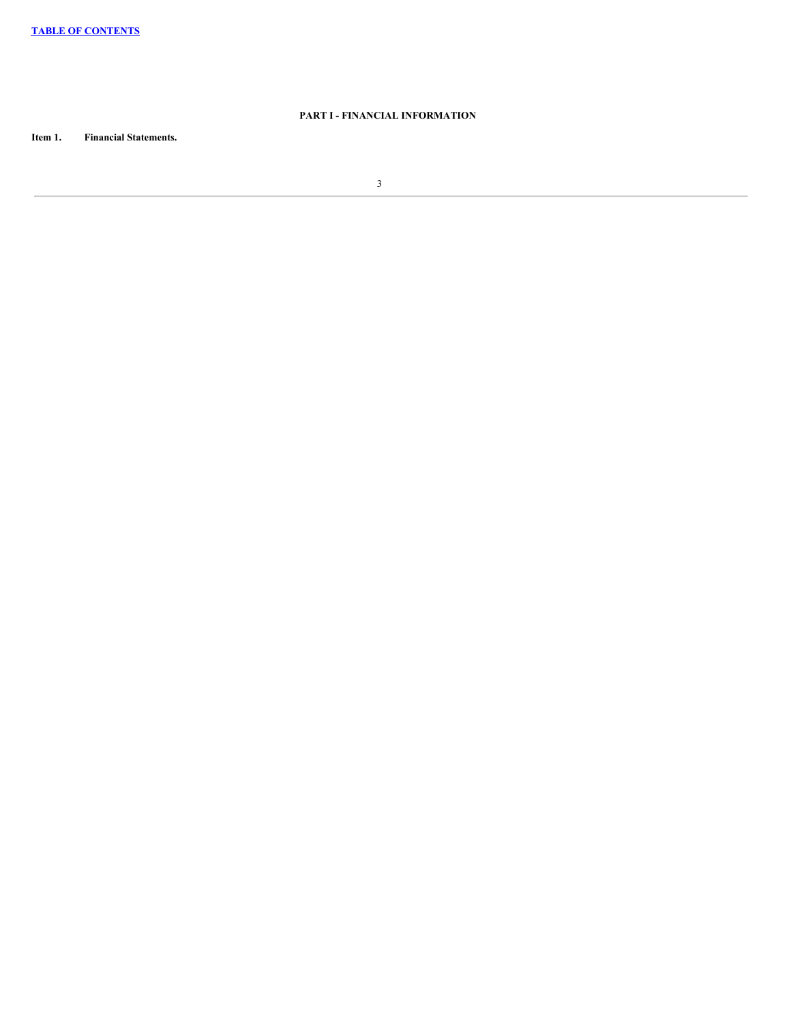# **PART I - FINANCIAL INFORMATION**

# <span id="page-2-0"></span>**Item 1. Financial Statements.**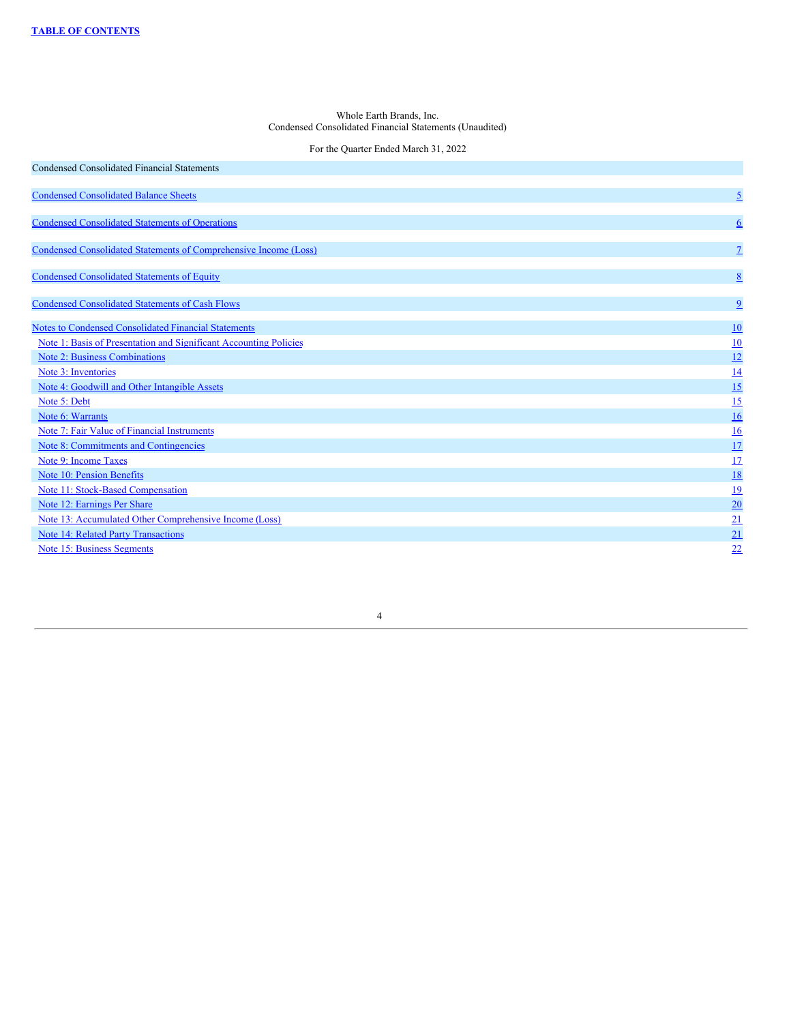For the Quarter Ended March 31, 2022

<span id="page-3-0"></span>

| <b>Condensed Consolidated Financial Statements</b>                |                 |
|-------------------------------------------------------------------|-----------------|
| <b>Condensed Consolidated Balance Sheets</b>                      | $\overline{2}$  |
| <b>Condensed Consolidated Statements of Operations</b>            | $6\overline{6}$ |
| Condensed Consolidated Statements of Comprehensive Income (Loss)  | $\overline{1}$  |
| <b>Condensed Consolidated Statements of Equity</b>                | $\underline{8}$ |
| <b>Condensed Consolidated Statements of Cash Flows</b>            | $\overline{9}$  |
| <b>Notes to Condensed Consolidated Financial Statements</b>       | 10              |
| Note 1: Basis of Presentation and Significant Accounting Policies | $\frac{10}{2}$  |
| <b>Note 2: Business Combinations</b>                              | 12              |
| Note 3: Inventories                                               |                 |
| Note 4: Goodwill and Other Intangible Assets                      | $\frac{14}{15}$ |
| Note 5: Debt                                                      |                 |
| Note 6: Warrants                                                  | $\frac{15}{16}$ |
| Note 7: Fair Value of Financial Instruments                       | <u>16</u>       |
| Note 8: Commitments and Contingencies                             | 17              |
| Note 9: Income Taxes                                              | $\overline{17}$ |
| <b>Note 10: Pension Benefits</b>                                  | 18              |
| Note 11: Stock-Based Compensation                                 | 19              |
| Note 12: Earnings Per Share                                       | $\overline{20}$ |
| Note 13: Accumulated Other Comprehensive Income (Loss)            | 21              |
| <b>Note 14: Related Party Transactions</b>                        | 21              |
| Note 15: Business Segments                                        | 22              |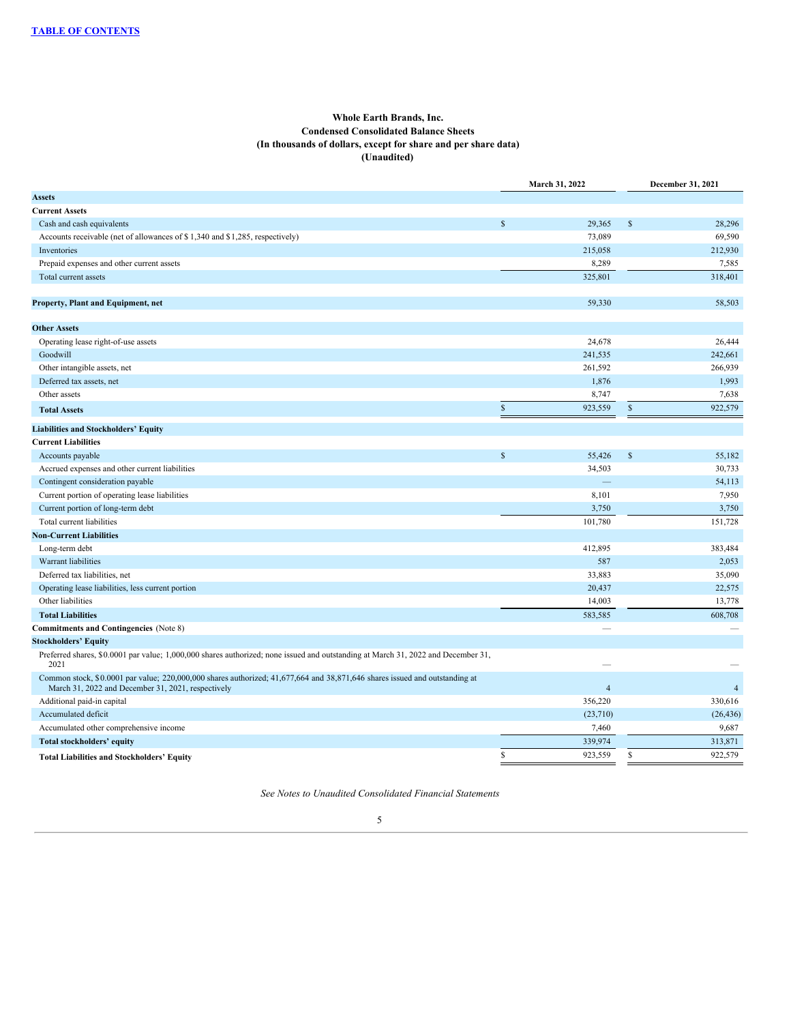# **Whole Earth Brands, Inc. Condensed Consolidated Balance Sheets (In thousands of dollars, except for share and per share data) (Unaudited)**

|                                                                                                                                                                                   | March 31, 2022 |                | December 31, 2021 |                |  |
|-----------------------------------------------------------------------------------------------------------------------------------------------------------------------------------|----------------|----------------|-------------------|----------------|--|
| <b>Assets</b>                                                                                                                                                                     |                |                |                   |                |  |
| <b>Current Assets</b>                                                                                                                                                             |                |                |                   |                |  |
| Cash and cash equivalents                                                                                                                                                         | $\mathsf{\$}$  | 29,365         | $\mathbb{S}$      | 28,296         |  |
| Accounts receivable (net of allowances of \$1,340 and \$1,285, respectively)                                                                                                      |                | 73,089         |                   | 69,590         |  |
| Inventories                                                                                                                                                                       |                | 215,058        |                   | 212,930        |  |
| Prepaid expenses and other current assets                                                                                                                                         |                | 8,289          |                   | 7,585          |  |
| Total current assets                                                                                                                                                              |                | 325,801        |                   | 318,401        |  |
| Property, Plant and Equipment, net                                                                                                                                                |                | 59,330         |                   | 58,503         |  |
| <b>Other Assets</b>                                                                                                                                                               |                |                |                   |                |  |
| Operating lease right-of-use assets                                                                                                                                               |                | 24,678         |                   | 26,444         |  |
| Goodwill                                                                                                                                                                          |                | 241,535        |                   | 242,661        |  |
| Other intangible assets, net                                                                                                                                                      |                | 261,592        |                   | 266,939        |  |
| Deferred tax assets, net                                                                                                                                                          |                | 1,876          |                   | 1,993          |  |
| Other assets                                                                                                                                                                      |                | 8,747          |                   | 7,638          |  |
| <b>Total Assets</b>                                                                                                                                                               | $\mathbb{S}$   | 923,559        | $\mathbf S$       | 922,579        |  |
| <b>Liabilities and Stockholders' Equity</b>                                                                                                                                       |                |                |                   |                |  |
| <b>Current Liabilities</b>                                                                                                                                                        |                |                |                   |                |  |
| Accounts payable                                                                                                                                                                  | $\mathsf{\$}$  | 55,426         | $\mathbb{S}$      | 55,182         |  |
| Accrued expenses and other current liabilities                                                                                                                                    |                | 34,503         |                   | 30,733         |  |
| Contingent consideration payable                                                                                                                                                  |                |                |                   | 54,113         |  |
| Current portion of operating lease liabilities                                                                                                                                    |                | 8,101          |                   | 7,950          |  |
| Current portion of long-term debt                                                                                                                                                 |                | 3,750          |                   | 3,750          |  |
| Total current liabilities                                                                                                                                                         |                | 101,780        |                   | 151,728        |  |
| <b>Non-Current Liabilities</b>                                                                                                                                                    |                |                |                   |                |  |
| Long-term debt                                                                                                                                                                    |                | 412,895        |                   | 383,484        |  |
| Warrant liabilities                                                                                                                                                               |                | 587            |                   | 2,053          |  |
| Deferred tax liabilities, net                                                                                                                                                     |                | 33,883         |                   | 35,090         |  |
| Operating lease liabilities, less current portion                                                                                                                                 |                | 20,437         |                   | 22,575         |  |
| Other liabilities                                                                                                                                                                 |                | 14,003         |                   | 13,778         |  |
| <b>Total Liabilities</b>                                                                                                                                                          |                | 583,585        |                   | 608,708        |  |
| <b>Commitments and Contingencies</b> (Note 8)                                                                                                                                     |                |                |                   |                |  |
| <b>Stockholders' Equity</b>                                                                                                                                                       |                |                |                   |                |  |
| Preferred shares, \$0.0001 par value; 1,000,000 shares authorized; none issued and outstanding at March 31, 2022 and December 31,<br>2021                                         |                |                |                   |                |  |
| Common stock, \$0.0001 par value; 220,000,000 shares authorized; 41,677,664 and 38,871,646 shares issued and outstanding at<br>March 31, 2022 and December 31, 2021, respectively |                | $\overline{4}$ |                   | $\overline{4}$ |  |
| Additional paid-in capital                                                                                                                                                        |                | 356,220        |                   | 330,616        |  |
| Accumulated deficit                                                                                                                                                               |                | (23,710)       |                   | (26, 436)      |  |
| Accumulated other comprehensive income                                                                                                                                            |                | 7,460          |                   | 9,687          |  |
| Total stockholders' equity                                                                                                                                                        |                | 339,974        |                   | 313,871        |  |
| <b>Total Liabilities and Stockholders' Equity</b>                                                                                                                                 | \$             | 923,559        | S                 | 922,579        |  |

<span id="page-4-0"></span>*See Notes to Unaudited Consolidated Financial Statements*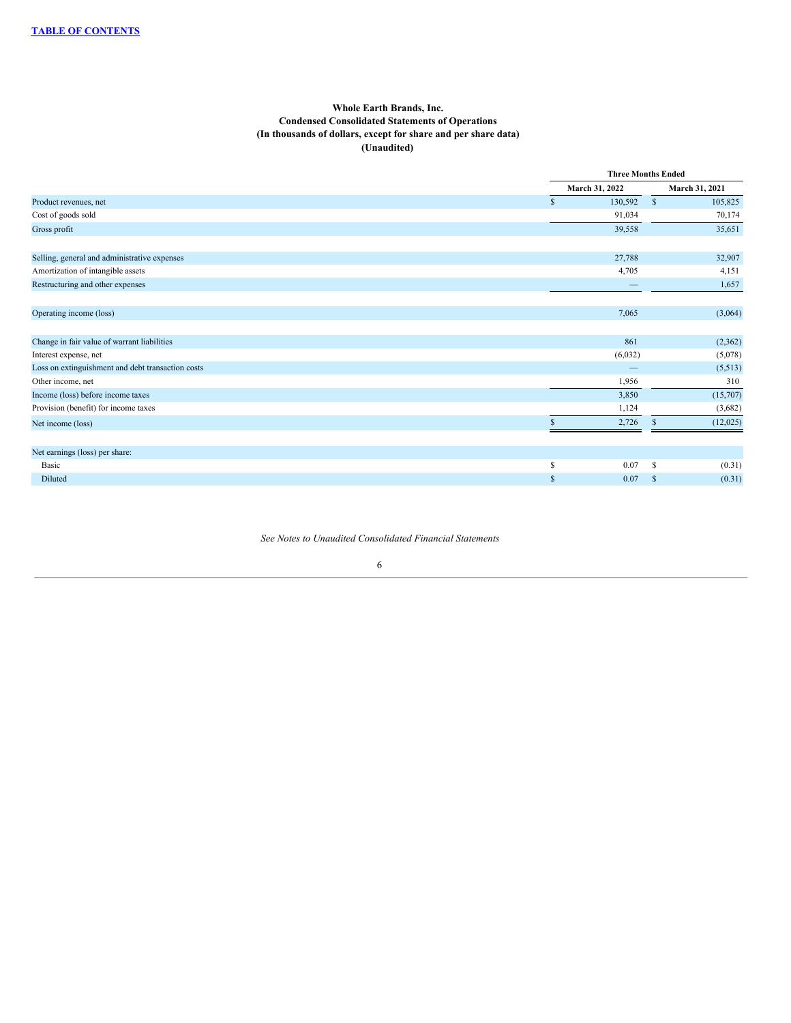# **Whole Earth Brands, Inc. Condensed Consolidated Statements of Operations (In thousands of dollars, except for share and per share data) (Unaudited)**

|                                                   | <b>Three Months Ended</b> |               |                |  |
|---------------------------------------------------|---------------------------|---------------|----------------|--|
|                                                   | March 31, 2022            |               | March 31, 2021 |  |
| $\mathbb{S}$<br>Product revenues, net             | 130,592                   | $\mathbb{S}$  | 105,825        |  |
| Cost of goods sold                                | 91,034                    |               | 70,174         |  |
| Gross profit                                      | 39,558                    |               | 35,651         |  |
| Selling, general and administrative expenses      | 27,788                    |               | 32,907         |  |
| Amortization of intangible assets                 | 4,705                     |               | 4,151          |  |
| Restructuring and other expenses                  |                           |               | 1,657          |  |
| Operating income (loss)                           | 7,065                     |               | (3,064)        |  |
| Change in fair value of warrant liabilities       | 861                       |               | (2,362)        |  |
| Interest expense, net                             | (6,032)                   |               | (5,078)        |  |
| Loss on extinguishment and debt transaction costs |                           |               | (5,513)        |  |
| Other income, net                                 | 1,956                     |               | 310            |  |
| Income (loss) before income taxes                 | 3,850                     |               | (15,707)       |  |
| Provision (benefit) for income taxes              | 1,124                     |               | (3,682)        |  |
| Net income (loss)                                 | 2,726                     | S             | (12,025)       |  |
| Net earnings (loss) per share:                    |                           |               |                |  |
| <b>Basic</b><br>S                                 | 0.07                      | \$            | (0.31)         |  |
| Diluted<br><sup>S</sup>                           | 0.07                      | $\mathcal{S}$ | (0.31)         |  |

<span id="page-5-0"></span>*See Notes to Unaudited Consolidated Financial Statements*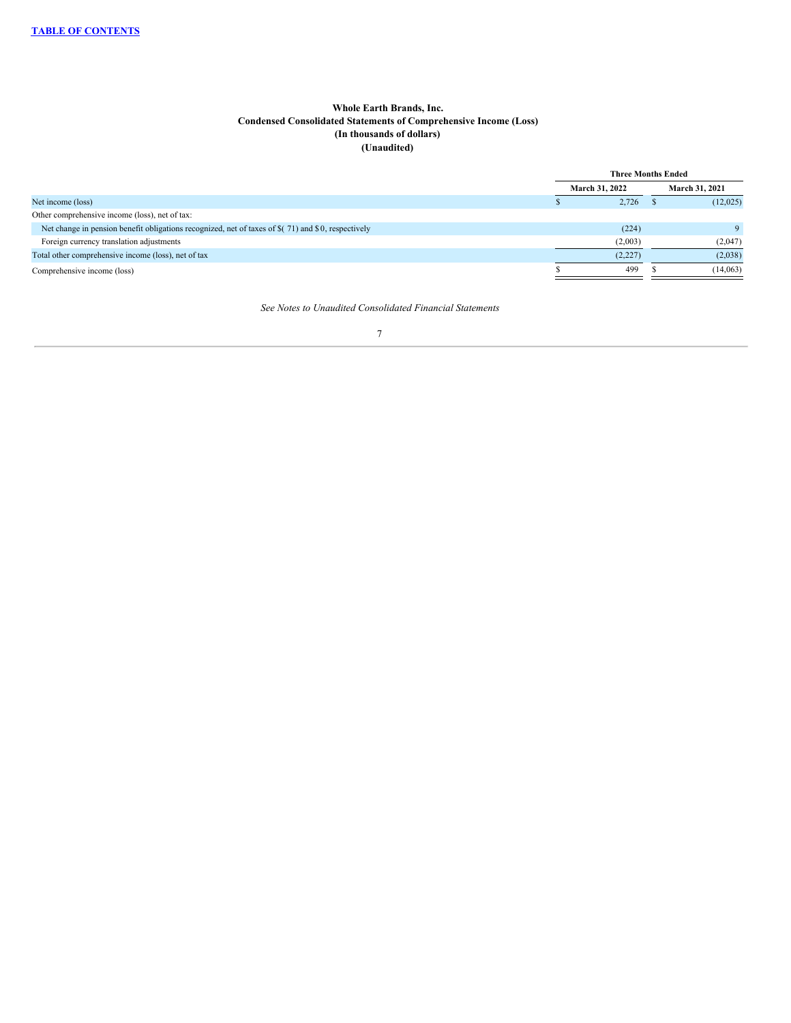# **Whole Earth Brands, Inc. Condensed Consolidated Statements of Comprehensive Income (Loss) (In thousands of dollars) (Unaudited)**

<span id="page-6-0"></span>

|                                                                                                    |                       | <b>Three Months Ended</b> |  |                       |  |
|----------------------------------------------------------------------------------------------------|-----------------------|---------------------------|--|-----------------------|--|
|                                                                                                    | <b>March 31, 2022</b> |                           |  | <b>March 31, 2021</b> |  |
| Net income (loss)                                                                                  |                       | 2,726                     |  | (12,025)              |  |
| Other comprehensive income (loss), net of tax:                                                     |                       |                           |  |                       |  |
| Net change in pension benefit obligations recognized, net of taxes of \$(71) and \$0, respectively |                       | (224)                     |  | $\mathbf{Q}$          |  |
| Foreign currency translation adjustments                                                           |                       | (2,003)                   |  | (2,047)               |  |
| Total other comprehensive income (loss), net of tax                                                |                       | (2,227)                   |  | (2,038)               |  |
| Comprehensive income (loss)                                                                        |                       | 499                       |  | (14,063)              |  |
|                                                                                                    |                       |                           |  |                       |  |

*See Notes to Unaudited Consolidated Financial Statements*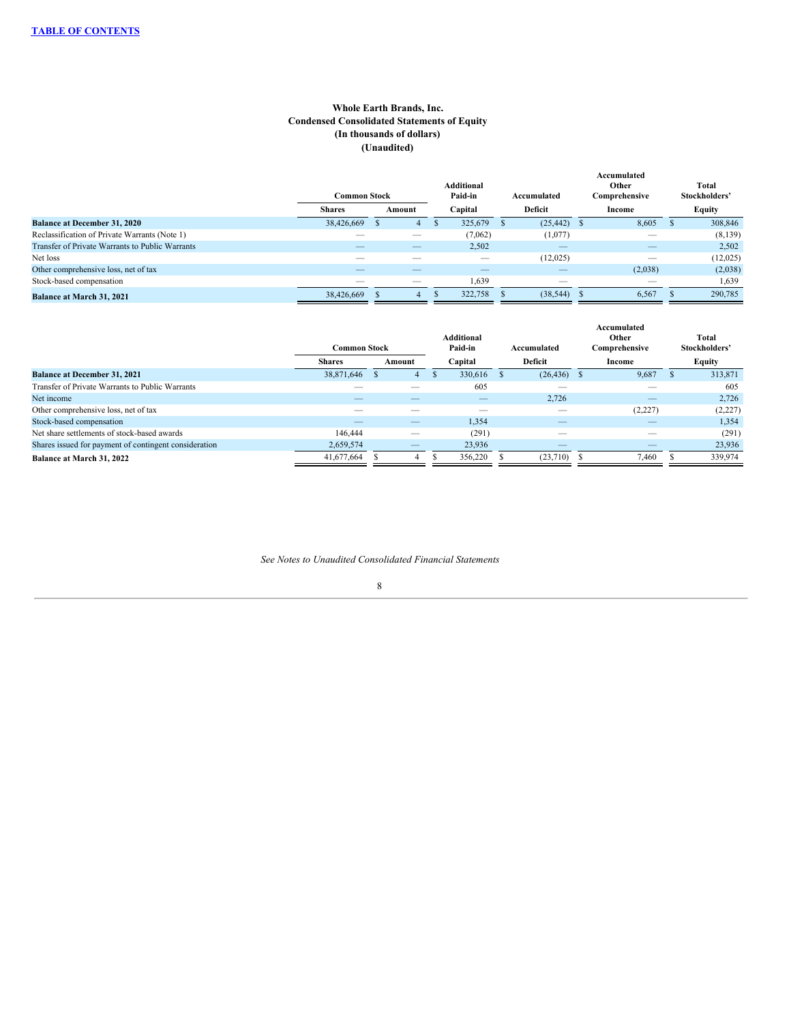# **Whole Earth Brands, Inc. Condensed Consolidated Statements of Equity (In thousands of dollars) (Unaudited)**

|                                                 | <b>Common Stock</b>      |                          |   | Additional<br>Paid-in | Accumulated              | Accumulated<br>Other<br>Comprehensive | Total<br>Stockholders' |
|-------------------------------------------------|--------------------------|--------------------------|---|-----------------------|--------------------------|---------------------------------------|------------------------|
|                                                 | <b>Shares</b>            | Amount                   |   | Capital               | <b>Deficit</b>           | Income                                | <b>Equity</b>          |
| <b>Balance at December 31, 2020</b>             | 38,426,669               | $\overline{4}$           | S | 325,679               | $(25, 442)$ \$           | 8,605                                 | 308,846                |
| Reclassification of Private Warrants (Note 1)   | $\overline{\phantom{a}}$ | $\overline{\phantom{a}}$ |   | (7,062)               | (1,077)                  |                                       | (8,139)                |
| Transfer of Private Warrants to Public Warrants |                          | _                        |   | 2,502                 |                          |                                       | 2,502                  |
| Net loss                                        |                          |                          |   |                       | (12,025)                 | _                                     | (12,025)               |
| Other comprehensive loss, net of tax            |                          |                          |   | __                    |                          | (2,038)                               | (2,038)                |
| Stock-based compensation                        |                          | _                        |   | 1,639                 | $\overline{\phantom{a}}$ |                                       | 1,639                  |
| <b>Balance at March 31, 2021</b>                | 38,426,669               | 4                        |   | 322,758               | $(38,544)$ \$            | 6,567                                 | 290,785                |

|                                                       | <b>Common Stock</b> |                          | Additional<br>Paid-in | Accumulated    | Accumulated<br>Other<br>Comprehensive | Total<br>Stockholders' |
|-------------------------------------------------------|---------------------|--------------------------|-----------------------|----------------|---------------------------------------|------------------------|
|                                                       | <b>Shares</b>       | Amount                   | Capital               | <b>Deficit</b> | Income                                | <b>Equity</b>          |
| <b>Balance at December 31, 2021</b>                   | 38,871,646          | 4                        | 330,616               | $(26, 436)$ \$ | 9,687                                 | 313,871                |
| Transfer of Private Warrants to Public Warrants       |                     |                          | 605                   |                |                                       | 605                    |
| Net income                                            |                     | __                       |                       | 2,726          |                                       | 2,726                  |
| Other comprehensive loss, net of tax                  |                     |                          |                       |                | (2,227)                               | (2,227)                |
| Stock-based compensation                              |                     |                          | 1,354                 |                |                                       | 1,354                  |
| Net share settlements of stock-based awards           | 146,444             |                          | (291)                 |                |                                       | (291)                  |
| Shares issued for payment of contingent consideration | 2,659,574           | $\overline{\phantom{m}}$ | 23,936                |                |                                       | 23,936                 |
| Balance at March 31, 2022                             | 41,677,664          | 4                        | 356,220               | (23,710)       | 7,460                                 | 339,974                |

<span id="page-7-0"></span>*See Notes to Unaudited Consolidated Financial Statements*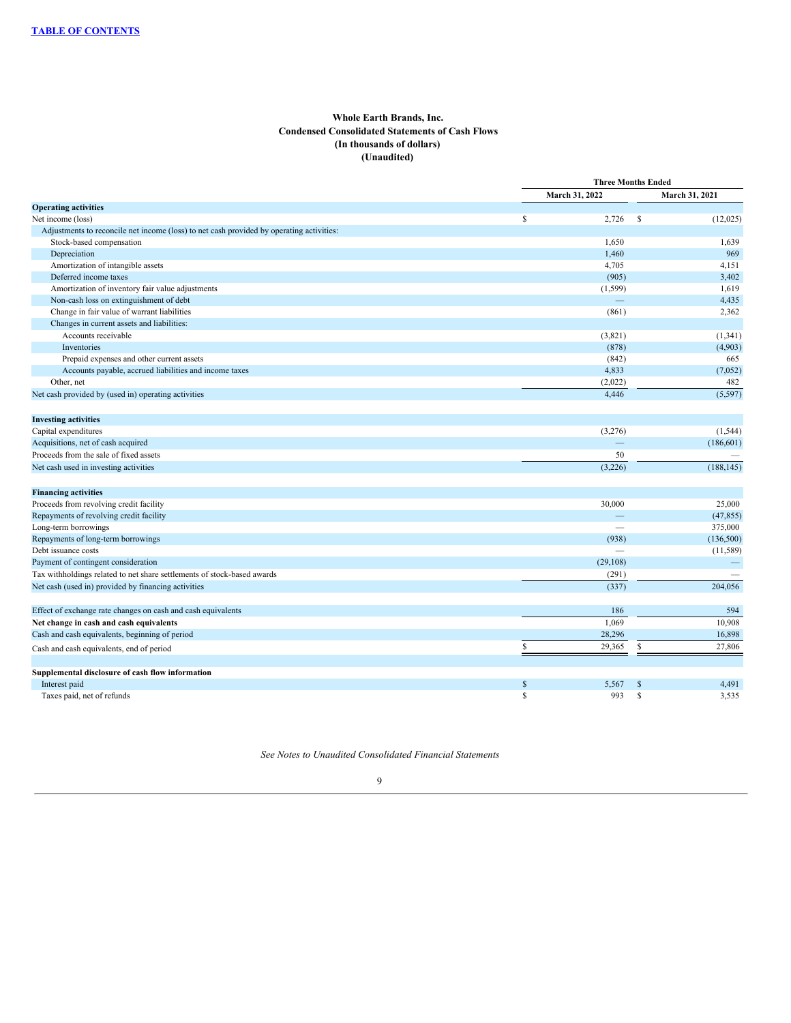# **Whole Earth Brands, Inc. Condensed Consolidated Statements of Cash Flows (In thousands of dollars) (Unaudited)**

|                                                                                          |                       | <b>Three Months Ended</b> |               |                |
|------------------------------------------------------------------------------------------|-----------------------|---------------------------|---------------|----------------|
|                                                                                          | March 31, 2022        |                           |               | March 31, 2021 |
| <b>Operating activities</b>                                                              |                       |                           |               |                |
| Net income (loss)                                                                        | \$                    | 2,726                     | -S            | (12,025)       |
| Adjustments to reconcile net income (loss) to net cash provided by operating activities: |                       |                           |               |                |
| Stock-based compensation                                                                 | 1,650                 |                           |               | 1,639          |
| Depreciation                                                                             | 1,460                 |                           |               | 969            |
| Amortization of intangible assets                                                        | 4,705                 |                           |               | 4,151          |
| Deferred income taxes                                                                    |                       | (905)                     |               | 3,402          |
| Amortization of inventory fair value adjustments                                         | (1,599)               |                           |               | 1,619          |
| Non-cash loss on extinguishment of debt                                                  |                       |                           |               | 4,435          |
| Change in fair value of warrant liabilities                                              |                       | (861)                     |               | 2,362          |
| Changes in current assets and liabilities:                                               |                       |                           |               |                |
| Accounts receivable                                                                      | (3,821)               |                           |               | (1, 341)       |
| Inventories                                                                              |                       | (878)                     |               | (4,903)        |
| Prepaid expenses and other current assets                                                |                       | (842)                     |               | 665            |
| Accounts payable, accrued liabilities and income taxes                                   | 4,833                 |                           |               | (7,052)        |
| Other, net                                                                               | (2,022)               |                           |               | 482            |
| Net cash provided by (used in) operating activities                                      | 4.446                 |                           |               | (5, 597)       |
|                                                                                          |                       |                           |               |                |
| <b>Investing activities</b>                                                              |                       |                           |               |                |
| Capital expenditures                                                                     | (3,276)               |                           |               | (1, 544)       |
| Acquisitions, net of cash acquired                                                       |                       |                           |               | (186, 601)     |
| Proceeds from the sale of fixed assets                                                   |                       | 50                        |               |                |
| Net cash used in investing activities                                                    | (3,226)               |                           |               | (188, 145)     |
|                                                                                          |                       |                           |               |                |
| <b>Financing activities</b>                                                              |                       |                           |               |                |
| Proceeds from revolving credit facility                                                  | 30,000                |                           |               | 25,000         |
| Repayments of revolving credit facility                                                  |                       |                           |               | (47, 855)      |
| Long-term borrowings                                                                     |                       |                           |               | 375,000        |
| Repayments of long-term borrowings                                                       |                       | (938)                     |               | (136,500)      |
| Debt issuance costs                                                                      |                       |                           |               | (11, 589)      |
| Payment of contingent consideration                                                      | (29, 108)             |                           |               |                |
| Tax withholdings related to net share settlements of stock-based awards                  |                       | (291)                     |               |                |
| Net cash (used in) provided by financing activities                                      |                       | (337)                     |               | 204,056        |
| Effect of exchange rate changes on cash and cash equivalents                             |                       | 186                       |               | 594            |
| Net change in cash and cash equivalents                                                  | 1,069                 |                           |               | 10,908         |
| Cash and cash equivalents, beginning of period                                           | 28,296                |                           |               | 16,898         |
| Cash and cash equivalents, end of period                                                 | \$<br>29,365          |                           | \$            | 27,806         |
|                                                                                          |                       |                           |               |                |
| Supplemental disclosure of cash flow information                                         |                       |                           |               |                |
| Interest paid                                                                            | $\mathbb{S}$<br>5,567 |                           | $\mathbb{S}$  | 4,491          |
| Taxes paid, net of refunds                                                               | S                     | 993                       | <sup>\$</sup> | 3,535          |

<span id="page-8-0"></span>*See Notes to Unaudited Consolidated Financial Statements*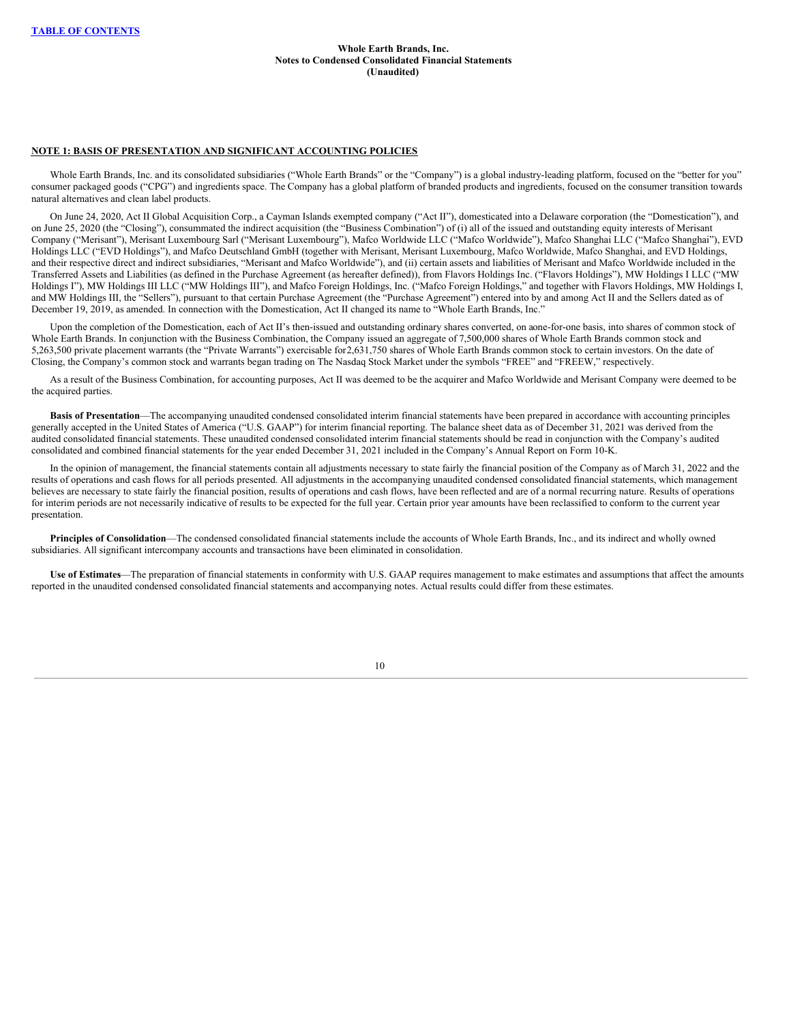#### <span id="page-9-0"></span>**NOTE 1: BASIS OF PRESENTATION AND SIGNIFICANT ACCOUNTING POLICIES**

Whole Earth Brands, Inc. and its consolidated subsidiaries ("Whole Earth Brands" or the "Company") is a global industry-leading platform, focused on the "better for you" consumer packaged goods ("CPG") and ingredients space. The Company has a global platform of branded products and ingredients, focused on the consumer transition towards natural alternatives and clean label products.

On June 24, 2020, Act II Global Acquisition Corp., a Cayman Islands exempted company ("Act II"), domesticated into a Delaware corporation (the "Domestication"), and on June 25, 2020 (the "Closing"), consummated the indirect acquisition (the "Business Combination") of (i) all of the issued and outstanding equity interests of Merisant Company ("Merisant"), Merisant Luxembourg Sarl ("Merisant Luxembourg"), Mafco Worldwide LLC ("Mafco Worldwide"), Mafco Shanghai LLC ("Mafco Shanghai"), EVD Holdings LLC ("EVD Holdings"), and Mafco Deutschland GmbH (together with Merisant, Merisant Luxembourg, Mafco Worldwide, Mafco Shanghai, and EVD Holdings, and their respective direct and indirect subsidiaries, "Merisant and Mafco Worldwide"), and (ii) certain assets and liabilities of Merisant and Mafco Worldwide included in the Transferred Assets and Liabilities (as defined in the Purchase Agreement (as hereafter defined)), from Flavors Holdings Inc. ("Flavors Holdings"), MW Holdings I LLC ("MW Holdings I"), MW Holdings III LLC ("MW Holdings III"), and Mafco Foreign Holdings, Inc. ("Mafco Foreign Holdings," and together with Flavors Holdings, MW Holdings I, and MW Holdings III, the "Sellers"), pursuant to that certain Purchase Agreement (the "Purchase Agreement") entered into by and among Act II and the Sellers dated as of December 19, 2019, as amended. In connection with the Domestication, Act II changed its name to "Whole Earth Brands, Inc."

Upon the completion of the Domestication, each of Act II's then-issued and outstanding ordinary shares converted, on aone-for-one basis, into shares of common stock of Whole Earth Brands. In conjunction with the Business Combination, the Company issued an aggregate of 7,500,000 shares of Whole Earth Brands common stock and 5,263,500 private placement warrants (the "Private Warrants") exercisable for2,631,750 shares of Whole Earth Brands common stock to certain investors. On the date of Closing, the Company's common stock and warrants began trading on The Nasdaq Stock Market under the symbols "FREE" and "FREEW," respectively.

As a result of the Business Combination, for accounting purposes, Act II was deemed to be the acquirer and Mafco Worldwide and Merisant Company were deemed to be the acquired parties.

**Basis of Presentation**—The accompanying unaudited condensed consolidated interim financial statements have been prepared in accordance with accounting principles generally accepted in the United States of America ("U.S. GAAP") for interim financial reporting. The balance sheet data as of December 31, 2021 was derived from the audited consolidated financial statements. These unaudited condensed consolidated interim financial statements should be read in conjunction with the Company's audited consolidated and combined financial statements for the year ended December 31, 2021 included in the Company's Annual Report on Form 10-K.

In the opinion of management, the financial statements contain all adjustments necessary to state fairly the financial position of the Company as of March 31, 2022 and the results of operations and cash flows for all periods presented. All adjustments in the accompanying unaudited condensed consolidated financial statements, which management believes are necessary to state fairly the financial position, results of operations and cash flows, have been reflected and are of a normal recurring nature. Results of operations for interim periods are not necessarily indicative of results to be expected for the full year. Certain prior year amounts have been reclassified to conform to the current year presentation.

**Principles of Consolidation**—The condensed consolidated financial statements include the accounts of Whole Earth Brands, Inc., and its indirect and wholly owned subsidiaries. All significant intercompany accounts and transactions have been eliminated in consolidation.

**Use of Estimates**—The preparation of financial statements in conformity with U.S. GAAP requires management to make estimates and assumptions that affect the amounts reported in the unaudited condensed consolidated financial statements and accompanying notes. Actual results could differ from these estimates.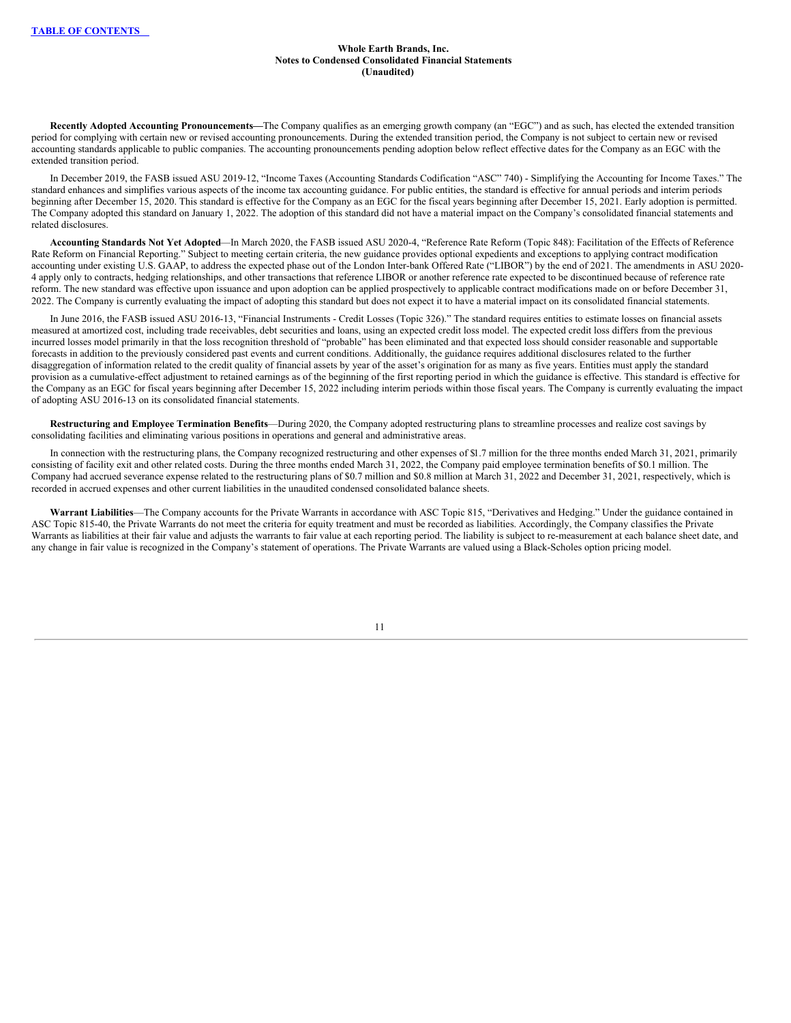**Recently Adopted Accounting Pronouncements***—*The Company qualifies as an emerging growth company (an "EGC") and as such, has elected the extended transition period for complying with certain new or revised accounting pronouncements. During the extended transition period, the Company is not subject to certain new or revised accounting standards applicable to public companies. The accounting pronouncements pending adoption below reflect effective dates for the Company as an EGC with the extended transition period.

In December 2019, the FASB issued ASU 2019-12, "Income Taxes (Accounting Standards Codification "ASC" 740) - Simplifying the Accounting for Income Taxes." The standard enhances and simplifies various aspects of the income tax accounting guidance. For public entities, the standard is effective for annual periods and interim periods beginning after December 15, 2020. This standard is effective for the Company as an EGC for the fiscal years beginning after December 15, 2021. Early adoption is permitted. The Company adopted this standard on January 1, 2022. The adoption of this standard did not have a material impact on the Company's consolidated financial statements and related disclosures.

**Accounting Standards Not Yet Adopted**—In March 2020, the FASB issued ASU 2020-4, "Reference Rate Reform (Topic 848): Facilitation of the Effects of Reference Rate Reform on Financial Reporting." Subject to meeting certain criteria, the new guidance provides optional expedients and exceptions to applying contract modification accounting under existing U.S. GAAP, to address the expected phase out of the London Inter-bank Offered Rate ("LIBOR") by the end of 2021. The amendments in ASU 2020- 4 apply only to contracts, hedging relationships, and other transactions that reference LIBOR or another reference rate expected to be discontinued because of reference rate reform. The new standard was effective upon issuance and upon adoption can be applied prospectively to applicable contract modifications made on or before December 31, 2022. The Company is currently evaluating the impact of adopting this standard but does not expect it to have a material impact on its consolidated financial statements.

In June 2016, the FASB issued ASU 2016-13, "Financial Instruments - Credit Losses (Topic 326)." The standard requires entities to estimate losses on financial assets measured at amortized cost, including trade receivables, debt securities and loans, using an expected credit loss model. The expected credit loss differs from the previous incurred losses model primarily in that the loss recognition threshold of "probable" has been eliminated and that expected loss should consider reasonable and supportable forecasts in addition to the previously considered past events and current conditions. Additionally, the guidance requires additional disclosures related to the further disaggregation of information related to the credit quality of financial assets by year of the asset's origination for as many as five years. Entities must apply the standard provision as a cumulative-effect adjustment to retained earnings as of the beginning of the first reporting period in which the guidance is effective. This standard is effective for the Company as an EGC for fiscal years beginning after December 15, 2022 including interim periods within those fiscal years. The Company is currently evaluating the impact of adopting ASU 2016-13 on its consolidated financial statements.

**Restructuring and Employee Termination Benefits**—During 2020, the Company adopted restructuring plans to streamline processes and realize cost savings by consolidating facilities and eliminating various positions in operations and general and administrative areas.

In connection with the restructuring plans, the Company recognized restructuring and other expenses of \$1.7 million for the three months ended March 31, 2021, primarily consisting of facility exit and other related costs. During the three months ended March 31, 2022, the Company paid employee termination benefits of \$0.1 million. The Company had accrued severance expense related to the restructuring plans of \$0.7 million and \$0.8 million at March 31, 2022 and December 31, 2021, respectively, which is recorded in accrued expenses and other current liabilities in the unaudited condensed consolidated balance sheets.

**Warrant Liabilities**—The Company accounts for the Private Warrants in accordance with ASC Topic 815, "Derivatives and Hedging." Under the guidance contained in ASC Topic 815-40, the Private Warrants do not meet the criteria for equity treatment and must be recorded as liabilities. Accordingly, the Company classifies the Private Warrants as liabilities at their fair value and adjusts the warrants to fair value at each reporting period. The liability is subject to re-measurement at each balance sheet date, and any change in fair value is recognized in the Company's statement of operations. The Private Warrants are valued using a Black-Scholes option pricing model.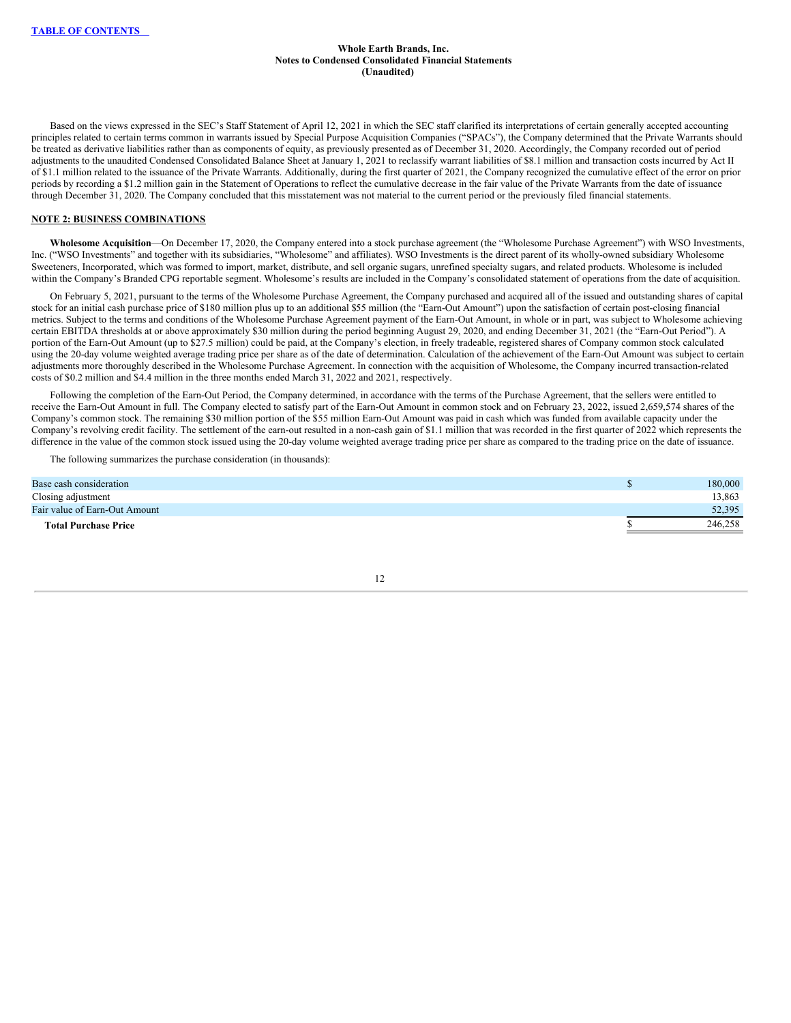Based on the views expressed in the SEC's Staff Statement of April 12, 2021 in which the SEC staff clarified its interpretations of certain generally accepted accounting principles related to certain terms common in warrants issued by Special Purpose Acquisition Companies ("SPACs"), the Company determined that the Private Warrants should be treated as derivative liabilities rather than as components of equity, as previously presented as of December 31, 2020. Accordingly, the Company recorded out of period adjustments to the unaudited Condensed Consolidated Balance Sheet at January 1, 2021 to reclassify warrant liabilities of \$8.1 million and transaction costs incurred by Act II of \$1.1 million related to the issuance of the Private Warrants. Additionally, during the first quarter of 2021, the Company recognized the cumulative effect of the error on prior periods by recording a \$1.2 million gain in the Statement of Operations to reflect the cumulative decrease in the fair value of the Private Warrants from the date of issuance through December 31, 2020. The Company concluded that this misstatement was not material to the current period or the previously filed financial statements.

### <span id="page-11-0"></span>**NOTE 2: BUSINESS COMBINATIONS**

**Wholesome Acquisition**—On December 17, 2020, the Company entered into a stock purchase agreement (the "Wholesome Purchase Agreement") with WSO Investments, Inc. ("WSO Investments" and together with its subsidiaries, "Wholesome" and affiliates). WSO Investments is the direct parent of its wholly-owned subsidiary Wholesome Sweeteners, Incorporated, which was formed to import, market, distribute, and sell organic sugars, unrefined specialty sugars, and related products. Wholesome is included within the Company's Branded CPG reportable segment. Wholesome's results are included in the Company's consolidated statement of operations from the date of acquisition.

On February 5, 2021, pursuant to the terms of the Wholesome Purchase Agreement, the Company purchased and acquired all of the issued and outstanding shares of capital stock for an initial cash purchase price of \$180 million plus up to an additional \$55 million (the "Earn-Out Amount") upon the satisfaction of certain post-closing financial metrics. Subject to the terms and conditions of the Wholesome Purchase Agreement payment of the Earn-Out Amount, in whole or in part, was subject to Wholesome achieving certain EBITDA thresholds at or above approximately \$30 million during the period beginning August 29, 2020, and ending December 31, 2021 (the "Earn-Out Period"). A portion of the Earn-Out Amount (up to \$27.5 million) could be paid, at the Company's election, in freely tradeable, registered shares of Company common stock calculated using the 20-day volume weighted average trading price per share as of the date of determination. Calculation of the achievement of the Earn-Out Amount was subject to certain adjustments more thoroughly described in the Wholesome Purchase Agreement. In connection with the acquisition of Wholesome, the Company incurred transaction-related costs of \$0.2 million and \$4.4 million in the three months ended March 31, 2022 and 2021, respectively.

Following the completion of the Earn-Out Period, the Company determined, in accordance with the terms of the Purchase Agreement, that the sellers were entitled to receive the Earn-Out Amount in full. The Company elected to satisfy part of the Earn-Out Amount in common stock and on February 23, 2022, issued 2,659,574 shares of the Company's common stock. The remaining \$30 million portion of the \$55 million Earn-Out Amount was paid in cash which was funded from available capacity under the Company's revolving credit facility. The settlement of the earn-out resulted in a non-cash gain of \$1.1 million that was recorded in the first quarter of 2022 which represents the difference in the value of the common stock issued using the 20-day volume weighted average trading price per share as compared to the trading price on the date of issuance.

The following summarizes the purchase consideration (in thousands):

| Base cash consideration       | 180,000 |
|-------------------------------|---------|
| Closing adjustment            | 13.863  |
| Fair value of Earn-Out Amount | 52,395  |
| <b>Total Purchase Price</b>   | 246,258 |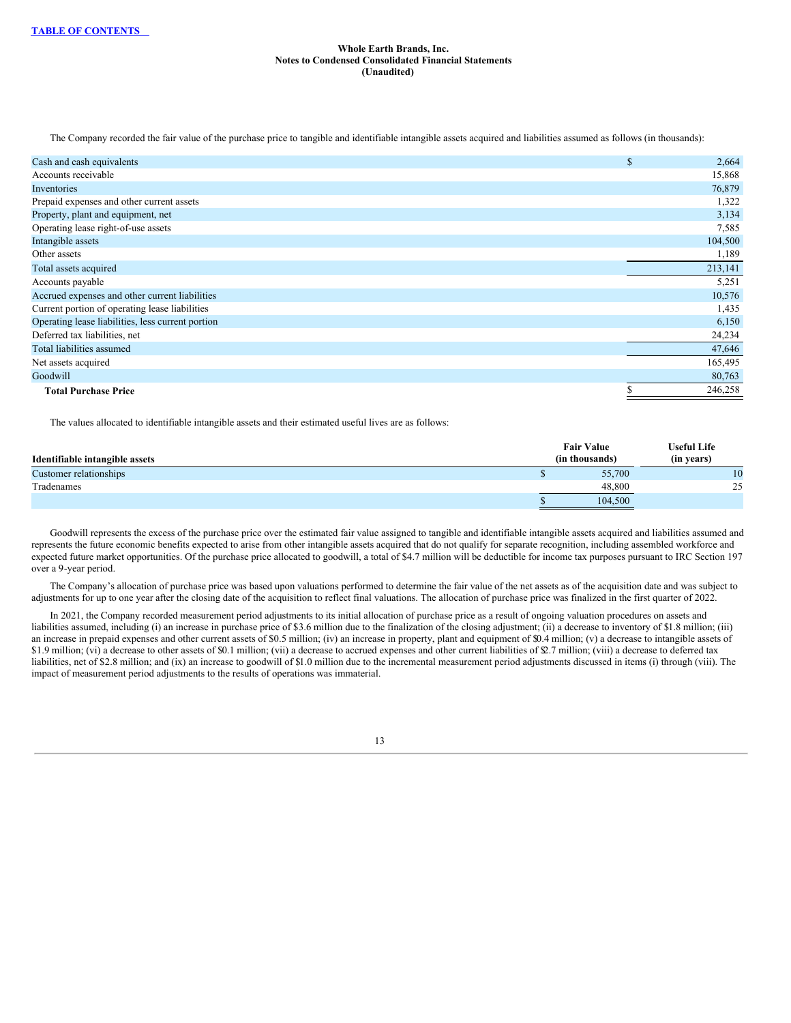The Company recorded the fair value of the purchase price to tangible and identifiable intangible assets acquired and liabilities assumed as follows (in thousands):

| $\mathbb{S}$<br>Cash and cash equivalents<br>Accounts receivable<br>Inventories<br>Prepaid expenses and other current assets | 2,664   |
|------------------------------------------------------------------------------------------------------------------------------|---------|
|                                                                                                                              |         |
|                                                                                                                              | 15,868  |
|                                                                                                                              | 76,879  |
|                                                                                                                              | 1,322   |
| Property, plant and equipment, net                                                                                           | 3,134   |
| Operating lease right-of-use assets                                                                                          | 7,585   |
| Intangible assets                                                                                                            | 104,500 |
| Other assets                                                                                                                 | 1,189   |
| Total assets acquired                                                                                                        | 213,141 |
| Accounts payable                                                                                                             | 5,251   |
| Accrued expenses and other current liabilities                                                                               | 10,576  |
| Current portion of operating lease liabilities                                                                               | 1,435   |
| Operating lease liabilities, less current portion                                                                            | 6,150   |
| Deferred tax liabilities, net                                                                                                | 24,234  |
| Total liabilities assumed                                                                                                    | 47,646  |
| Net assets acquired                                                                                                          | 165,495 |
| Goodwill                                                                                                                     | 80,763  |
| <b>Total Purchase Price</b>                                                                                                  | 246,258 |

The values allocated to identifiable intangible assets and their estimated useful lives are as follows:

| Identifiable intangible assets |  | <b>Fair Value</b><br>(in thousands) | <b>Useful Life</b><br>(in years) |  |  |
|--------------------------------|--|-------------------------------------|----------------------------------|--|--|
| Customer relationships         |  | 55,700                              | 10                               |  |  |
| Tradenames                     |  | 48,800                              | 25                               |  |  |
|                                |  | 104.500                             |                                  |  |  |

Goodwill represents the excess of the purchase price over the estimated fair value assigned to tangible and identifiable intangible assets acquired and liabilities assumed and represents the future economic benefits expected to arise from other intangible assets acquired that do not qualify for separate recognition, including assembled workforce and expected future market opportunities. Of the purchase price allocated to goodwill, a total of \$4.7 million will be deductible for income tax purposes pursuant to IRC Section 197 over a 9-year period.

The Company's allocation of purchase price was based upon valuations performed to determine the fair value of the net assets as of the acquisition date and was subject to adjustments for up to one year after the closing date of the acquisition to reflect final valuations. The allocation of purchase price was finalized in the first quarter of 2022.

In 2021, the Company recorded measurement period adjustments to its initial allocation of purchase price as a result of ongoing valuation procedures on assets and liabilities assumed, including (i) an increase in purchase price of \$3.6 million due to the finalization of the closing adjustment; (ii) a decrease to inventory of \$1.8 million; (iii) an increase in prepaid expenses and other current assets of \$0.5 million; (iv) an increase in property, plant and equipment of \$0.4 million; (v) a decrease to intangible assets of \$1.9 million; (vii) a decrease to other assets of \$0.1 million; (vii) a decrease to accrued expenses and other current liabilities of \$2.7 million; (viii) a decrease to deferred tax liabilities, net of \$2.8 million; and (ix) an increase to goodwill of \$1.0 million due to the incremental measurement period adjustments discussed in items (i) through (viii). The impact of measurement period adjustments to the results of operations was immaterial.

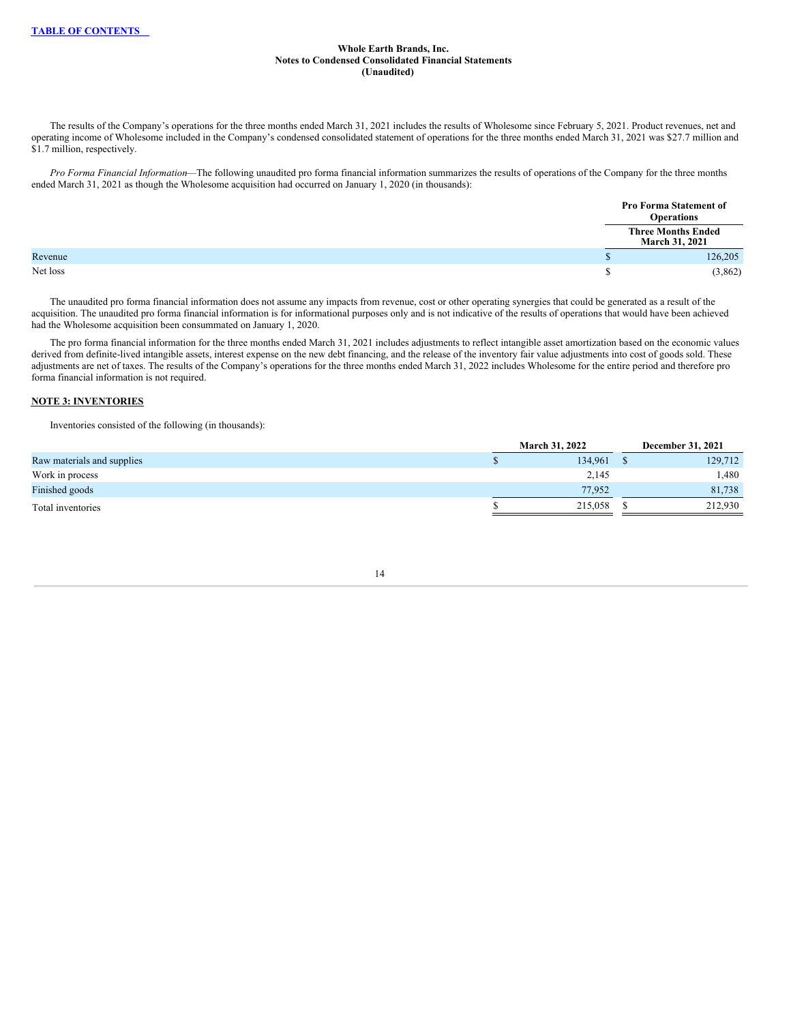The results of the Company's operations for the three months ended March 31, 2021 includes the results of Wholesome since February 5, 2021. Product revenues, net and operating income of Wholesome included in the Company's condensed consolidated statement of operations for the three months ended March 31, 2021 was \$27.7 million and \$1.7 million, respectively.

*Pro Forma Financial Information*—The following unaudited pro forma financial information summarizes the results of operations of the Company for the three months ended March 31, 2021 as though the Wholesome acquisition had occurred on January 1, 2020 (in thousands):

|          |    | Pro Forma Statement of<br><b>Operations</b> |
|----------|----|---------------------------------------------|
|          |    | <b>Three Months Ended</b><br>March 31, 2021 |
| Revenue  | ٠п | 126,205                                     |
| Net loss |    | (3,862)                                     |

The unaudited pro forma financial information does not assume any impacts from revenue, cost or other operating synergies that could be generated as a result of the acquisition. The unaudited pro forma financial information is for informational purposes only and is not indicative of the results of operations that would have been achieved had the Wholesome acquisition been consummated on January 1, 2020.

The pro forma financial information for the three months ended March 31, 2021 includes adjustments to reflect intangible asset amortization based on the economic values derived from definite-lived intangible assets, interest expense on the new debt financing, and the release of the inventory fair value adjustments into cost of goods sold. These adjustments are net of taxes. The results of the Company's operations for the three months ended March 31, 2022 includes Wholesome for the entire period and therefore pro forma financial information is not required.

#### <span id="page-13-0"></span>**NOTE 3: INVENTORIES**

Inventories consisted of the following (in thousands):

<span id="page-13-1"></span>

|                            | <b>March 31, 2022</b> |         | December 31, 2021 |
|----------------------------|-----------------------|---------|-------------------|
| Raw materials and supplies |                       | 134.961 | 129,712           |
| Work in process            |                       | 2.145   | 1,480             |
| Finished goods             |                       | 77.952  | 81,738            |
| Total inventories          |                       | 215,058 | 212,930           |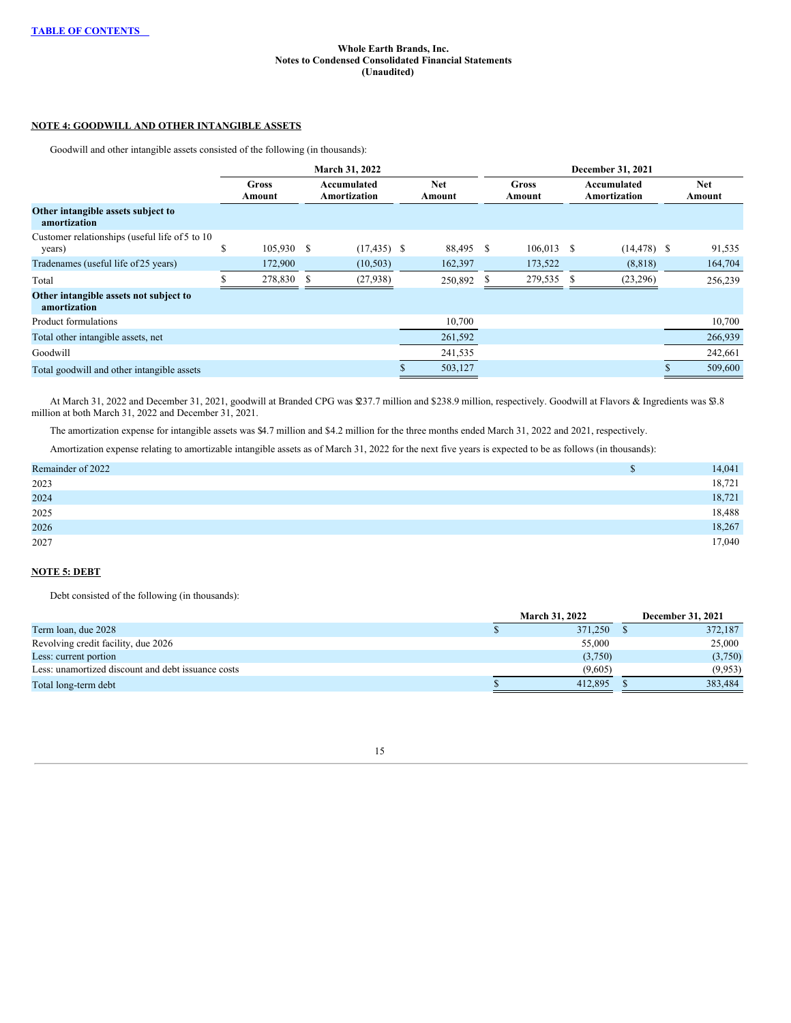# **NOTE 4: GOODWILL AND OTHER INTANGIBLE ASSETS**

Goodwill and other intangible assets consisted of the following (in thousands):

|                                                          |   |                 |    | March 31, 2022              |                      | December 31, 2021 |                 |     |                             |  |                      |
|----------------------------------------------------------|---|-----------------|----|-----------------------------|----------------------|-------------------|-----------------|-----|-----------------------------|--|----------------------|
|                                                          |   | Gross<br>Amount |    | Accumulated<br>Amortization | <b>Net</b><br>Amount |                   | Gross<br>Amount |     | Accumulated<br>Amortization |  | <b>Net</b><br>Amount |
| Other intangible assets subject to<br>amortization       |   |                 |    |                             |                      |                   |                 |     |                             |  |                      |
| Customer relationships (useful life of 5 to 10<br>years) | ъ | $105,930$ \$    |    | $(17, 435)$ \$              | 88,495 \$            |                   | $106,013$ \$    |     | $(14, 478)$ \$              |  | 91,535               |
| Tradenames (useful life of 25 years)                     |   | 172,900         |    | (10, 503)                   | 162,397              |                   | 173,522         |     | (8,818)                     |  | 164,704              |
| Total                                                    |   | 278,830         | -S | (27, 938)                   | 250,892              |                   | 279,535         | - S | (23, 296)                   |  | 256,239              |
| Other intangible assets not subject to<br>amortization   |   |                 |    |                             |                      |                   |                 |     |                             |  |                      |
| Product formulations                                     |   |                 |    |                             | 10,700               |                   |                 |     |                             |  | 10,700               |
| Total other intangible assets, net                       |   |                 |    |                             | 261,592              |                   |                 |     |                             |  | 266,939              |
| Goodwill                                                 |   |                 |    |                             | 241,535              |                   |                 |     |                             |  | 242,661              |
| Total goodwill and other intangible assets               |   |                 |    |                             | 503,127              |                   |                 |     |                             |  | 509,600              |

At March 31, 2022 and December 31, 2021, goodwill at Branded CPG was \$237.7 million and \$238.9 million, respectively. Goodwill at Flavors & Ingredients was \$3.8 million at both March 31, 2022 and December 31, 2021.

The amortization expense for intangible assets was \$4.7 million and \$4.2 million for the three months ended March 31, 2022 and 2021, respectively.

Amortization expense relating to amortizable intangible assets as of March 31, 2022 for the next five years is expected to be as follows (in thousands):

| Remainder of 2022 | 14,041 |
|-------------------|--------|
|                   |        |
| 2023              | 18,721 |
| 2024              | 18,721 |
| 2025              | 18,488 |
| 2026              | 18,267 |
| 2027              | 17,040 |

### <span id="page-14-0"></span>**NOTE 5: DEBT**

Debt consisted of the following (in thousands):

|                                                    | <b>March 31, 2022</b> | <b>December 31, 2021</b> |  |
|----------------------------------------------------|-----------------------|--------------------------|--|
| Term loan, due 2028                                | 371.250               | 372,187                  |  |
| Revolving credit facility, due 2026                | 55,000                | 25,000                   |  |
| Less: current portion                              | (3,750)               | (3,750)                  |  |
| Less: unamortized discount and debt issuance costs | (9.605)               | (9.953)                  |  |
| Total long-term debt                               | 412.895               | 383.484                  |  |

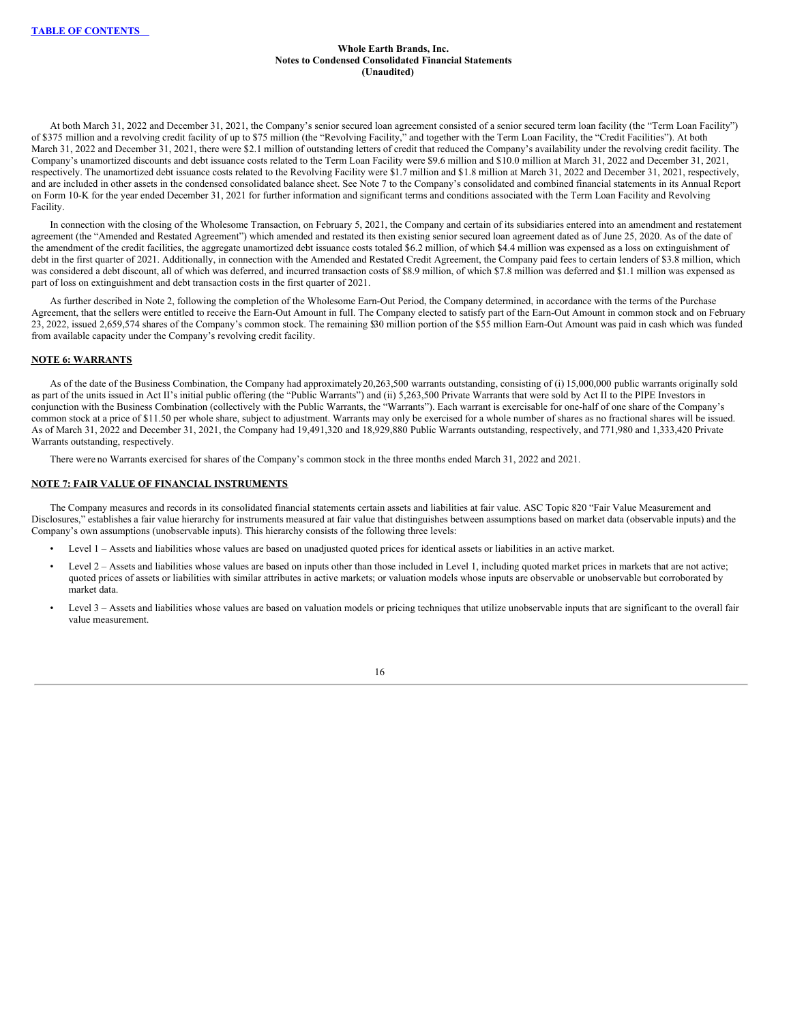At both March 31, 2022 and December 31, 2021, the Company's senior secured loan agreement consisted of a senior secured term loan facility (the "Term Loan Facility") of \$375 million and a revolving credit facility of up to \$75 million (the "Revolving Facility," and together with the Term Loan Facility, the "Credit Facilities"). At both March 31, 2022 and December 31, 2021, there were \$2.1 million of outstanding letters of credit that reduced the Company's availability under the revolving credit facility. The Company's unamortized discounts and debt issuance costs related to the Term Loan Facility were \$9.6 million and \$10.0 million at March 31, 2022 and December 31, 2021, respectively. The unamortized debt issuance costs related to the Revolving Facility were \$1.7 million and \$1.8 million at March 31, 2022 and December 31, 2021, respectively, and are included in other assets in the condensed consolidated balance sheet. See Note 7 to the Company's consolidated and combined financial statements in its Annual Report on Form 10-K for the year ended December 31, 2021 for further information and significant terms and conditions associated with the Term Loan Facility and Revolving Facility.

In connection with the closing of the Wholesome Transaction, on February 5, 2021, the Company and certain of its subsidiaries entered into an amendment and restatement agreement (the "Amended and Restated Agreement") which amended and restated its then existing senior secured loan agreement dated as of June 25, 2020. As of the date of the amendment of the credit facilities, the aggregate unamortized debt issuance costs totaled \$6.2 million, of which \$4.4 million was expensed as a loss on extinguishment of debt in the first quarter of 2021. Additionally, in connection with the Amended and Restated Credit Agreement, the Company paid fees to certain lenders of \$3.8 million, which was considered a debt discount, all of which was deferred, and incurred transaction costs of \$8.9 million, of which \$7.8 million was deferred and \$1.1 million was expensed as part of loss on extinguishment and debt transaction costs in the first quarter of 2021.

As further described in Note 2, following the completion of the Wholesome Earn-Out Period, the Company determined, in accordance with the terms of the Purchase Agreement, that the sellers were entitled to receive the Earn-Out Amount in full. The Company elected to satisfy part of the Earn-Out Amount in common stock and on February 23, 2022, issued 2,659,574 shares of the Company's common stock. The remaining \$30 million portion of the \$55 million Earn-Out Amount was paid in cash which was funded from available capacity under the Company's revolving credit facility.

#### <span id="page-15-0"></span>**NOTE 6: WARRANTS**

As of the date of the Business Combination, the Company had approximately20,263,500 warrants outstanding, consisting of (i) 15,000,000 public warrants originally sold as part of the units issued in Act II's initial public offering (the "Public Warrants") and (ii) 5,263,500 Private Warrants that were sold by Act II to the PIPE Investors in conjunction with the Business Combination (collectively with the Public Warrants, the "Warrants"). Each warrant is exercisable for one-half of one share of the Company's common stock at a price of \$11.50 per whole share, subject to adjustment. Warrants may only be exercised for a whole number of shares as no fractional shares will be issued. As of March 31, 2022 and December 31, 2021, the Company had 19,491,320 and 18,929,880 Public Warrants outstanding, respectively, and 771,980 and 1,333,420 Private Warrants outstanding, respectively.

There were no Warrants exercised for shares of the Company's common stock in the three months ended March 31, 2022 and 2021.

#### <span id="page-15-1"></span>**NOTE 7: FAIR VALUE OF FINANCIAL INSTRUMENTS**

The Company measures and records in its consolidated financial statements certain assets and liabilities at fair value. ASC Topic 820 "Fair Value Measurement and Disclosures," establishes a fair value hierarchy for instruments measured at fair value that distinguishes between assumptions based on market data (observable inputs) and the Company's own assumptions (unobservable inputs). This hierarchy consists of the following three levels:

- Level 1 Assets and liabilities whose values are based on unadjusted quoted prices for identical assets or liabilities in an active market.
- Level 2 Assets and liabilities whose values are based on inputs other than those included in Level 1, including quoted market prices in markets that are not active; quoted prices of assets or liabilities with similar attributes in active markets; or valuation models whose inputs are observable or unobservable but corroborated by market data.
- Level  $3 -$  Assets and liabilities whose values are based on valuation models or pricing techniques that utilize unobservable inputs that are significant to the overall fair value measurement.

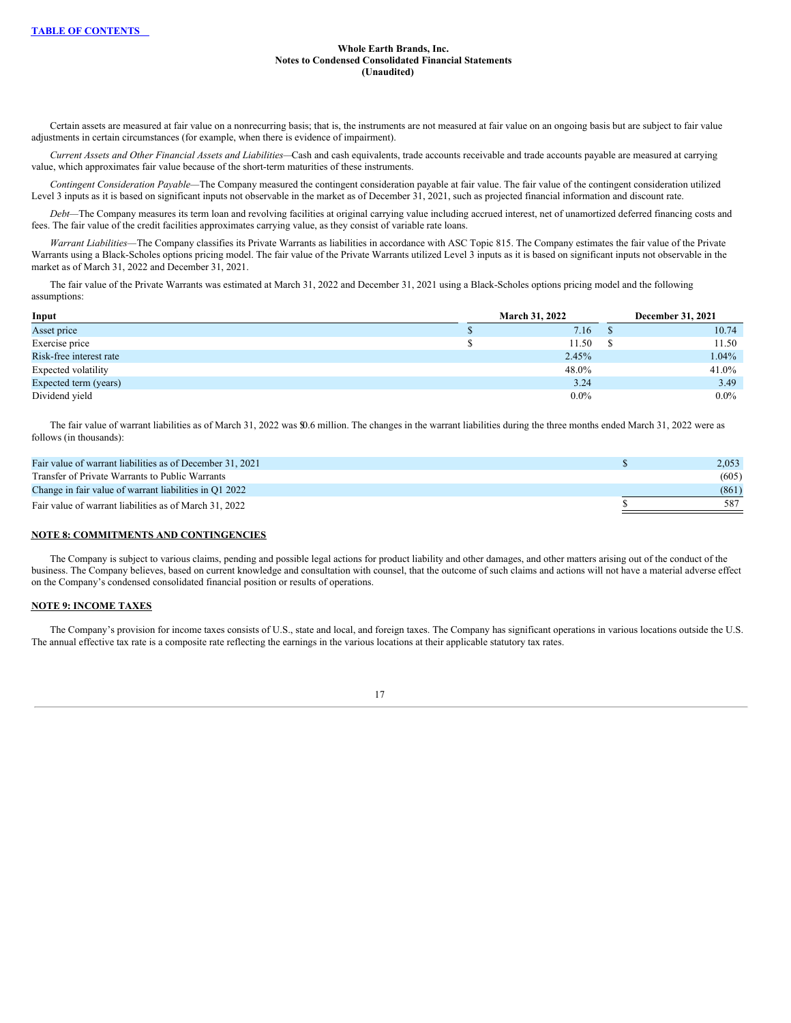Certain assets are measured at fair value on a nonrecurring basis; that is, the instruments are not measured at fair value on an ongoing basis but are subject to fair value adjustments in certain circumstances (for example, when there is evidence of impairment).

*Current Assets and Other Financial Assets and Liabilities—*Cash and cash equivalents, trade accounts receivable and trade accounts payable are measured at carrying value, which approximates fair value because of the short-term maturities of these instruments.

*Contingent Consideration Payable—*The Company measured the contingent consideration payable at fair value. The fair value of the contingent consideration utilized Level 3 inputs as it is based on significant inputs not observable in the market as of December 31, 2021, such as projected financial information and discount rate.

*Debt—*The Company measures its term loan and revolving facilities at original carrying value including accrued interest, net of unamortized deferred financing costs and fees. The fair value of the credit facilities approximates carrying value, as they consist of variable rate loans.

*Warrant Liabilities—*The Company classifies its Private Warrants as liabilities in accordance with ASC Topic 815. The Company estimates the fair value of the Private Warrants using a Black-Scholes options pricing model. The fair value of the Private Warrants utilized Level 3 inputs as it is based on significant inputs not observable in the market as of March 31, 2022 and December 31, 2021.

The fair value of the Private Warrants was estimated at March 31, 2022 and December 31, 2021 using a Black-Scholes options pricing model and the following assumptions:

| Input<br><b>March 31, 2022</b> |  |         | December 31, 2021 |
|--------------------------------|--|---------|-------------------|
| Asset price                    |  | 7.16    | 10.74             |
| Exercise price                 |  | 11.50   | 11.50             |
| Risk-free interest rate        |  | 2.45%   | 1.04%             |
| Expected volatility            |  | 48.0%   | 41.0%             |
| Expected term (years)          |  | 3.24    | 3.49              |
| Dividend yield                 |  | $0.0\%$ | $0.0\%$           |

The fair value of warrant liabilities as of March 31, 2022 was \$0.6 million. The changes in the warrant liabilities during the three months ended March 31, 2022 were as follows (in thousands):

| Fair value of warrant liabilities as of December 31, 2021 | 2.053 |
|-----------------------------------------------------------|-------|
| Transfer of Private Warrants to Public Warrants           | (605) |
| Change in fair value of warrant liabilities in Q1 2022    | (861) |
| Fair value of warrant liabilities as of March 31, 2022    |       |

### <span id="page-16-0"></span>**NOTE 8: COMMITMENTS AND CONTINGENCIES**

The Company is subject to various claims, pending and possible legal actions for product liability and other damages, and other matters arising out of the conduct of the business. The Company believes, based on current knowledge and consultation with counsel, that the outcome of such claims and actions will not have a material adverse effect on the Company's condensed consolidated financial position or results of operations.

### <span id="page-16-1"></span>**NOTE 9: INCOME TAXES**

The Company's provision for income taxes consists of U.S., state and local, and foreign taxes. The Company has significant operations in various locations outside the U.S. The annual effective tax rate is a composite rate reflecting the earnings in the various locations at their applicable statutory tax rates.

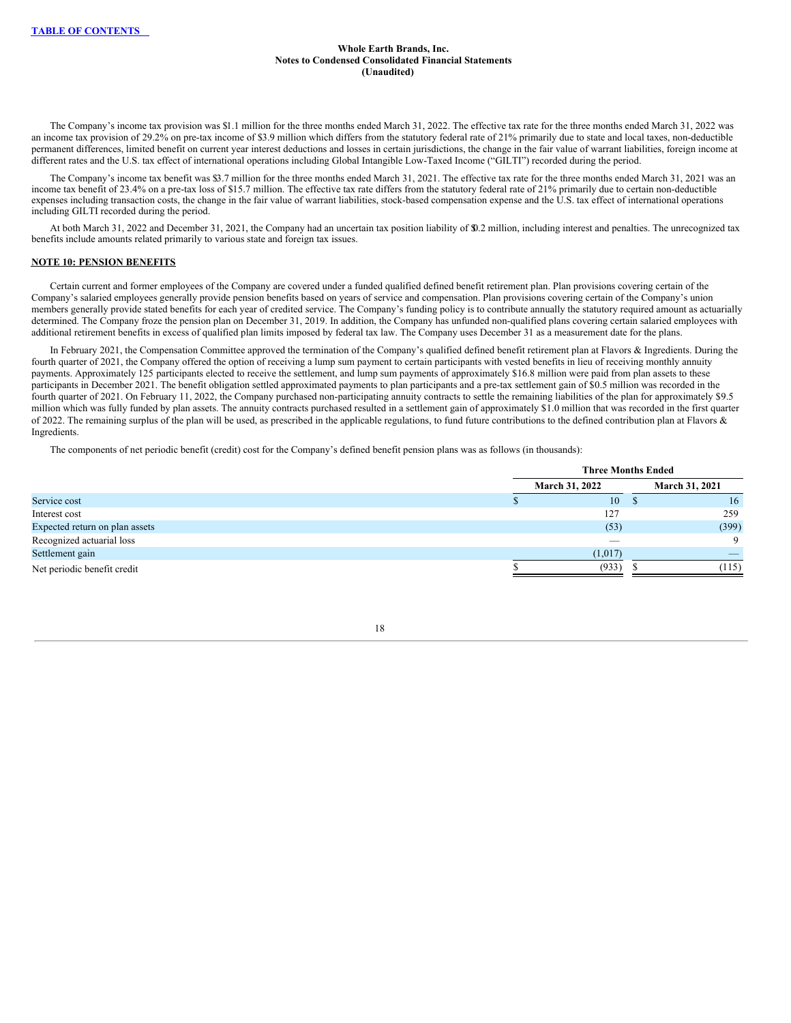The Company's income tax provision was \$1.1 million for the three months ended March 31, 2022. The effective tax rate for the three months ended March 31, 2022 was an income tax provision of 29.2% on pre-tax income of \$3.9 million which differs from the statutory federal rate of 21% primarily due to state and local taxes, non-deductible permanent differences, limited benefit on current year interest deductions and losses in certain jurisdictions, the change in the fair value of warrant liabilities, foreign income at different rates and the U.S. tax effect of international operations including Global Intangible Low-Taxed Income ("GILTI") recorded during the period.

The Company's income tax benefit was \$3.7 million for the three months ended March 31, 2021. The effective tax rate for the three months ended March 31, 2021 was an income tax benefit of 23.4% on a pre-tax loss of \$15.7 million. The effective tax rate differs from the statutory federal rate of 21% primarily due to certain non-deductible expenses including transaction costs, the change in the fair value of warrant liabilities, stock-based compensation expense and the U.S. tax effect of international operations including GILTI recorded during the period.

At both March 31, 2022 and December 31, 2021, the Company had an uncertain tax position liability of \$0.2 million, including interest and penalties. The unrecognized tax benefits include amounts related primarily to various state and foreign tax issues.

### <span id="page-17-0"></span>**NOTE 10: PENSION BENEFITS**

Certain current and former employees of the Company are covered under a funded qualified defined benefit retirement plan. Plan provisions covering certain of the Company's salaried employees generally provide pension benefits based on years of service and compensation. Plan provisions covering certain of the Company's union members generally provide stated benefits for each year of credited service. The Company's funding policy is to contribute annually the statutory required amount as actuarially determined. The Company froze the pension plan on December 31, 2019. In addition, the Company has unfunded non-qualified plans covering certain salaried employees with additional retirement benefits in excess of qualified plan limits imposed by federal tax law. The Company uses December 31 as a measurement date for the plans.

In February 2021, the Compensation Committee approved the termination of the Company's qualified defined benefit retirement plan at Flavors & Ingredients. During the fourth quarter of 2021, the Company offered the option of receiving a lump sum payment to certain participants with vested benefits in lieu of receiving monthly annuity payments. Approximately 125 participants elected to receive the settlement, and lump sum payments of approximately \$16.8 million were paid from plan assets to these participants in December 2021. The benefit obligation settled approximated payments to plan participants and a pre-tax settlement gain of \$0.5 million was recorded in the fourth quarter of 2021. On February 11, 2022, the Company purchased non-participating annuity contracts to settle the remaining liabilities of the plan for approximately \$9.5 million which was fully funded by plan assets. The annuity contracts purchased resulted in a settlement gain of approximately \$1.0 million that was recorded in the first quarter of 2022. The remaining surplus of the plan will be used, as prescribed in the applicable regulations, to fund future contributions to the defined contribution plan at Flavors & Ingredients.

The components of net periodic benefit (credit) cost for the Company's defined benefit pension plans was as follows (in thousands):

|                                | <b>Three Months Ended</b> |                |  |  |
|--------------------------------|---------------------------|----------------|--|--|
|                                | March 31, 2022            | March 31, 2021 |  |  |
| Service cost                   | 10                        | 16             |  |  |
| Interest cost                  | 127                       | 259            |  |  |
| Expected return on plan assets | (53)                      | (399)          |  |  |
| Recognized actuarial loss      |                           | $\Omega$       |  |  |
| Settlement gain                | (1,017)                   | _              |  |  |
| Net periodic benefit credit    | (933)                     | (115)          |  |  |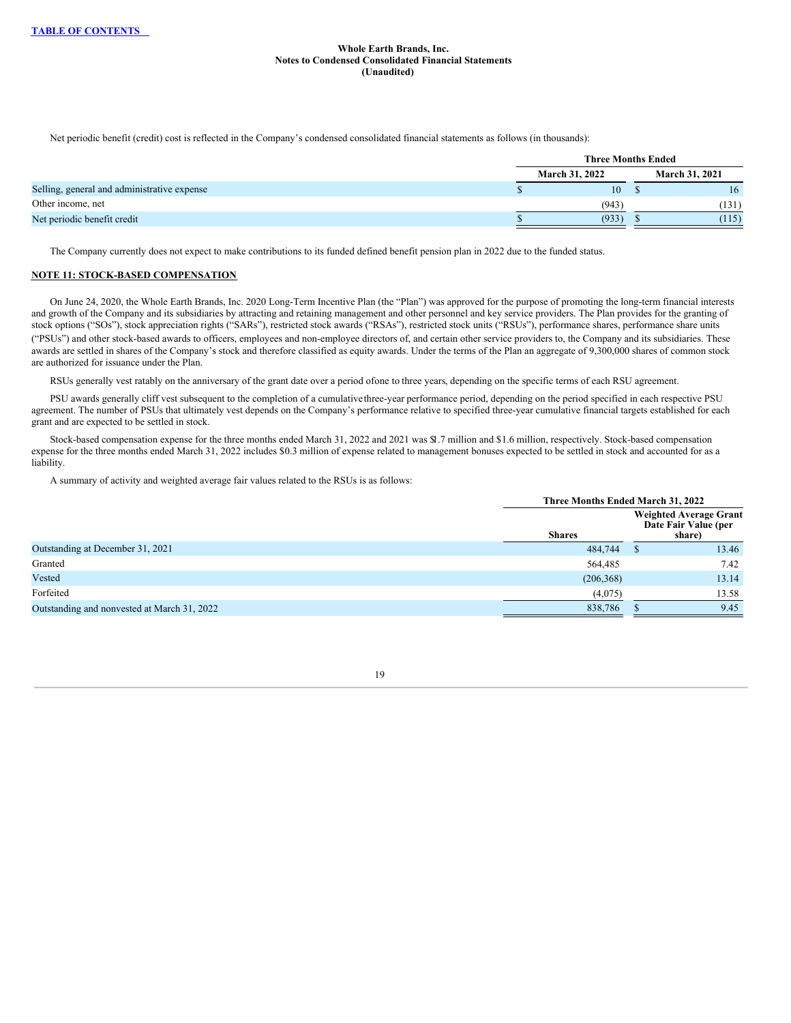Net periodic benefit (credit) cost is reflected in the Company's condensed consolidated financial statements as follows (in thousands):

|                                             | <b>Three Months Ended</b> |  |                       |  |
|---------------------------------------------|---------------------------|--|-----------------------|--|
|                                             | <b>March 31, 2022</b>     |  | <b>March 31, 2021</b> |  |
| Selling, general and administrative expense | 10                        |  | 16                    |  |
| Other income, net                           | (943)                     |  | (131)                 |  |
| Net periodic benefit credit                 | (933)                     |  | (115)                 |  |
|                                             |                           |  |                       |  |

The Company currently does not expect to make contributions to its funded defined benefit pension plan in 2022 due to the funded status.

### <span id="page-18-0"></span>**NOTE 11: STOCK-BASED COMPENSATION**

On June 24, 2020, the Whole Earth Brands, Inc. 2020 Long-Term Incentive Plan (the "Plan") was approved for the purpose of promoting the long-term financial interests and growth of the Company and its subsidiaries by attracting and retaining management and other personnel and key service providers. The Plan provides for the granting of stock options ("SOs"), stock appreciation rights ("SARs"), restricted stock awards ("RSAs"), restricted stock units ("RSUs"), performance shares, performance share units ("PSUs") and other stock-based awards to officers, employees and non-employee directors of, and certain other service providers to, the Company and its subsidiaries. These awards are settled in shares of the Company's stock and therefore classified as equity awards. Under the terms of the Plan an aggregate of 9,300,000 shares of common stock are authorized for issuance under the Plan.

RSUs generally vest ratably on the anniversary of the grant date over a period ofone to three years, depending on the specific terms of each RSU agreement.

PSU awards generally cliff vest subsequent to the completion of a cumulativethree-year performance period, depending on the period specified in each respective PSU agreement. The number of PSUs that ultimately vest depends on the Company's performance relative to specified three-year cumulative financial targets established for each grant and are expected to be settled in stock.

Stock-based compensation expense for the three months ended March 31, 2022 and 2021 was \$1.7 million and \$1.6 million, respectively. Stock-based compensation expense for the three months ended March 31, 2022 includes \$0.3 million of expense related to management bonuses expected to be settled in stock and accounted for as a liability.

A summary of activity and weighted average fair values related to the RSUs is as follows:

|                                             | Three Months Ended March 31, 2022 |                                                                 |  |  |
|---------------------------------------------|-----------------------------------|-----------------------------------------------------------------|--|--|
|                                             | <b>Shares</b>                     | <b>Weighted Average Grant</b><br>Date Fair Value (per<br>share) |  |  |
| Outstanding at December 31, 2021            | 484,744                           | 13.46<br><b>S</b>                                               |  |  |
| Granted                                     | 564,485                           | 7.42                                                            |  |  |
| Vested                                      | (206, 368)                        | 13.14                                                           |  |  |
| Forfeited                                   | (4,075)                           | 13.58                                                           |  |  |
| Outstanding and nonvested at March 31, 2022 | 838,786                           | 9.45                                                            |  |  |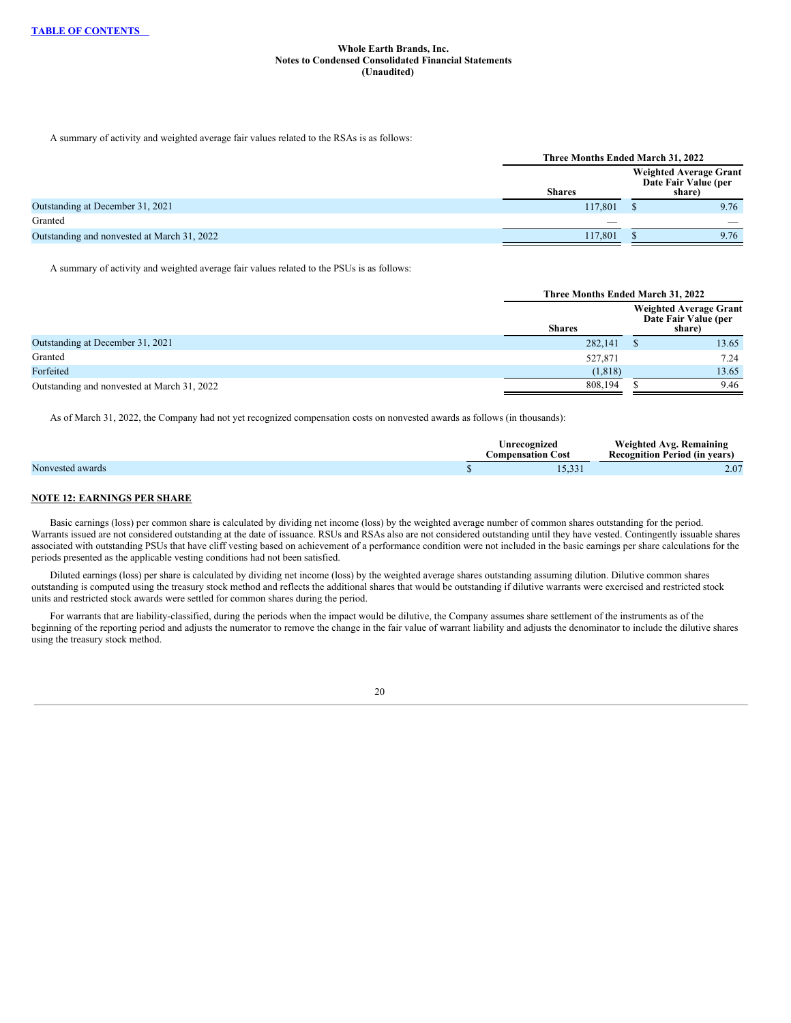A summary of activity and weighted average fair values related to the RSAs is as follows:

|                                             | Three Months Ended March 31, 2022 |                                                                 |
|---------------------------------------------|-----------------------------------|-----------------------------------------------------------------|
|                                             | <b>Shares</b>                     | <b>Weighted Average Grant</b><br>Date Fair Value (per<br>share) |
| Outstanding at December 31, 2021            | 117,801                           | 9.76                                                            |
| Granted                                     |                                   |                                                                 |
| Outstanding and nonvested at March 31, 2022 | 117,801                           | 9.76                                                            |

A summary of activity and weighted average fair values related to the PSUs is as follows:

|                                             |               | Three Months Ended March 31, 2022                               |  |  |  |
|---------------------------------------------|---------------|-----------------------------------------------------------------|--|--|--|
|                                             | <b>Shares</b> | <b>Weighted Average Grant</b><br>Date Fair Value (per<br>share) |  |  |  |
| Outstanding at December 31, 2021            | 282,141       | 13.65                                                           |  |  |  |
| Granted                                     | 527,871       | 7.24                                                            |  |  |  |
| Forfeited                                   | (1,818)       | 13.65                                                           |  |  |  |
| Outstanding and nonvested at March 31, 2022 | 808.194       | 9.46                                                            |  |  |  |

As of March 31, 2022, the Company had not yet recognized compensation costs on nonvested awards as follows (in thousands):

|                  | Unrecognized<br>Compensation Cost | Weighted Avg.<br><b>Remaining</b><br><b>Recognition Period (in years)</b> |
|------------------|-----------------------------------|---------------------------------------------------------------------------|
| Nonvested awards | . J.JJI                           | 2.07                                                                      |

## <span id="page-19-0"></span>**NOTE 12: EARNINGS PER SHARE**

Basic earnings (loss) per common share is calculated by dividing net income (loss) by the weighted average number of common shares outstanding for the period. Warrants issued are not considered outstanding at the date of issuance. RSUs and RSAs also are not considered outstanding until they have vested. Contingently issuable shares associated with outstanding PSUs that have cliff vesting based on achievement of a performance condition were not included in the basic earnings per share calculations for the periods presented as the applicable vesting conditions had not been satisfied.

Diluted earnings (loss) per share is calculated by dividing net income (loss) by the weighted average shares outstanding assuming dilution. Dilutive common shares outstanding is computed using the treasury stock method and reflects the additional shares that would be outstanding if dilutive warrants were exercised and restricted stock units and restricted stock awards were settled for common shares during the period.

For warrants that are liability-classified, during the periods when the impact would be dilutive, the Company assumes share settlement of the instruments as of the beginning of the reporting period and adjusts the numerator to remove the change in the fair value of warrant liability and adjusts the denominator to include the dilutive shares using the treasury stock method.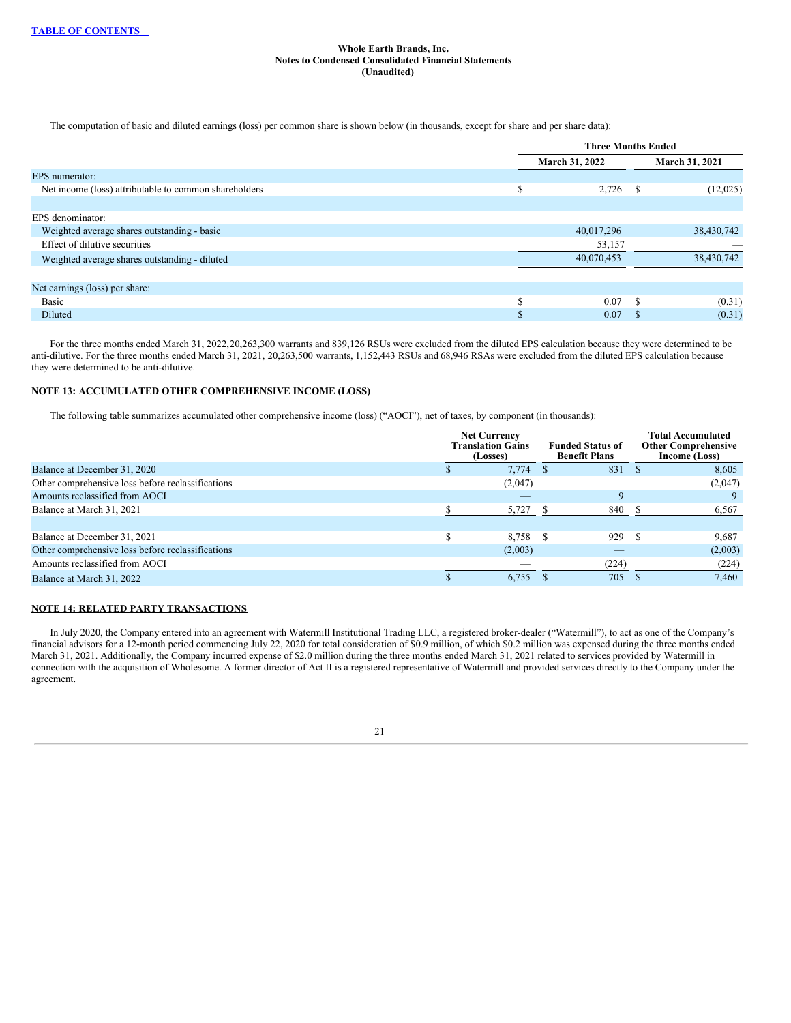The computation of basic and diluted earnings (loss) per common share is shown below (in thousands, except for share and per share data):

|                                                       |        | <b>Three Months Ended</b> |          |                |
|-------------------------------------------------------|--------|---------------------------|----------|----------------|
|                                                       |        | March 31, 2022            |          | March 31, 2021 |
| EPS numerator:                                        |        |                           |          |                |
| Net income (loss) attributable to common shareholders | ጦ<br>ъ | 2,726                     | S        | (12,025)       |
|                                                       |        |                           |          |                |
| EPS denominator:                                      |        |                           |          |                |
| Weighted average shares outstanding - basic           |        | 40,017,296                |          | 38,430,742     |
| Effect of dilutive securities                         |        | 53,157                    |          |                |
| Weighted average shares outstanding - diluted         |        | 40,070,453                |          | 38,430,742     |
|                                                       |        |                           |          |                |
| Net earnings (loss) per share:                        |        |                           |          |                |
| Basic                                                 | ሖ      | 0.07                      | <b>S</b> | (0.31)         |
| Diluted                                               |        | 0.07                      | <b>S</b> | (0.31)         |

For the three months ended March 31, 2022,20,263,300 warrants and 839,126 RSUs were excluded from the diluted EPS calculation because they were determined to be anti-dilutive. For the three months ended March 31, 2021, 20,263,500 warrants, 1,152,443 RSUs and 68,946 RSAs were excluded from the diluted EPS calculation because they were determined to be anti-dilutive.

## <span id="page-20-0"></span>**NOTE 13: ACCUMULATED OTHER COMPREHENSIVE INCOME (LOSS)**

The following table summarizes accumulated other comprehensive income (loss) ("AOCI"), net of taxes, by component (in thousands):

|                                                   | <b>Net Currency</b><br><b>Translation Gains</b><br>(Losses) | <b>Funded Status of</b><br><b>Benefit Plans</b> | <b>Total Accumulated</b><br><b>Other Comprehensive</b><br>Income (Loss) |
|---------------------------------------------------|-------------------------------------------------------------|-------------------------------------------------|-------------------------------------------------------------------------|
| Balance at December 31, 2020                      | $7,774$ \$                                                  | 831                                             | 8,605                                                                   |
| Other comprehensive loss before reclassifications | (2,047)                                                     |                                                 | (2,047)                                                                 |
| Amounts reclassified from AOCI                    |                                                             |                                                 |                                                                         |
| Balance at March 31, 2021                         | 5,727                                                       | 840                                             | 6,567                                                                   |
|                                                   |                                                             |                                                 |                                                                         |
| Balance at December 31, 2021                      | 8,758 \$                                                    | 929                                             | 9,687                                                                   |
| Other comprehensive loss before reclassifications | (2,003)                                                     |                                                 | (2,003)                                                                 |
| Amounts reclassified from AOCI                    |                                                             | (224)                                           | (224)                                                                   |
| Balance at March 31, 2022                         | 6,755                                                       | 705                                             | 7,460                                                                   |

### <span id="page-20-1"></span>**NOTE 14: RELATED PARTY TRANSACTIONS**

In July 2020, the Company entered into an agreement with Watermill Institutional Trading LLC, a registered broker-dealer ("Watermill"), to act as one of the Company's financial advisors for a 12-month period commencing July 22, 2020 for total consideration of \$0.9 million, of which \$0.2 million was expensed during the three months ended March 31, 2021. Additionally, the Company incurred expense of \$2.0 million during the three months ended March 31, 2021 related to services provided by Watermill in connection with the acquisition of Wholesome. A former director of Act II is a registered representative of Watermill and provided services directly to the Company under the agreement.

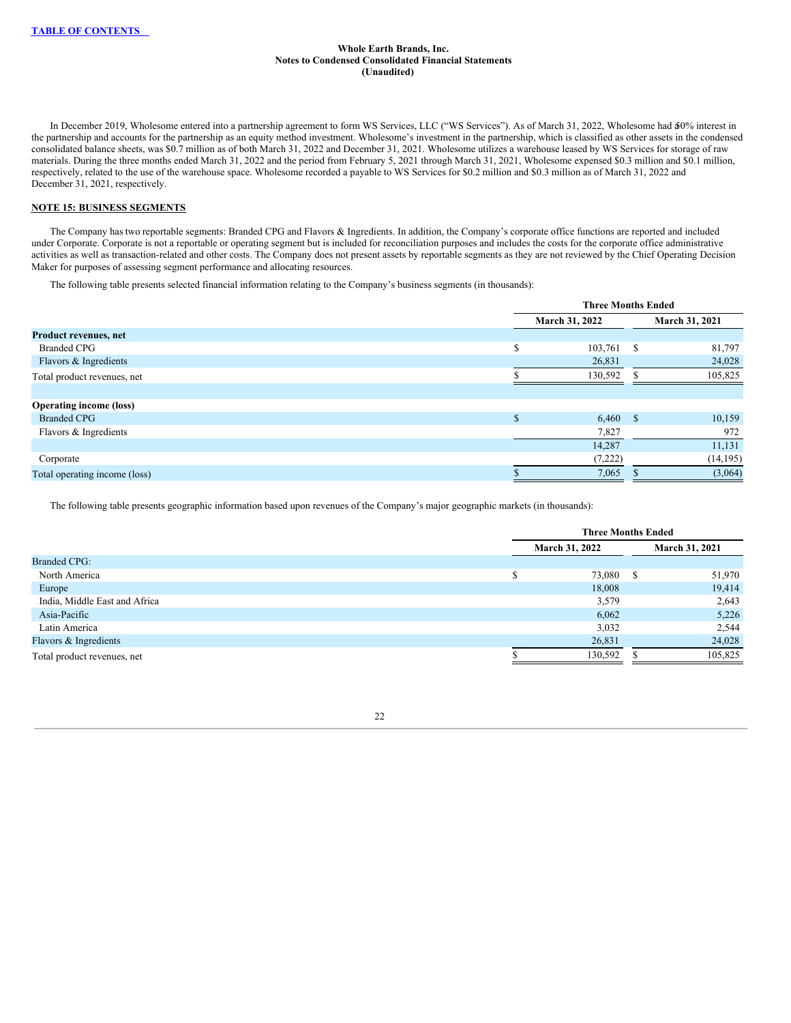In December 2019, Wholesome entered into a partnership agreement to form WS Services, LLC ("WS Services"). As of March 31, 2022, Wholesome had  $50\%$  interest in the partnership and accounts for the partnership as an equity method investment. Wholesome's investment in the partnership, which is classified as other assets in the condensed consolidated balance sheets, was \$0.7 million as of both March 31, 2022 and December 31, 2021. Wholesome utilizes a warehouse leased by WS Services for storage of raw materials. During the three months ended March 31, 2022 and the period from February 5, 2021 through March 31, 2021, Wholesome expensed \$0.3 million and \$0.1 million, respectively, related to the use of the warehouse space. Wholesome recorded a payable to WS Services for \$0.2 million and \$0.3 million as of March 31, 2022 and December 31, 2021, respectively.

## <span id="page-21-1"></span>**NOTE 15: BUSINESS SEGMENTS**

The Company hastwo reportable segments: Branded CPG and Flavors & Ingredients. In addition, the Company's corporate office functions are reported and included under Corporate. Corporate is not a reportable or operating segment but is included for reconciliation purposes and includes the costs for the corporate office administrative activities as well as transaction-related and other costs. The Company does not present assets by reportable segments as they are not reviewed by the Chief Operating Decision Maker for purposes of assessing segment performance and allocating resources.

The following table presents selected financial information relating to the Company's business segments (in thousands):

|                                | <b>Three Months Ended</b> |         |               |                |
|--------------------------------|---------------------------|---------|---------------|----------------|
|                                | March 31, 2022            |         |               | March 31, 2021 |
| Product revenues, net          |                           |         |               |                |
| <b>Branded CPG</b>             | S                         | 103,761 | S             | 81,797         |
| Flavors & Ingredients          |                           | 26,831  |               | 24,028         |
| Total product revenues, net    |                           | 130,592 |               | 105,825        |
|                                |                           |         |               |                |
| <b>Operating income (loss)</b> |                           |         |               |                |
| <b>Branded CPG</b>             |                           | 6,460   | <sup>\$</sup> | 10,159         |
| Flavors & Ingredients          |                           | 7,827   |               | 972            |
|                                |                           | 14,287  |               | 11,131         |
| Corporate                      |                           | (7,222) |               | (14, 195)      |
| Total operating income (loss)  |                           | 7,065   |               | (3,064)        |

The following table presents geographic information based upon revenues of the Company's major geographic markets (in thousands):

<span id="page-21-0"></span>

|                               | <b>Three Months Ended</b> |   |                |  |
|-------------------------------|---------------------------|---|----------------|--|
|                               | <b>March 31, 2022</b>     |   | March 31, 2021 |  |
| <b>Branded CPG:</b>           |                           |   |                |  |
| North America                 | 73,080                    | S | 51,970         |  |
| Europe                        | 18,008                    |   | 19,414         |  |
| India, Middle East and Africa | 3,579                     |   | 2,643          |  |
| Asia-Pacific                  | 6,062                     |   | 5,226          |  |
| Latin America                 | 3,032                     |   | 2,544          |  |
| Flavors & Ingredients         | 26,831                    |   | 24,028         |  |
| Total product revenues, net   | 130,592                   |   | 105,825        |  |

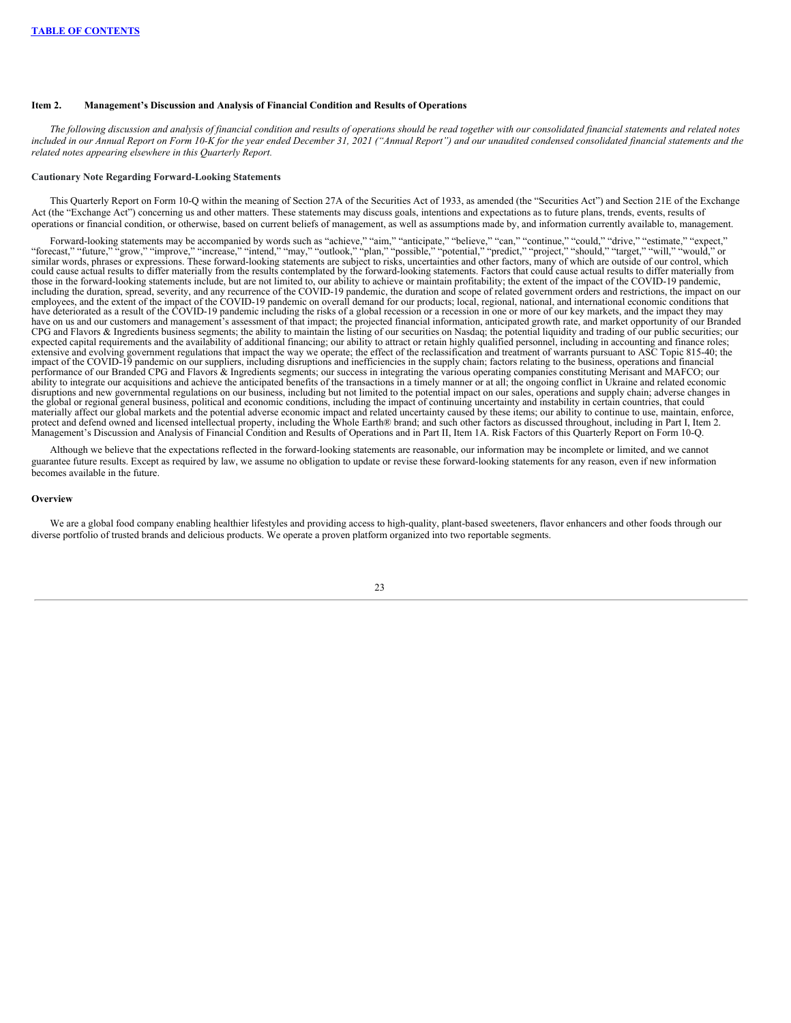### **Item 2. Management's Discussion and Analysis of Financial Condition and Results of Operations**

The following discussion and analysis of financial condition and results of operations should be read together with our consolidated financial statements and related notes included in our Annual Report on Form 10-K for the year ended December 31, 2021 ("Annual Report") and our unaudited condensed consolidated financial statements and the *related notes appearing elsewhere in this Quarterly Report.*

#### **Cautionary Note Regarding Forward-Looking Statements**

This Quarterly Report on Form 10-Q within the meaning of Section 27A of the Securities Act of 1933, as amended (the "Securities Act") and Section 21E of the Exchange Act (the "Exchange Act") concerning us and other matters. These statements may discuss goals, intentions and expectations as to future plans, trends, events, results of operations or financial condition, or otherwise, based on current beliefs of management, as well as assumptions made by, and information currently available to, management.

Forward-looking statements may be accompanied by words such as "achieve," "aim," "anticipate," "believe," "can," "continue," "could," "drive," "estimate," "expect,"<br>"forecast," "future," "grow," "improve," "increase," "int could cause actual results to differ materially from the results contemplated by the forward-looking statements. Factors that could cause actual results to differ materially from those in the forward-looking statements include, but are not limited to, our ability to achieve or maintain profitability; the extent of the impact of the COVID-19 pandemic, including the duration, spread, severity, and an employees, and the extent of the impact of the COVID-19 pandemic on overall demand for our products; local, regional, national, and international economic conditions that have deteriorated as a result of the COVID-19 pandemic including the risks of a global recession or a recession in one or more of our key markets, and the impact they may have on us and our customers and management's assessment of that impact; the projected financial information, anticipated growth rate, and market opportunity of our Branded CPG and Flavors & Ingredients business segments; the ability to maintain the listing of our securities on Nasdaq; the potential liquidity and trading of our public securities; our expected capital requirements and the availability of additional financing; our ability to attract or retain highly qualified personnel, including in accounting and finance roles; extensive and evolving government regulations that impact the way we operate; the effect of the reclassification and treatment of warrants pursuant to ASC Topic 815-40; the impact of the COVID-19 pandemic on our suppliers, performance of our Branded CPG and Flavors & Ingredients segments; our success in integrating the various operating companies constituting Merisant and MAFCO; our ability to integrate our acquisitions and achieve the antic disruptions and new governmental regulations on our business, including but not limited to the potential impact on our sales, operations and supply chain; adverse changes in the global or regional general business, political and economic conditions, including the impact of continuing uncertainty and instability in certain countries, that could materially affect our global markets and the poten protect and defend owned and licensed intellectual property, including the Whole Earth® brand; and such other factors as discussed throughout, including in Part I, Item 2.<br>Management's Discussion and Analysis of Financial

Although we believe that the expectations reflected in the forward-looking statements are reasonable, our information may be incomplete or limited, and we cannot guarantee future results. Except as required by law, we assume no obligation to update or revise these forward-looking statements for any reason, even if new information becomes available in the future.

#### **Overview**

We are a global food company enabling healthier lifestyles and providing access to high-quality, plant-based sweeteners, flavor enhancers and other foods through our diverse portfolio of trusted brands and delicious products. We operate a proven platform organized into two reportable segments.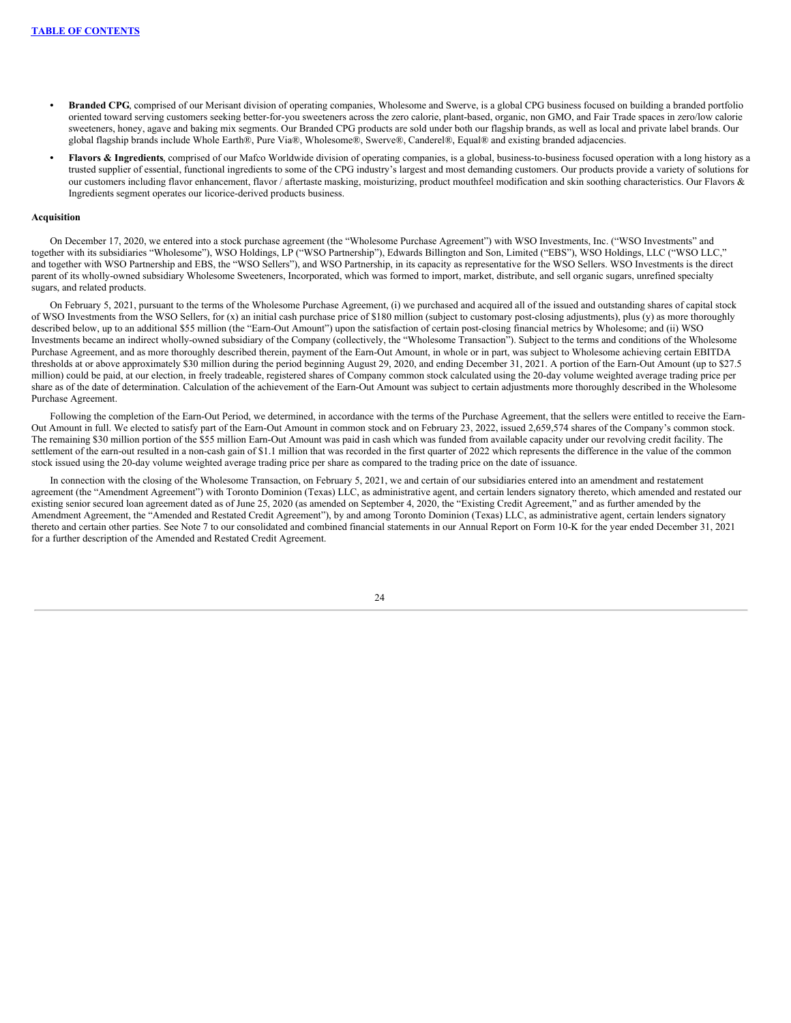- **• Branded CPG**, comprised of our Merisant division of operating companies, Wholesome and Swerve, is a global CPG business focused on building a branded portfolio oriented toward serving customers seeking better-for-you sweeteners across the zero calorie, plant-based, organic, non GMO, and Fair Trade spaces in zero/low calorie sweeteners, honey, agave and baking mix segments. Our Branded CPG products are sold under both our flagship brands, as well as local and private label brands. Our global flagship brands include Whole Earth®, Pure Via®, Wholesome®, Swerve®, Canderel®, Equal® and existing branded adjacencies.
- **• Flavors & Ingredients**, comprised of our Mafco Worldwide division of operating companies, is a global, business-to-business focused operation with a long history as a trusted supplier of essential, functional ingredients to some of the CPG industry's largest and most demanding customers. Our products provide a variety of solutions for our customers including flavor enhancement, flavor / aftertaste masking, moisturizing, product mouthfeel modification and skin soothing characteristics. Our Flavors & Ingredients segment operates our licorice-derived products business.

#### **Acquisition**

On December 17, 2020, we entered into a stock purchase agreement (the "Wholesome Purchase Agreement") with WSO Investments, Inc. ("WSO Investments" and together with its subsidiaries "Wholesome"), WSO Holdings, LP ("WSO Partnership"), Edwards Billington and Son, Limited ("EBS"), WSO Holdings, LLC ("WSO LLC," and together with WSO Partnership and EBS, the "WSO Sellers"), and WSO Partnership, in its capacity as representative for the WSO Sellers. WSO Investments is the direct parent of its wholly-owned subsidiary Wholesome Sweeteners, Incorporated, which was formed to import, market, distribute, and sell organic sugars, unrefined specialty sugars, and related products.

On February 5, 2021, pursuant to the terms of the Wholesome Purchase Agreement, (i) we purchased and acquired all of the issued and outstanding shares of capital stock of WSO Investments from the WSO Sellers, for (x) an initial cash purchase price of \$180 million (subject to customary post-closing adjustments), plus (y) as more thoroughly described below, up to an additional \$55 million (the "Earn-Out Amount") upon the satisfaction of certain post-closing financial metrics by Wholesome; and (ii) WSO Investments became an indirect wholly-owned subsidiary of the Company (collectively, the "Wholesome Transaction"). Subject to the terms and conditions of the Wholesome Purchase Agreement, and as more thoroughly described therein, payment of the Earn-Out Amount, in whole or in part, was subject to Wholesome achieving certain EBITDA thresholds at or above approximately \$30 million during the period beginning August 29, 2020, and ending December 31, 2021. A portion of the Earn-Out Amount (up to \$27.5 million) could be paid, at our election, in freely tradeable, registered shares of Company common stock calculated using the 20-day volume weighted average trading price per share as of the date of determination. Calculation of the achievement of the Earn-Out Amount was subject to certain adjustments more thoroughly described in the Wholesome Purchase Agreement.

Following the completion of the Earn-Out Period, we determined, in accordance with the terms of the Purchase Agreement, that the sellers were entitled to receive the Earn-Out Amount in full. We elected to satisfy part of the Earn-Out Amount in common stock and on February 23, 2022, issued 2,659,574 shares of the Company's common stock. The remaining \$30 million portion of the \$55 million Earn-Out Amount was paid in cash which was funded from available capacity under our revolving credit facility. The settlement of the earn-out resulted in a non-cash gain of \$1.1 million that was recorded in the first quarter of 2022 which represents the difference in the value of the common stock issued using the 20-day volume weighted average trading price per share as compared to the trading price on the date of issuance.

In connection with the closing of the Wholesome Transaction, on February 5, 2021, we and certain of our subsidiaries entered into an amendment and restatement agreement (the "Amendment Agreement") with Toronto Dominion (Texas) LLC, as administrative agent, and certain lenders signatory thereto, which amended and restated our existing senior secured loan agreement dated as of June 25, 2020 (as amended on September 4, 2020, the "Existing Credit Agreement," and as further amended by the Amendment Agreement, the "Amended and Restated Credit Agreement"), by and among Toronto Dominion (Texas) LLC, as administrative agent, certain lenders signatory thereto and certain other parties. See Note 7 to our consolidated and combined financial statements in our Annual Report on Form 10-K for the year ended December 31, 2021 for a further description of the Amended and Restated Credit Agreement.

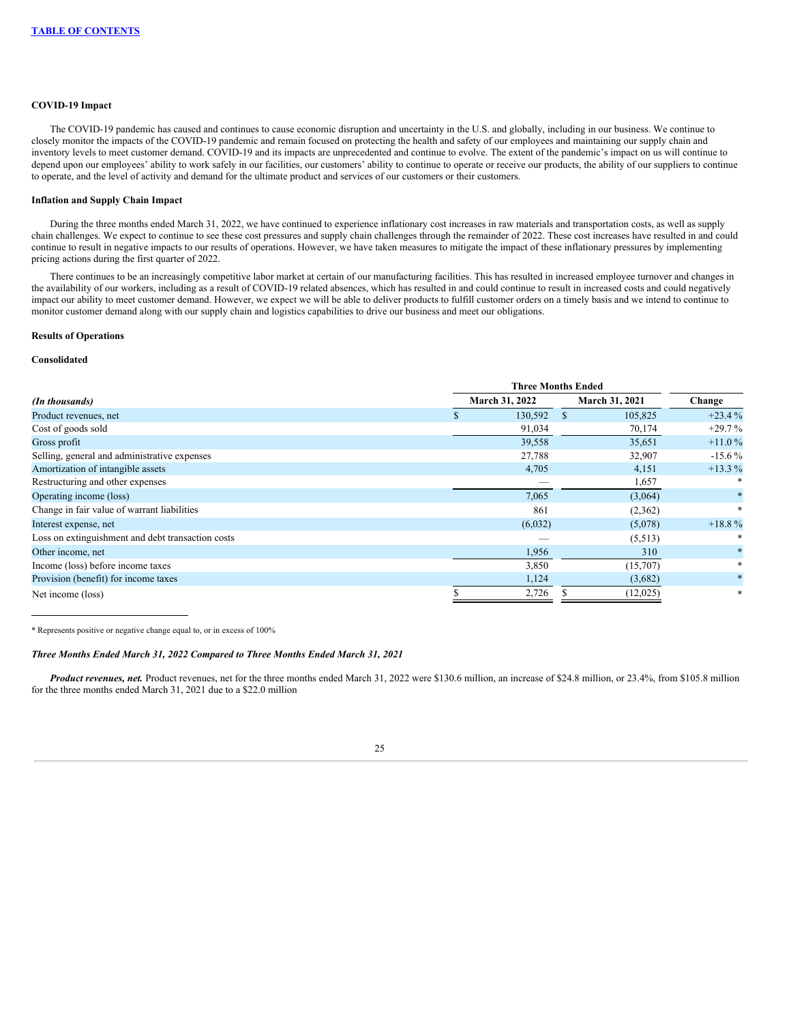### **COVID-19 Impact**

The COVID-19 pandemic has caused and continues to cause economic disruption and uncertainty in the U.S. and globally, including in our business. We continue to closely monitor the impacts of the COVID-19 pandemic and remain focused on protecting the health and safety of our employees and maintaining our supply chain and inventory levels to meet customer demand. COVID-19 and its impacts are unprecedented and continue to evolve. The extent of the pandemic's impact on us will continue to depend upon our employees' ability to work safely in our facilities, our customers' ability to continue to operate or receive our products, the ability of our suppliers to continue to operate, and the level of activity and demand for the ultimate product and services of our customers or their customers.

## **Inflation and Supply Chain Impact**

During the three months ended March 31, 2022, we have continued to experience inflationary cost increases in raw materials and transportation costs, as well as supply chain challenges. We expect to continue to see these cost pressures and supply chain challenges through the remainder of 2022. These cost increases have resulted in and could continue to result in negative impacts to our results of operations. However, we have taken measures to mitigate the impact of these inflationary pressures by implementing pricing actions during the first quarter of 2022.

There continues to be an increasingly competitive labor market at certain of our manufacturing facilities. This has resulted in increased employee turnover and changes in the availability of our workers, including as a result of COVID-19 related absences, which has resulted in and could continue to result in increased costs and could negatively impact our ability to meet customer demand. However, we expect we will be able to deliver products to fulfill customer orders on a timely basis and we intend to continue to monitor customer demand along with our supply chain and logistics capabilities to drive our business and meet our obligations.

### **Results of Operations**

## **Consolidated**

| March 31, 2022 | March 31, 2021  | Change                    |  |  |
|----------------|-----------------|---------------------------|--|--|
| 130,592        | 105,825<br>- \$ | $+23.4%$                  |  |  |
| 91,034         | 70,174          | $+29.7%$                  |  |  |
| 39,558         | 35,651          | $+11.0%$                  |  |  |
| 27,788         | 32,907          | $-15.6\%$                 |  |  |
| 4,705          | 4,151           | $+13.3%$                  |  |  |
|                | 1,657           |                           |  |  |
| 7,065          | (3,064)         |                           |  |  |
| 861            | (2,362)         |                           |  |  |
| (6,032)        | (5,078)         | $+18.8%$                  |  |  |
|                | (5,513)         | *                         |  |  |
| 1,956          | 310             |                           |  |  |
| 3,850          | (15,707)        |                           |  |  |
| 1,124          | (3,682)         |                           |  |  |
| 2,726          | (12,025)        | *                         |  |  |
|                |                 | <b>Three Months Ended</b> |  |  |

\* Represents positive or negative change equal to, or in excess of 100%

### *Three Months Ended March 31, 2022 Compared to Three Months Ended March 31, 2021*

*Product revenues, net.* Product revenues, net for the three months ended March 31, 2022 were \$130.6 million, an increase of \$24.8 million, or 23.4%, from \$105.8 million for the three months ended March 31, 2021 due to a \$22.0 million

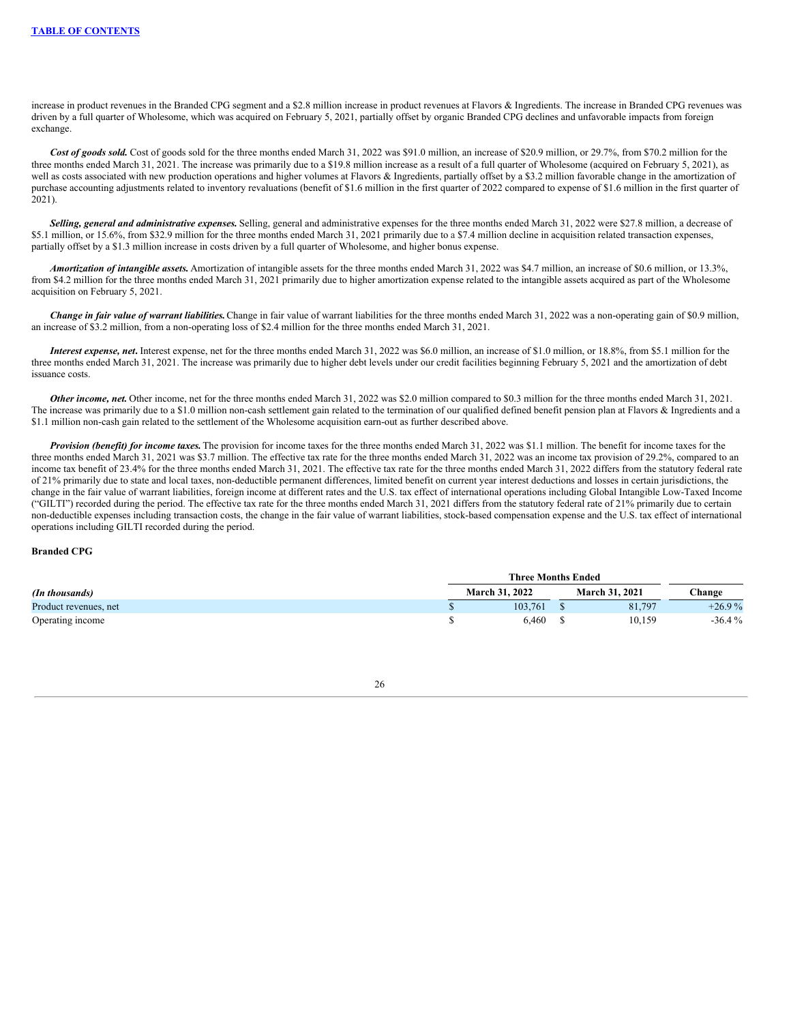increase in product revenues in the Branded CPG segment and a \$2.8 million increase in product revenues at Flavors & Ingredients. The increase in Branded CPG revenues was driven by a full quarter of Wholesome, which was acquired on February 5, 2021, partially offset by organic Branded CPG declines and unfavorable impacts from foreign exchange.

Cost of goods sold. Cost of goods sold for the three months ended March 31, 2022 was \$91.0 million, an increase of \$20.9 million, or 29.7%, from \$70.2 million for the three months ended March 31, 2021. The increase was primarily due to a \$19.8 million increase as a result of a full quarter of Wholesome (acquired on February 5, 2021), as well as costs associated with new production operations and higher volumes at Flavors & Ingredients, partially offset by a \$3.2 million favorable change in the amortization of purchase accounting adjustments related to inventory revaluations (benefit of \$1.6 million in the first quarter of 2022 compared to expense of \$1.6 million in the first quarter of 2021).

*Selling, general and administrative expenses.* Selling, general and administrative expenses for the three months ended March 31, 2022 were \$27.8 million, a decrease of \$5.1 million, or 15.6%, from \$32.9 million for the three months ended March 31, 2021 primarily due to a \$7.4 million decline in acquisition related transaction expenses, partially offset by a \$1.3 million increase in costs driven by a full quarter of Wholesome, and higher bonus expense.

*Amortization of intangible assets.* Amortization of intangible assets for the three months ended March 31, 2022 was \$4.7 million, an increase of \$0.6 million, or 13.3%, from \$4.2 million for the three months ended March 31, 2021 primarily due to higher amortization expense related to the intangible assets acquired as part of the Wholesome acquisition on February 5, 2021.

*Change in fair value of warrant liabilities.*Change in fair value of warrant liabilities for the three months ended March 31, 2022 was a non-operating gain of \$0.9 million, an increase of \$3.2 million, from a non-operating loss of \$2.4 million for the three months ended March 31, 2021.

*Interest expense, net***.** Interest expense, net for the three months ended March 31, 2022 was \$6.0 million, an increase of \$1.0 million, or 18.8%, from \$5.1 million for the three months ended March 31, 2021. The increase was primarily due to higher debt levels under our credit facilities beginning February 5, 2021 and the amortization of debt issuance costs.

*Other income, net.* Other income, net for the three months ended March 31, 2022 was \$2.0 million compared to \$0.3 million for the three months ended March 31, 2021. The increase was primarily due to a \$1.0 million non-cash settlement gain related to the termination of our qualified defined benefit pension plan at Flavors & Ingredients and a \$1.1 million non-cash gain related to the settlement of the Wholesome acquisition earn-out as further described above.

*Provision (benefit) for income taxes.* The provision for income taxes for the three months ended March 31, 2022 was \$1.1 million. The benefit for income taxes for the three months ended March 31, 2021 was \$3.7 million. The effective tax rate for the three months ended March 31, 2022 was an income tax provision of 29.2%, compared to an income tax benefit of 23.4% for the three months ended March 31, 2021. The effective tax rate for the three months ended March 31, 2022 differs from the statutory federal rate of 21% primarily due to state and local taxes, non-deductible permanent differences, limited benefit on current year interest deductions and losses in certain jurisdictions, the change in the fair value of warrant liabilities, foreign income at different rates and the U.S. tax effect of international operations including Global Intangible Low-Taxed Income ("GILTI") recorded during the period. The effective tax rate for the three months ended March 31, 2021 differs from the statutory federal rate of 21% primarily due to certain non-deductible expenses including transaction costs, the change in the fair value of warrant liabilities, stock-based compensation expense and the U.S. tax effect of international operations including GILTI recorded during the period.

#### **Branded CPG**

|                       | <b>Three Months Ended</b> |                |  |                       |           |
|-----------------------|---------------------------|----------------|--|-----------------------|-----------|
| (In thousands)        |                           | March 31, 2022 |  | <b>March 31, 2021</b> | Change    |
| Product revenues, net |                           | 103.761        |  | 81,797                | $+26.9%$  |
| Operating income      |                           | 6.460          |  | 10.159                | $-36.4\%$ |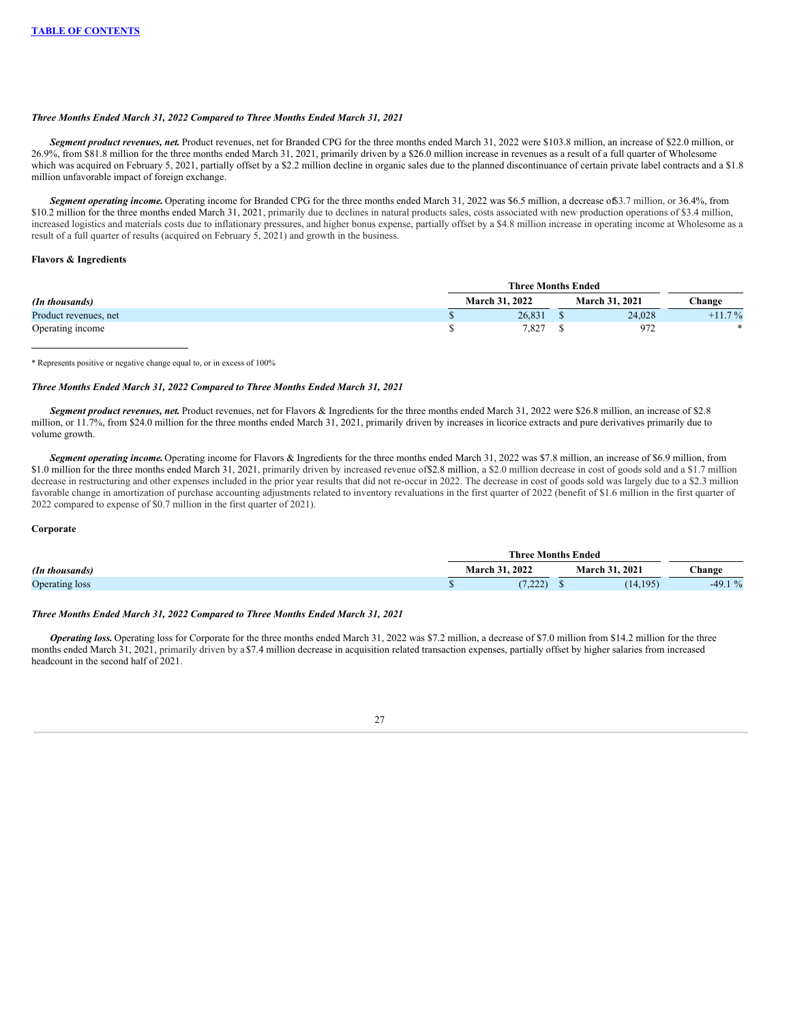#### *Three Months Ended March 31, 2022 Compared to Three Months Ended March 31, 2021*

*Segment product revenues, net.* Product revenues, net for Branded CPG for the three months ended March 31, 2022 were \$103.8 million, an increase of \$22.0 million, or 26.9%, from \$81.8 million for the three months ended March 31, 2021, primarily driven by a \$26.0 million increase in revenues as a result of a full quarter of Wholesome which was acquired on February 5, 2021, partially offset by a \$2.2 million decline in organic sales due to the planned discontinuance of certain private label contracts and a \$1.8 million unfavorable impact of foreign exchange.

*Segment operating income.* Operating income for Branded CPG for the three months ended March 31, 2022 was \$6.5 million, a decrease of\$3.7 million, or 36.4%, from \$10.2 million for the three months ended March 31, 2021, primarily due to declines in natural products sales, costs associated with new production operations of \$3.4 million, increased logistics and materials costs due to inflationary pressures, and higher bonus expense, partially offset by a \$4.8 million increase in operating income at Wholesome as a result of a full quarter of results (acquired on February 5, 2021) and growth in the business.

#### **Flavors & Ingredients**

|                       | <b>Three Months Ended</b> |                       |  |                       |          |
|-----------------------|---------------------------|-----------------------|--|-----------------------|----------|
| (In thousands)        |                           | <b>March 31, 2022</b> |  | <b>March 31, 2021</b> | Change   |
| Product revenues, net |                           | 26.831                |  | 24.028                | $+11.7%$ |
| Operating income      |                           | 7,827                 |  | 972                   |          |

\* Represents positive or negative change equal to, or in excess of 100%

## *Three Months Ended March 31, 2022 Compared to Three Months Ended March 31, 2021*

*Segment product revenues, net.* Product revenues, net for Flavors & Ingredients for the three months ended March 31, 2022 were \$26.8 million, an increase of \$2.8 million, or 11.7%, from \$24.0 million for the three months ended March 31, 2021, primarily driven by increases in licorice extracts and pure derivatives primarily due to volume growth.

*Segment operating income.* Operating income for Flavors & Ingredients for the three months ended March 31, 2022 was \$7.8 million, an increase of \$6.9 million, from \$1.0 million for the three months ended March 31, 2021, primarily driven by increased revenue of\$2.8 million, a \$2.0 million decrease in cost of goods sold and a \$1.7 million decrease in restructuring and other expenses included in the prior year results that did not re-occur in 2022. The decrease in cost of goods sold was largely due to a \$2.3 million favorable change in amortization of purchase accounting adjustments related to inventory revaluations in the first quarter of 2022 (benefit of \$1.6 million in the first quarter of 2022 compared to expense of \$0.7 million in the first quarter of 2021).

#### **Corporate**

|                | <b>Three Months Ended</b> |                       |          |  |  |
|----------------|---------------------------|-----------------------|----------|--|--|
| (In thousands) | 2022<br>March             | March 31.<br>31, 2021 | Change   |  |  |
| Operating loss | 222<br>المستسقين المستحدث | (14.195)              | $-49.1%$ |  |  |

#### *Three Months Ended March 31, 2022 Compared to Three Months Ended March 31, 2021*

*Operating loss.* Operating loss for Corporate for the three months ended March 31, 2022 was \$7.2 million, a decrease of \$7.0 million from \$14.2 million for the three months ended March 31, 2021, primarily driven by a \$7.4 million decrease in acquisition related transaction expenses, partially offset by higher salaries from increased headcount in the second half of 2021.

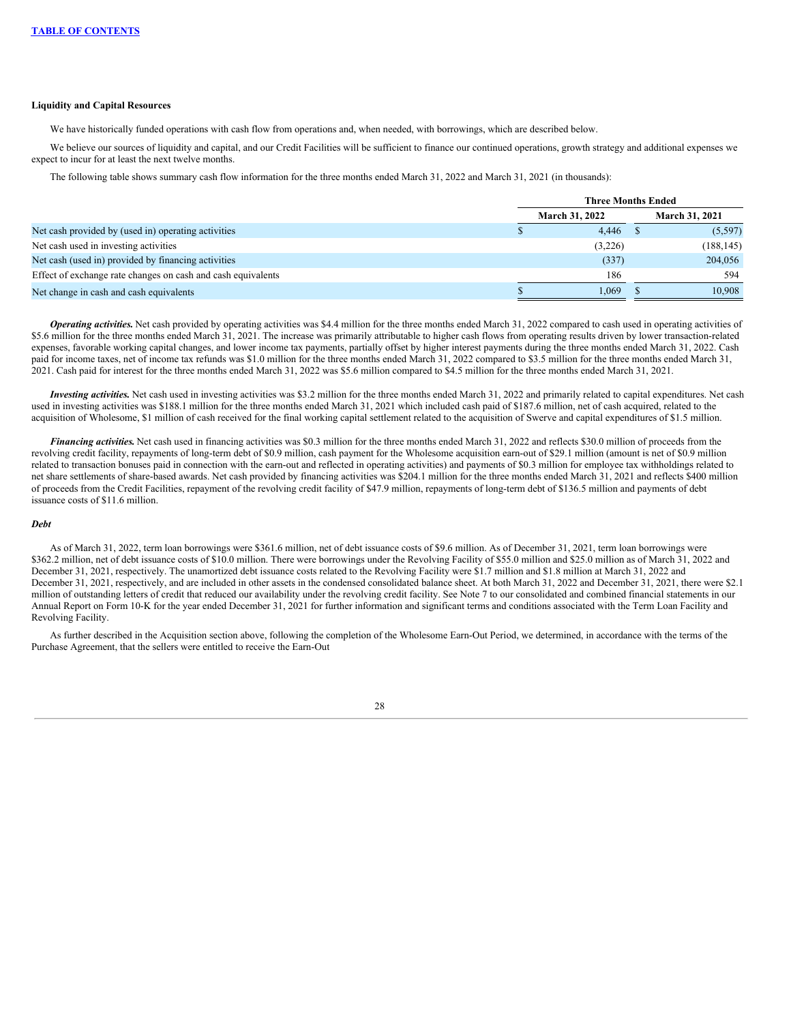### **Liquidity and Capital Resources**

We have historically funded operations with cash flow from operations and, when needed, with borrowings, which are described below.

We believe our sources of liquidity and capital, and our Credit Facilities will be sufficient to finance our continued operations, growth strategy and additional expenses we expect to incur for at least the next twelve months.

The following table shows summary cash flow information for the three months ended March 31, 2022 and March 31, 2021 (in thousands):

|                                                              | <b>Three Months Ended</b> |                       |  |                |
|--------------------------------------------------------------|---------------------------|-----------------------|--|----------------|
|                                                              |                           | <b>March 31, 2022</b> |  | March 31, 2021 |
| Net cash provided by (used in) operating activities          |                           | 4.446                 |  | (5, 597)       |
| Net cash used in investing activities                        |                           | (3,226)               |  | (188, 145)     |
| Net cash (used in) provided by financing activities          |                           | (337)                 |  | 204,056        |
| Effect of exchange rate changes on cash and cash equivalents |                           | 186                   |  | 594            |
| Net change in cash and cash equivalents                      |                           | 1.069                 |  | 10.908         |

*Operating activities.* Net cash provided by operating activities was \$4.4 million for the three months ended March 31, 2022 compared to cash used in operating activities of \$5.6 million for the three months ended March 31, 2021. The increase was primarily attributable to higher cash flows from operating results driven by lower transaction-related expenses, favorable working capital changes, and lower income tax payments, partially offset by higher interest payments during the three months ended March 31, 2022. Cash paid for income taxes, net of income tax refunds was \$1.0 million for the three months ended March 31, 2022 compared to \$3.5 million for the three months ended March 31, 2021. Cash paid for interest for the three months ended March 31, 2022 was \$5.6 million compared to \$4.5 million for the three months ended March 31, 2021.

*Investing activities*. Net cash used in investing activities was \$3.2 million for the three months ended March 31, 2022 and primarily related to capital expenditures. Net cash used in investing activities was \$188.1 million for the three months ended March 31, 2021 which included cash paid of \$187.6 million, net of cash acquired, related to the acquisition of Wholesome, \$1 million of cash received for the final working capital settlement related to the acquisition of Swerve and capital expenditures of \$1.5 million.

Financing activities. Net cash used in financing activities was \$0.3 million for the three months ended March 31, 2022 and reflects \$30.0 million of proceeds from the revolving credit facility, repayments of long-term debt of \$0.9 million, cash payment for the Wholesome acquisition earn-out of \$29.1 million (amount is net of \$0.9 million related to transaction bonuses paid in connection with the earn-out and reflected in operating activities) and payments of \$0.3 million for employee tax withholdings related to net share settlements of share-based awards. Net cash provided by financing activities was \$204.1 million for the three months ended March 31, 2021 and reflects \$400 million of proceeds from the Credit Facilities, repayment of the revolving credit facility of \$47.9 million, repayments of long-term debt of \$136.5 million and payments of debt issuance costs of \$11.6 million.

#### *Debt*

As of March 31, 2022, term loan borrowings were \$361.6 million, net of debt issuance costs of \$9.6 million. As of December 31, 2021, term loan borrowings were \$362.2 million, net of debt issuance costs of \$10.0 million. There were borrowings under the Revolving Facility of \$55.0 million and \$25.0 million as of March 31, 2022 and December 31, 2021, respectively. The unamortized debt issuance costs related to the Revolving Facility were \$1.7 million and \$1.8 million at March 31, 2022 and December 31, 2021, respectively, and are included in other assets in the condensed consolidated balance sheet. At both March 31, 2022 and December 31, 2021, there were \$2.1 million of outstanding letters of credit that reduced our availability under the revolving credit facility. See Note 7 to our consolidated and combined financial statements in our Annual Report on Form 10-K for the year ended December 31, 2021 for further information and significant terms and conditions associated with the Term Loan Facility and Revolving Facility.

As further described in the Acquisition section above, following the completion of the Wholesome Earn-Out Period, we determined, in accordance with the terms of the Purchase Agreement, that the sellers were entitled to receive the Earn-Out

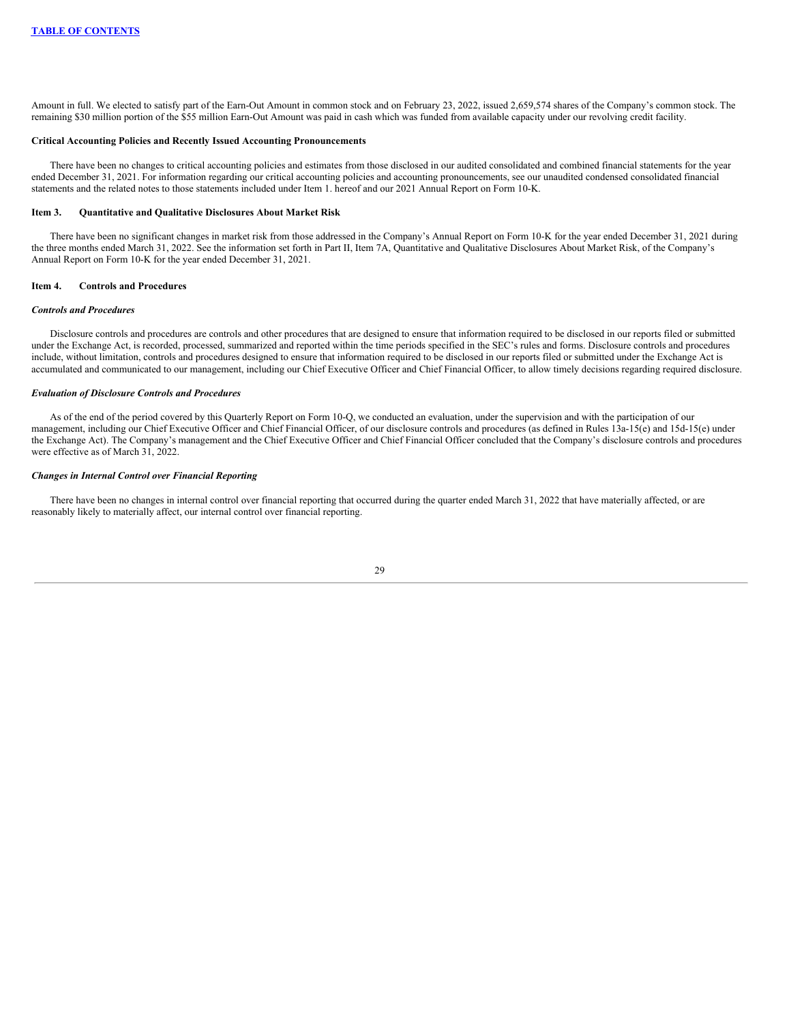Amount in full. We elected to satisfy part of the Earn-Out Amount in common stock and on February 23, 2022, issued 2,659,574 shares of the Company's common stock. The remaining \$30 million portion of the \$55 million Earn-Out Amount was paid in cash which was funded from available capacity under our revolving credit facility.

#### **Critical Accounting Policies and Recently Issued Accounting Pronouncements**

There have been no changes to critical accounting policies and estimates from those disclosed in our audited consolidated and combined financial statements for the year ended December 31, 2021. For information regarding our critical accounting policies and accounting pronouncements, see our unaudited condensed consolidated financial statements and the related notes to those statements included under Item 1. hereof and our 2021 Annual Report on Form 10-K.

#### <span id="page-28-0"></span>**Item 3. Quantitative and Qualitative Disclosures About Market Risk**

There have been no significant changes in market risk from those addressed in the Company's Annual Report on Form 10-K for the year ended December 31, 2021 during the three months ended March 31, 2022. See the information set forth in Part II, Item 7A, Quantitative and Qualitative Disclosures About Market Risk, of the Company's Annual Report on Form 10-K for the year ended December 31, 2021.

### <span id="page-28-1"></span>**Item 4. Controls and Procedures**

#### *Controls and Procedures*

Disclosure controls and procedures are controls and other procedures that are designed to ensure that information required to be disclosed in our reports filed or submitted under the Exchange Act, is recorded, processed, summarized and reported within the time periods specified in the SEC's rules and forms. Disclosure controls and procedures include, without limitation, controls and procedures designed to ensure that information required to be disclosed in our reports filed or submitted under the Exchange Act is accumulated and communicated to our management, including our Chief Executive Officer and Chief Financial Officer, to allow timely decisions regarding required disclosure.

#### *Evaluation of Disclosure Controls and Procedures*

As of the end of the period covered by this Quarterly Report on Form 10-Q, we conducted an evaluation, under the supervision and with the participation of our management, including our Chief Executive Officer and Chief Financial Officer, of our disclosure controls and procedures (as defined in Rules 13a-15(e) and 15d-15(e) under the Exchange Act). The Company's management and the Chief Executive Officer and Chief Financial Officer concluded that the Company's disclosure controls and procedures were effective as of March 31, 2022.

#### *Changes in Internal Control over Financial Reporting*

<span id="page-28-2"></span>There have been no changes in internal control over financial reporting that occurred during the quarter ended March 31, 2022 that have materially affected, or are reasonably likely to materially affect, our internal control over financial reporting.

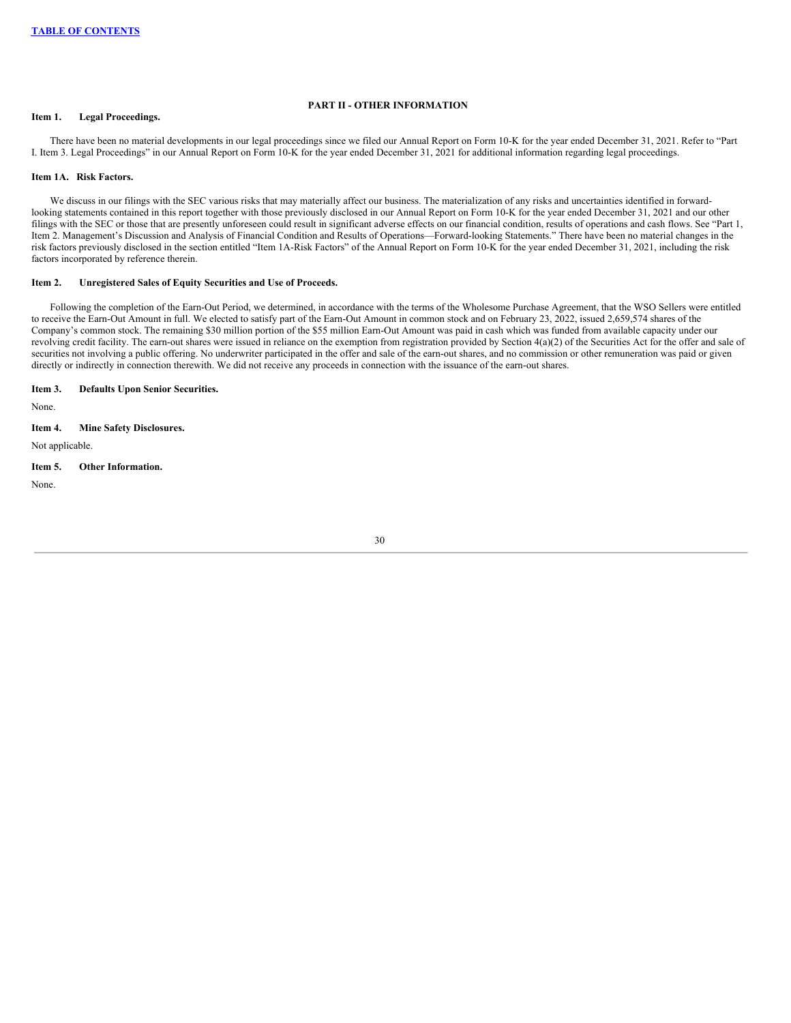### **PART II - OTHER INFORMATION**

### <span id="page-29-0"></span>**Item 1. Legal Proceedings.**

There have been no material developments in our legal proceedings since we filed our Annual Report on Form 10-K for the year ended December 31, 2021. Refer to "Part I. Item 3. Legal Proceedings" in our Annual Report on Form 10-K for the year ended December 31, 2021 for additional information regarding legal proceedings.

### <span id="page-29-1"></span>**Item 1A. Risk Factors.**

We discuss in our filings with the SEC various risks that may materially affect our business. The materialization of any risks and uncertainties identified in forwardlooking statements contained in this report together with those previously disclosed in our Annual Report on Form 10-K for the year ended December 31, 2021 and our other filings with the SEC or those that are presently unforeseen could result in significant adverse effects on our financial condition, results of operations and cash flows. See "Part 1, Item 2. Management's Discussion and Analysis of Financial Condition and Results of Operations—Forward-looking Statements." There have been no material changes in the risk factors previously disclosed in the section entitled "Item 1A-Risk Factors" of the Annual Report on Form 10-K for the year ended December 31, 2021, including the risk factors incorporated by reference therein.

#### <span id="page-29-2"></span>**Item 2. Unregistered Sales of Equity Securities and Use of Proceeds.**

Following the completion of the Earn-Out Period, we determined, in accordance with the terms of the Wholesome Purchase Agreement, that the WSO Sellers were entitled to receive the Earn-Out Amount in full. We elected to satisfy part of the Earn-Out Amount in common stock and on February 23, 2022, issued 2,659,574 shares of the Company's common stock. The remaining \$30 million portion of the \$55 million Earn-Out Amount was paid in cash which was funded from available capacity under our revolving credit facility. The earn-out shares were issued in reliance on the exemption from registration provided by Section 4(a)(2) of the Securities Act for the offer and sale of securities not involving a public offering. No underwriter participated in the offer and sale of the earn-out shares, and no commission or other remuneration was paid or given directly or indirectly in connection therewith. We did not receive any proceeds in connection with the issuance of the earn-out shares.

#### <span id="page-29-3"></span>**Item 3. Defaults Upon Senior Securities.**

None.

### <span id="page-29-4"></span>**Item 4. Mine Safety Disclosures.**

Not applicable.

## <span id="page-29-5"></span>**Item 5. Other Information.**

<span id="page-29-6"></span>None.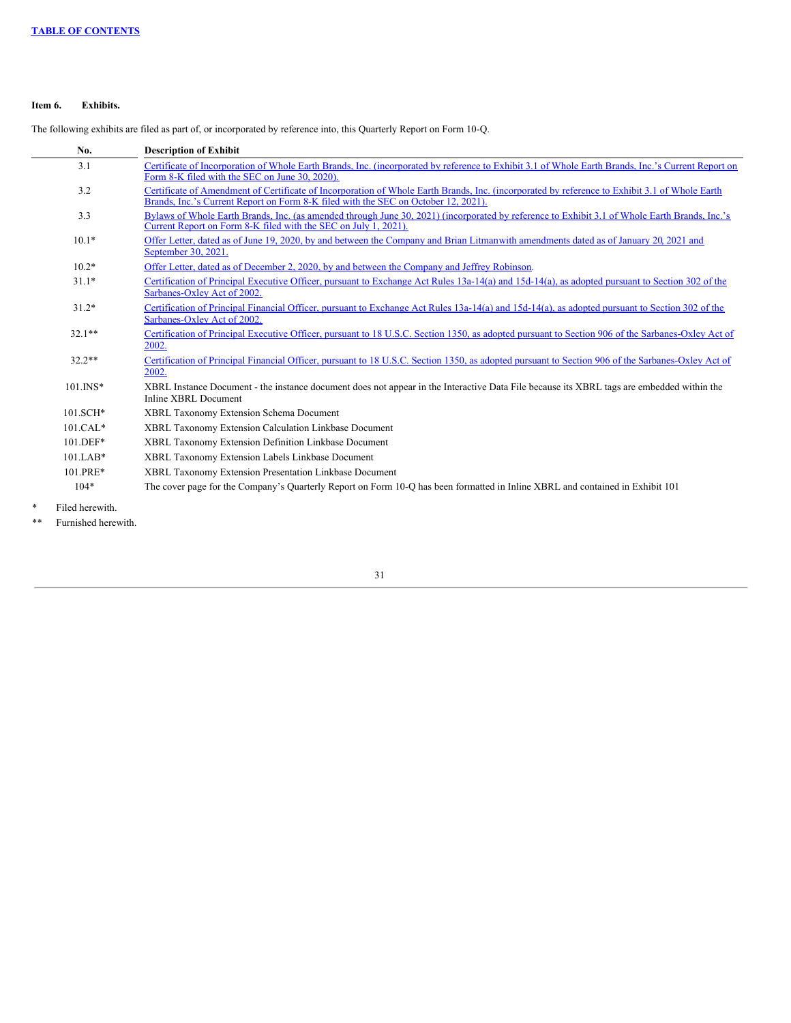## **Item 6. Exhibits.**

| No.          | <b>Description of Exhibit</b>                                                                                                                                                                                                       |
|--------------|-------------------------------------------------------------------------------------------------------------------------------------------------------------------------------------------------------------------------------------|
| 3.1          | Certificate of Incorporation of Whole Earth Brands, Inc. (incorporated by reference to Exhibit 3.1 of Whole Earth Brands, Inc.'s Current Report on<br>Form 8-K filed with the SEC on June 30, 2020).                                |
| 3.2          | Certificate of Amendment of Certificate of Incorporation of Whole Earth Brands, Inc. (incorporated by reference to Exhibit 3.1 of Whole Earth<br>Brands, Inc.'s Current Report on Form 8-K filed with the SEC on October 12, 2021). |
| 3.3          | Bylaws of Whole Earth Brands, Inc. (as amended through June 30, 2021) (incorporated by reference to Exhibit 3.1 of Whole Earth Brands, Inc.'s<br>Current Report on Form 8-K filed with the SEC on July 1, 2021).                    |
| $10.1*$      | Offer Letter, dated as of June 19, 2020, by and between the Company and Brian Litmanwith amendments dated as of January 20, 2021 and<br>September 30, 2021.                                                                         |
| $10.2*$      | Offer Letter, dated as of December 2, 2020, by and between the Company and Jeffrey Robinson.                                                                                                                                        |
| $31.1*$      | Certification of Principal Executive Officer, pursuant to Exchange Act Rules 13a-14(a) and 15d-14(a), as adopted pursuant to Section 302 of the<br>Sarbanes-Oxley Act of 2002.                                                      |
| $31.2*$      | Certification of Principal Financial Officer, pursuant to Exchange Act Rules 13a-14(a) and 15d-14(a), as adopted pursuant to Section 302 of the<br>Sarbanes-Oxley Act of 2002.                                                      |
| $32.1**$     | Certification of Principal Executive Officer, pursuant to 18 U.S.C. Section 1350, as adopted pursuant to Section 906 of the Sarbanes-Oxley Act of<br>2002.                                                                          |
| $32.2**$     | Certification of Principal Financial Officer, pursuant to 18 U.S.C. Section 1350, as adopted pursuant to Section 906 of the Sarbanes-Oxley Act of<br>2002.                                                                          |
| $101$ . INS* | XBRL Instance Document - the instance document does not appear in the Interactive Data File because its XBRL tags are embedded within the<br>Inline XBRL Document                                                                   |
| $101.SCH*$   | XBRL Taxonomy Extension Schema Document                                                                                                                                                                                             |
| $101.CAL*$   | XBRL Taxonomy Extension Calculation Linkbase Document                                                                                                                                                                               |
| $101.$ DEF*  | XBRL Taxonomy Extension Definition Linkbase Document                                                                                                                                                                                |
| $101.LAB*$   | XBRL Taxonomy Extension Labels Linkbase Document                                                                                                                                                                                    |
| 101.PRE*     | XBRL Taxonomy Extension Presentation Linkbase Document                                                                                                                                                                              |
| $104*$       | The cover page for the Company's Quarterly Report on Form 10-Q has been formatted in Inline XBRL and contained in Exhibit 101                                                                                                       |

The following exhibits are filed as part of, or incorporated by reference into, this Quarterly Report on Form 10-Q.

\* Filed herewith.

<span id="page-30-0"></span>\*\* Furnished herewith.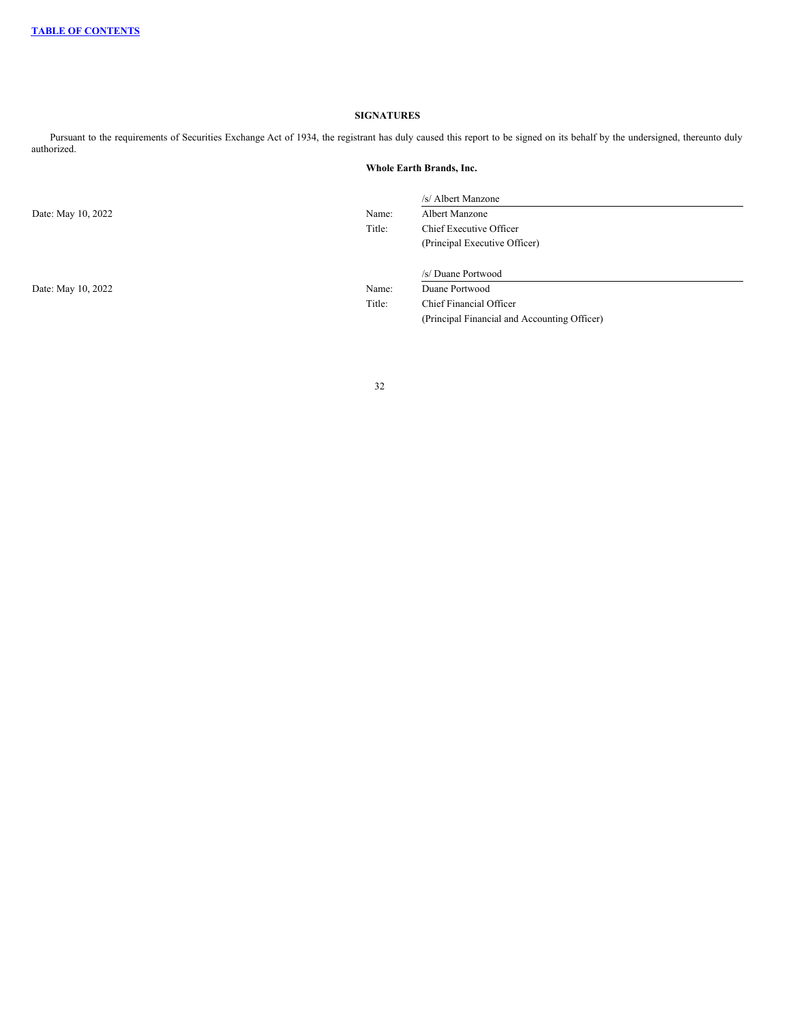## **SIGNATURES**

Pursuant to the requirements of Securities Exchange Act of 1934, the registrant has duly caused this report to be signed on its behalf by the undersigned, thereunto duly authorized.

# **Whole Earth Brands, Inc.**

|                    |        | /s/ Albert Manzone                           |
|--------------------|--------|----------------------------------------------|
| Date: May 10, 2022 | Name:  | Albert Manzone                               |
|                    | Title: | Chief Executive Officer                      |
|                    |        | (Principal Executive Officer)                |
|                    |        |                                              |
|                    |        | /s/ Duane Portwood                           |
| Date: May 10, 2022 | Name:  | Duane Portwood                               |
|                    | Title: | Chief Financial Officer                      |
|                    |        | (Principal Financial and Accounting Officer) |
|                    |        |                                              |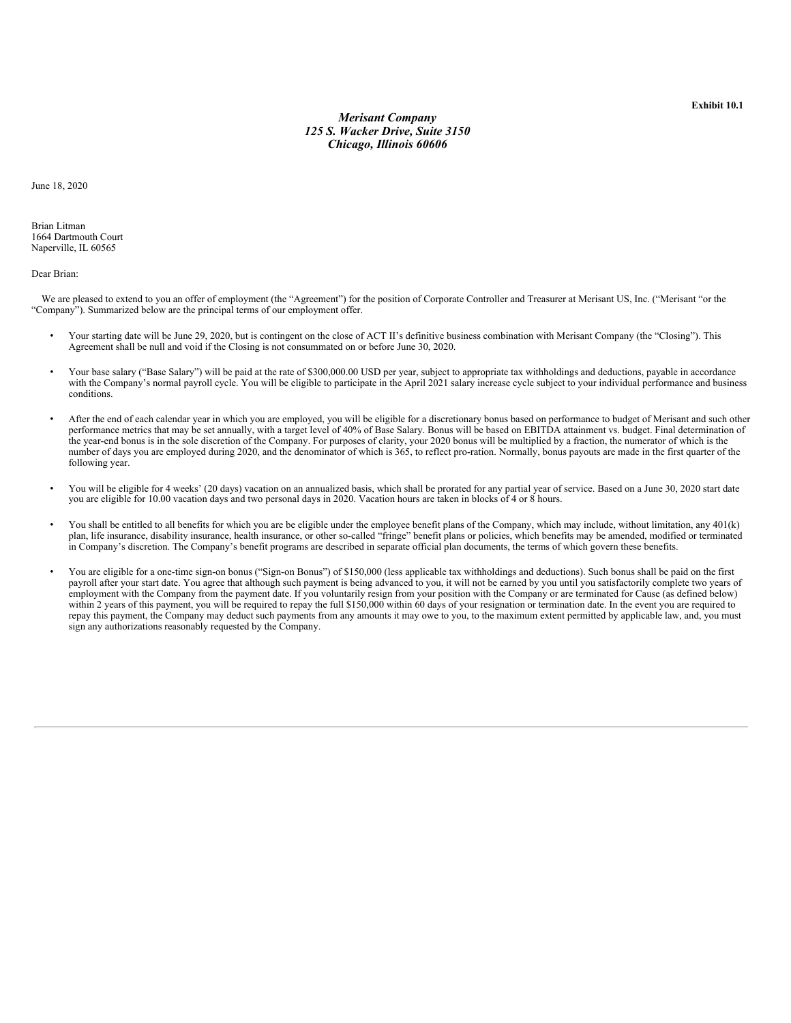**Exhibit 10.1**

*Merisant Company 125 S. Wacker Drive, Suite 3150 Chicago, Illinois 60606*

June 18, 2020

Brian Litman 1664 Dartmouth Court Naperville, IL 60565

Dear Brian:

We are pleased to extend to you an offer of employment (the "Agreement") for the position of Corporate Controller and Treasurer at Merisant US, Inc. ("Merisant "or the "Company"). Summarized below are the principal terms of our employment offer.

- Your starting date will be June 29, 2020, but is contingent on the close of ACT II's definitive business combination with Merisant Company (the "Closing"). This Agreement shall be null and void if the Closing is not consummated on or before June 30, 2020.
- Your base salary ("Base Salary") will be paid at the rate of \$300,000.00 USD per year, subject to appropriate tax withholdings and deductions, payable in accordance with the Company's normal payroll cycle. You will be eligible to participate in the April 2021 salary increase cycle subject to your individual performance and business conditions.
- After the end of each calendar year in which you are employed, you will be eligible for a discretionary bonus based on performance to budget of Merisant and such other performance metrics that may be set annually, with a target level of 40% of Base Salary. Bonus will be based on EBITDA attainment vs. budget. Final determination of the year-end bonus is in the sole discretion of the Company. For purposes of clarity, your 2020 bonus will be multiplied by a fraction, the numerator of which is the number of days you are employed during 2020, and the denominator of which is 365, to reflect pro-ration. Normally, bonus payouts are made in the first quarter of the following year.
- You will be eligible for 4 weeks' (20 days) vacation on an annualized basis, which shall be prorated for any partial year of service. Based on a June 30, 2020 start date you are eligible for 10.00 vacation days and two personal days in 2020. Vacation hours are taken in blocks of 4 or 8 hours.
- You shall be entitled to all benefits for which you are be eligible under the employee benefit plans of the Company, which may include, without limitation, any 401(k) plan, life insurance, disability insurance, health insurance, or other so-called "fringe" benefit plans or policies, which benefits may be amended, modified or terminated in Company's discretion. The Company's benefit programs are described in separate official plan documents, the terms of which govern these benefits.
- You are eligible for a one-time sign-on bonus ("Sign-on Bonus") of \$150,000 (less applicable tax withholdings and deductions). Such bonus shall be paid on the first payroll after your start date. You agree that although such payment is being advanced to you, it will not be earned by you until you satisfactorily complete two years of employment with the Company from the payment date. If you voluntarily resign from your position with the Company or are terminated for Cause (as defined below) within 2 years of this payment, you will be required to repay the full \$150,000 within 60 days of your resignation or termination date. In the event you are required to repay this payment, the Company may deduct such payments from any amounts it may owe to you, to the maximum extent permitted by applicable law, and, you must sign any authorizations reasonably requested by the Company.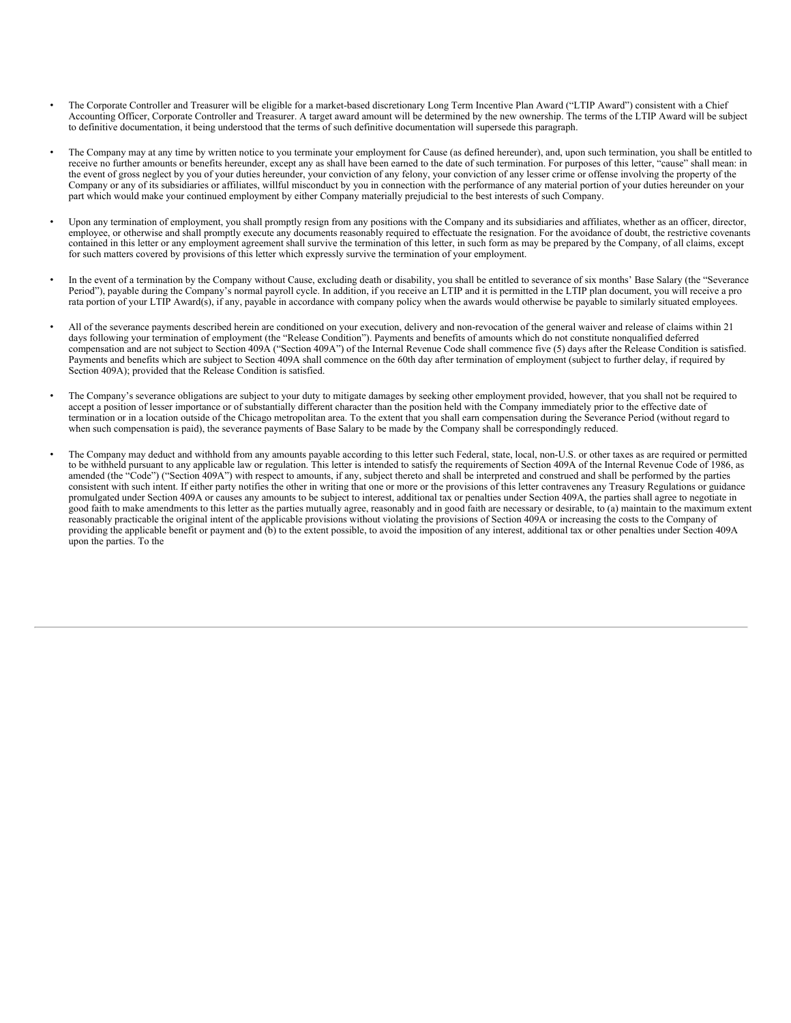- The Corporate Controller and Treasurer will be eligible for a market-based discretionary Long Term Incentive Plan Award ("LTIP Award") consistent with a Chief Accounting Officer, Corporate Controller and Treasurer. A target award amount will be determined by the new ownership. The terms of the LTIP Award will be subject to definitive documentation, it being understood that the terms of such definitive documentation will supersede this paragraph.
- The Company may at any time by written notice to you terminate your employment for Cause (as defined hereunder), and, upon such termination, you shall be entitled to receive no further amounts or benefits hereunder, except any as shall have been earned to the date of such termination. For purposes of this letter, "cause" shall mean: in the event of gross neglect by you of your duties hereunder, your conviction of any felony, your conviction of any lesser crime or offense involving the property of the Company or any of its subsidiaries or affiliates, willful misconduct by you in connection with the performance of any material portion of your duties hereunder on your part which would make your continued employment by either Company materially prejudicial to the best interests of such Company.
- Upon any termination of employment, you shall promptly resign from any positions with the Company and its subsidiaries and affiliates, whether as an officer, director, employee, or otherwise and shall promptly execute any documents reasonably required to effectuate the resignation. For the avoidance of doubt, the restrictive covenants contained in this letter or any employment agreement shall survive the termination of this letter, in such form as may be prepared by the Company, of all claims, except for such matters covered by provisions of this letter which expressly survive the termination of your employment.
- In the event of a termination by the Company without Cause, excluding death or disability, you shall be entitled to severance of six months' Base Salary (the "Severance") Period"), payable during the Company's normal payroll cycle. In addition, if you receive an LTIP and it is permitted in the LTIP plan document, you will receive a pro rata portion of your LTIP Award(s), if any, payable in accordance with company policy when the awards would otherwise be payable to similarly situated employees.
- All of the severance payments described herein are conditioned on your execution, delivery and non-revocation of the general waiver and release of claims within 21 days following your termination of employment (the "Release Condition"). Payments and benefits of amounts which do not constitute nonqualified deferred compensation and are not subject to Section 409A ("Section 409A") of the Internal Revenue Code shall commence five (5) days after the Release Condition is satisfied. Payments and benefits which are subject to Section 409A shall commence on the 60th day after termination of employment (subject to further delay, if required by Section 409A); provided that the Release Condition is satisfied.
- The Company's severance obligations are subject to your duty to mitigate damages by seeking other employment provided, however, that you shall not be required to accept a position of lesser importance or of substantially different character than the position held with the Company immediately prior to the effective date of termination or in a location outside of the Chicago metropolitan area. To the extent that you shall earn compensation during the Severance Period (without regard to when such compensation is paid), the severance payments of Base Salary to be made by the Company shall be correspondingly reduced.
- The Company may deduct and withhold from any amounts payable according to this letter such Federal, state, local, non-U.S. or other taxes as are required or permitted to be withheld pursuant to any applicable law or regulation. This letter is intended to satisfy the requirements of Section 409A of the Internal Revenue Code of 1986, as amended (the "Code") ("Section 409A") with respect to amounts, if any, subject thereto and shall be interpreted and construed and shall be performed by the parties consistent with such intent. If either party notifies the other in writing that one or more or the provisions of this letter contravenes any Treasury Regulations or guidance promulgated under Section 409A or causes any amounts to be subject to interest, additional tax or penalties under Section 409A, the parties shall agree to negotiate in good faith to make amendments to this letter as the parties mutually agree, reasonably and in good faith are necessary or desirable, to (a) maintain to the maximum extent reasonably practicable the original intent of the applicable provisions without violating the provisions of Section 409A or increasing the costs to the Company of providing the applicable benefit or payment and (b) to the extent possible, to avoid the imposition of any interest, additional tax or other penalties under Section 409A upon the parties. To the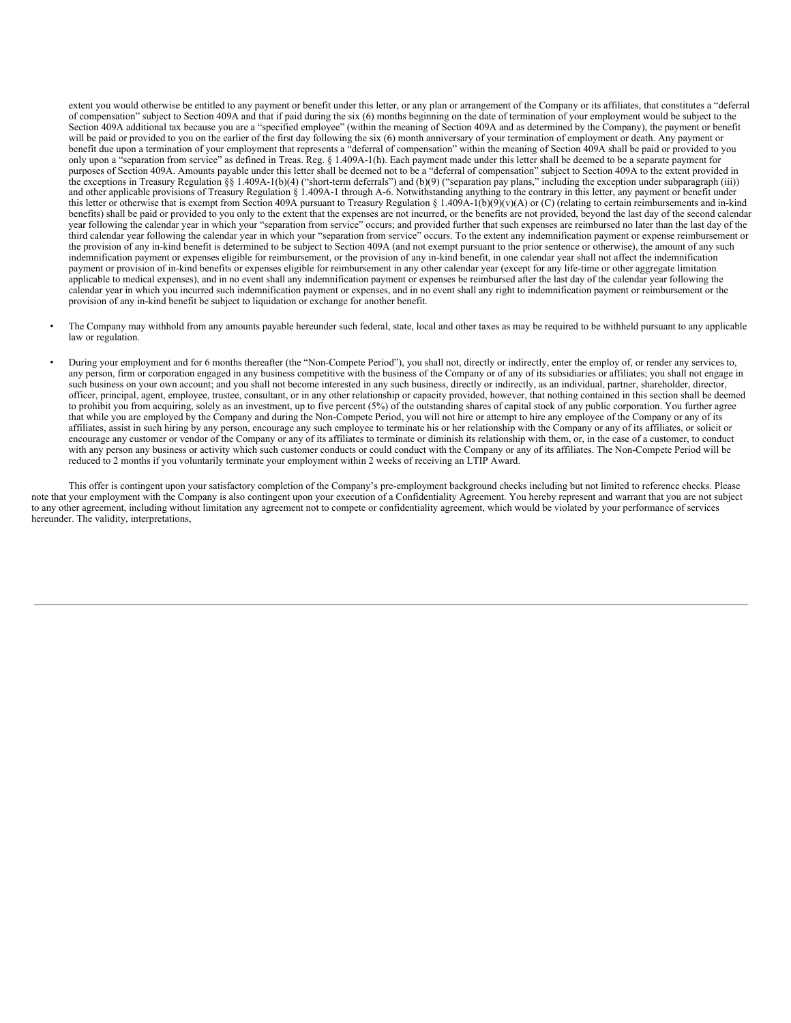<span id="page-34-0"></span>extent you would otherwise be entitled to any payment or benefit under this letter, or any plan or arrangement of the Company or its affiliates, that constitutes a "deferral of compensation" subject to Section 409A and that if paid during the six (6) months beginning on the date of termination of your employment would be subject to the Section 409A additional tax because you are a "specified employee" (within the meaning of Section 409A and as determined by the Company), the payment or benefit will be paid or provided to you on the earlier of the first day following the six (6) month anniversary of your termination of employment or death. Any payment or benefit due upon a termination of your employment that represents a "deferral of compensation" within the meaning of Section 409A shall be paid or provided to you only upon a "separation from service" as defined in Treas. Reg. § 1.409A-1(h). Each payment made under this letter shall be deemed to be a separate payment for purposes of Section 409A. Amounts payable under this letter shall be deemed not to be a "deferral of compensation" subject to Section 409A to the extent provided in the exceptions in Treasury Regulation §§ 1.409A-1(b)(4) ("short-term deferrals") and (b)(9) ("separation pay plans," including the exception under subparagraph (iii)) and other applicable provisions of Treasury Regulation § 1.409A-1 through A-6. Notwithstanding anything to the contrary in this letter, any payment or benefit under this letter or otherwise that is exempt from Section 409A pursuant to Treasury Regulation § 1.409A-1(b)(9)(v)(A) or (C) (relating to certain reimbursements and in-kind benefits) shall be paid or provided to you only to the extent that the expenses are not incurred, or the benefits are not provided, beyond the last day of the second calendar year following the calendar year in which your "separation from service" occurs; and provided further that such expenses are reimbursed no later than the last day of the third calendar year following the calendar year in which your "separation from service" occurs. To the extent any indemnification payment or expense reimbursement or the provision of any in-kind benefit is determined to be subject to Section 409A (and not exempt pursuant to the prior sentence or otherwise), the amount of any such indemnification payment or expenses eligible for reimbursement, or the provision of any in-kind benefit, in one calendar year shall not affect the indemnification payment or provision of in-kind benefits or expenses eligible for reimbursement in any other calendar year (except for any life-time or other aggregate limitation applicable to medical expenses), and in no event shall any indemnification payment or expenses be reimbursed after the last day of the calendar year following the calendar year in which you incurred such indemnification payment or expenses, and in no event shall any right to indemnification payment or reimbursement or the provision of any in-kind benefit be subject to liquidation or exchange for another benefit.

- The Company may withhold from any amounts payable hereunder such federal, state, local and other taxes as may be required to be withheld pursuant to any applicable law or regulation.
- During your employment and for 6 months thereafter (the "Non-Compete Period"), you shall not, directly or indirectly, enter the employ of, or render any services to, any person, firm or corporation engaged in any business competitive with the business of the Company or of any of its subsidiaries or affiliates; you shall not engage in such business on your own account; and you shall not become interested in any such business, directly or indirectly, as an individual, partner, shareholder, director, officer, principal, agent, employee, trustee, consultant, or in any other relationship or capacity provided, however, that nothing contained in this section shall be deemed to prohibit you from acquiring, solely as an investment, up to five percent (5%) of the outstanding shares of capital stock of any public corporation. You further agree that while you are employed by the Company and during the Non-Compete Period, you will not hire or attempt to hire any employee of the Company or any of its affiliates, assist in such hiring by any person, encourage any such employee to terminate his or her relationship with the Company or any of its affiliates, or solicit or encourage any customer or vendor of the Company or any of its affiliates to terminate or diminish its relationship with them, or, in the case of a customer, to conduct with any person any business or activity which such customer conducts or could conduct with the Company or any of its affiliates. The Non-Compete Period will be reduced to 2 months if you voluntarily terminate your employment within 2 weeks of receiving an LTIP Award.

This offer is contingent upon your satisfactory completion of the Company's pre-employment background checks including but not limited to reference checks. Please note that your employment with the Company is also contingent upon your execution of a Confidentiality Agreement. You hereby represent and warrant that you are not subject to any other agreement, including without limitation any agreement not to compete or confidentiality agreement, which would be violated by your performance of services hereunder. The validity, interpretations,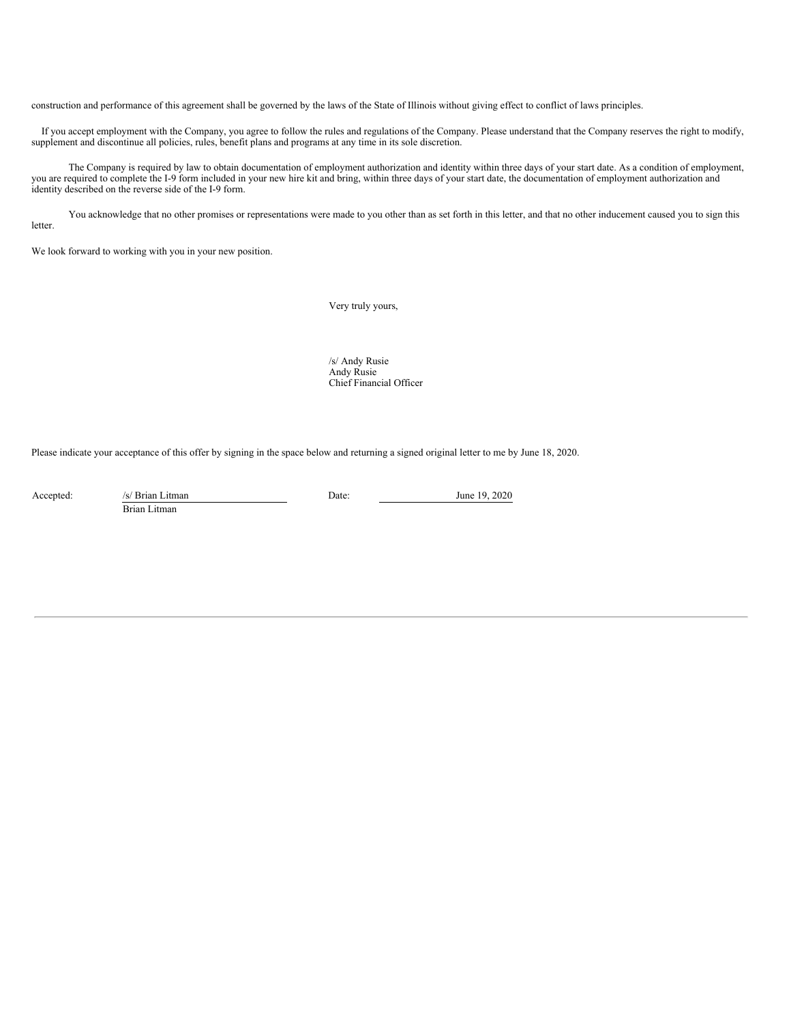construction and performance of this agreement shall be governed by the laws of the State of Illinois without giving effect to conflict of laws principles.

If you accept employment with the Company, you agree to follow the rules and regulations of the Company. Please understand that the Company reserves the right to modify, supplement and discontinue all policies, rules, benefit plans and programs at any time in its sole discretion.

The Company is required by law to obtain documentation of employment authorization and identity within three days of your start date. As a condition of employment, you are required to complete the I-9 form included in your new hire kit and bring, within three days of your start date, the documentation of employment authorization and identity described on the reverse side of the I-9 form.

You acknowledge that no other promises or representations were made to you other than as set forth in this letter, and that no other inducement caused you to sign this letter.

We look forward to working with you in your new position.

Very truly yours,

/s/ Andy Rusie Andy Rusie Chief Financial Officer

Please indicate your acceptance of this offer by signing in the space below and returning a signed original letter to me by June 18, 2020.

Brian Litman

Accepted: /s/ Brian Litman bate: Date: June 19, 2020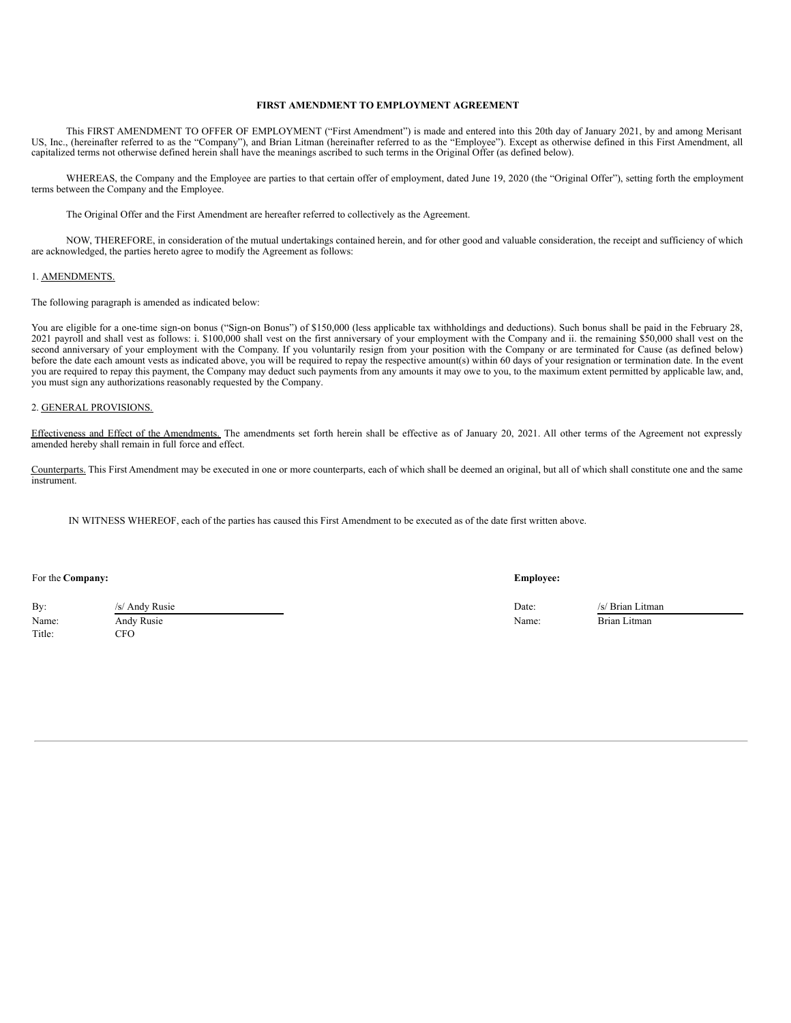### **FIRST AMENDMENT TO EMPLOYMENT AGREEMENT**

This FIRST AMENDMENT TO OFFER OF EMPLOYMENT ("First Amendment") is made and entered into this 20th day of January 2021, by and among Merisant US, Inc., (hereinafter referred to as the "Company"), and Brian Litman (hereinafter referred to as the "Employee"). Except as otherwise defined in this First Amendment, all capitalized terms not otherwise defined herein shall have the meanings ascribed to such terms in the Original Offer (as defined below).

WHEREAS, the Company and the Employee are parties to that certain offer of employment, dated June 19, 2020 (the "Original Offer"), setting forth the employment terms between the Company and the Employee.

The Original Offer and the First Amendment are hereafter referred to collectively as the Agreement.

NOW, THEREFORE, in consideration of the mutual undertakings contained herein, and for other good and valuable consideration, the receipt and sufficiency of which are acknowledged, the parties hereto agree to modify the Agreement as follows:

#### 1. AMENDMENTS.

The following paragraph is amended as indicated below:

You are eligible for a one-time sign-on bonus ("Sign-on Bonus") of \$150,000 (less applicable tax withholdings and deductions). Such bonus shall be paid in the February 28, 2021 payroll and shall vest as follows: i. \$100,000 shall vest on the first anniversary of your employment with the Company and ii. the remaining \$50,000 shall vest on the second anniversary of your employment with the Company. If you voluntarily resign from your position with the Company or are terminated for Cause (as defined below) before the date each amount vests as indicated above, you will be required to repay the respective amount(s) within 60 days of your resignation or termination date. In the event you are required to repay this payment, the Company may deduct such payments from any amounts it may owe to you, to the maximum extent permitted by applicable law, and, you must sign any authorizations reasonably requested by the Company.

#### 2. GENERAL PROVISIONS.

Effectiveness and Effect of the Amendments. The amendments set forth herein shall be effective as of January 20, 2021. All other terms of the Agreement not expressly amended hereby shall remain in full force and effect.

Counterparts. This First Amendment may be executed in one or more counterparts, each of which shall be deemed an original, but all of which shall constitute one and the same instrument.

IN WITNESS WHEREOF, each of the parties has caused this First Amendment to be executed as of the date first written above.

For the **Company: Employee:**

Title: CFO

Name: Andy Rusie Andy Australian Andrew Name: Brian Litman Name: Brian Litman Name: Brian Litman Name: Brian Litman

By: /s/ Andy Rusie /s/ Andy Rusie /s/ Andy Rusie /s/ Brian Litman /s/ Brian Litman /s/ Brian Litman /s/ Brian Litman /s/ Brian Litman /s/ Brian Litman /s/ Brian Litman /s/ Brian Litman /s/ Brian /s/ Andy Rusie /s/ Brian /s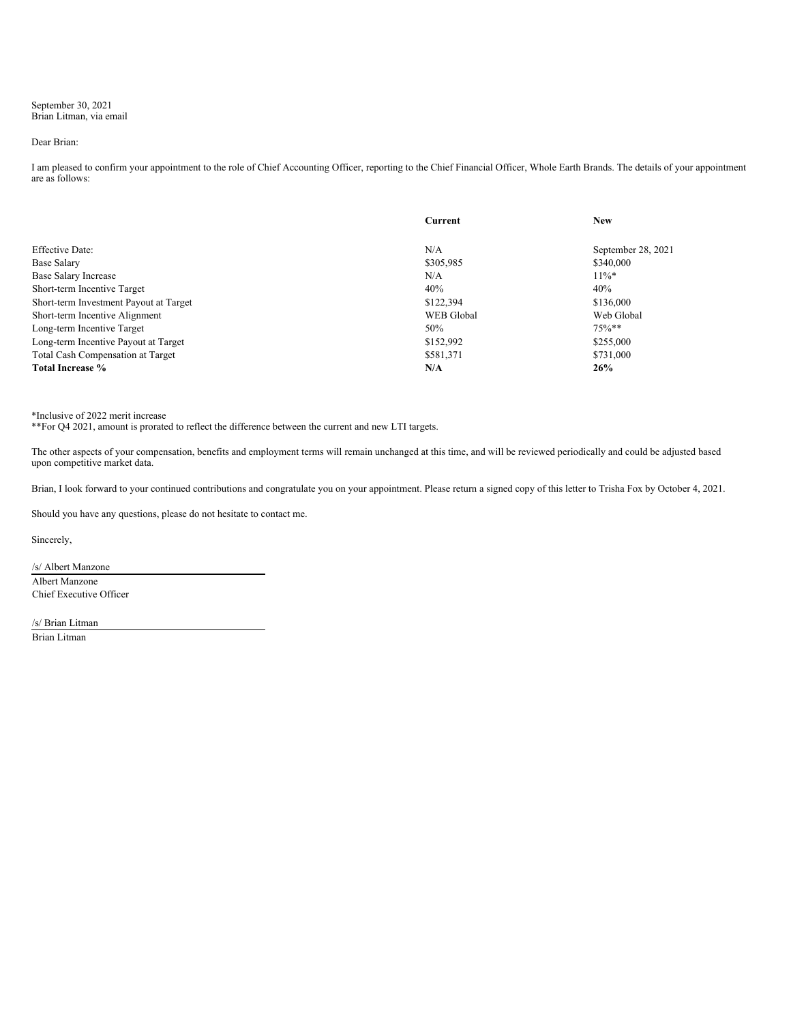September 30, 2021 Brian Litman, via email

#### Dear Brian:

I am pleased to confirm your appointment to the role of Chief Accounting Officer, reporting to the Chief Financial Officer, Whole Earth Brands. The details of your appointment are as follows:

|                                          | Current           | New                |
|------------------------------------------|-------------------|--------------------|
|                                          |                   |                    |
| <b>Effective Date:</b>                   | N/A               | September 28, 2021 |
| <b>Base Salary</b>                       | \$305,985         | \$340,000          |
| <b>Base Salary Increase</b>              | N/A               | $11\%*$            |
| Short-term Incentive Target              | 40%               | 40%                |
| Short-term Investment Payout at Target   | \$122,394         | \$136,000          |
| Short-term Incentive Alignment           | <b>WEB</b> Global | Web Global         |
| Long-term Incentive Target               | 50%               | $75\%**$           |
| Long-term Incentive Payout at Target     | \$152,992         | \$255,000          |
| <b>Total Cash Compensation at Target</b> | \$581,371         | \$731,000          |
| Total Increase %                         | N/A               | 26%                |

\*Inclusive of 2022 merit increase

\*\*For Q4 2021, amount is prorated to reflect the difference between the current and new LTI targets.

The other aspects of your compensation, benefits and employment terms will remain unchanged at this time, and will be reviewed periodically and could be adjusted based upon competitive market data.

Brian, I look forward to your continued contributions and congratulate you on your appointment. Please return a signed copy of this letter to Trisha Fox by October 4, 2021.

Should you have any questions, please do not hesitate to contact me.

Sincerely,

/s/ Albert Manzone

Albert Manzone Chief Executive Officer

/s/ Brian Litman Brian Litman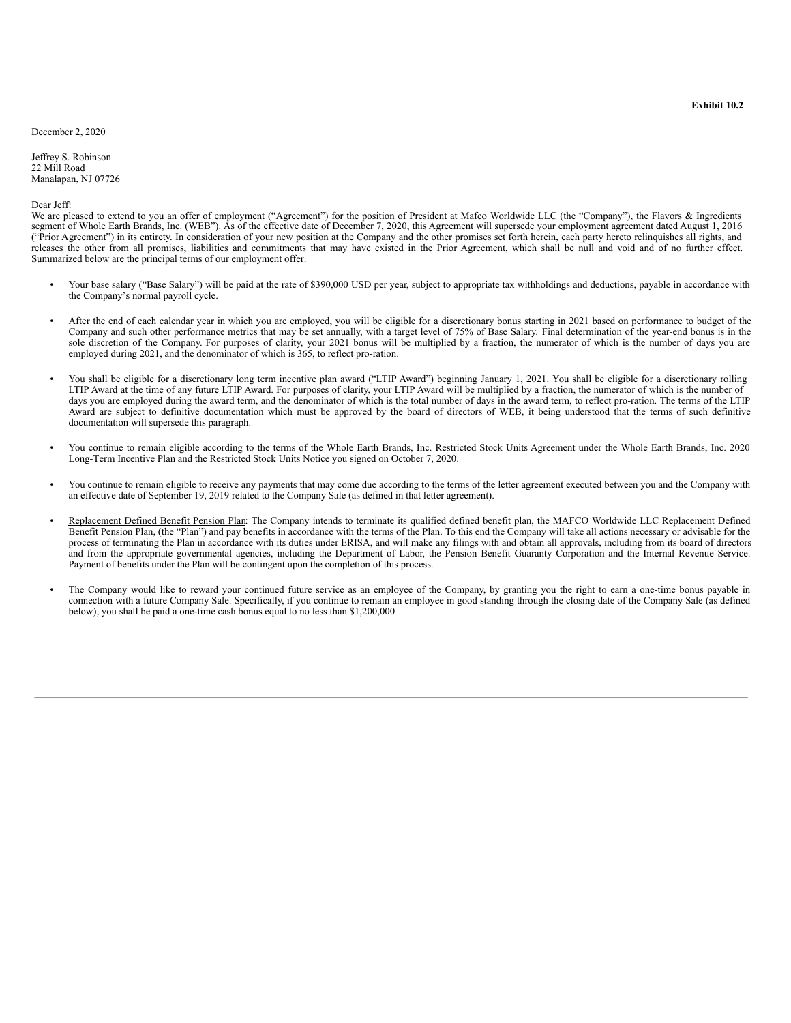December 2, 2020

Jeffrey S. Robinson 22 Mill Road Manalapan, NJ 07726

### Dear Jeff:

We are pleased to extend to you an offer of employment ("Agreement") for the position of President at Mafco Worldwide LLC (the "Company"), the Flavors & Ingredients segment of Whole Earth Brands, Inc. (WEB"). As of the effective date of December 7, 2020, this Agreement will supersede your employment agreement dated August 1, 2016 ("Prior Agreement") in its entirety. In consideration of your new position at the Company and the other promises set forth herein, each party hereto relinquishes all rights, and releases the other from all promises, liabilities and commitments that may have existed in the Prior Agreement, which shall be null and void and of no further effect. Summarized below are the principal terms of our employment offer.

- Your base salary ("Base Salary") will be paid at the rate of \$390,000 USD per year, subject to appropriate tax withholdings and deductions, payable in accordance with the Company's normal payroll cycle.
- After the end of each calendar year in which you are employed, you will be eligible for a discretionary bonus starting in 2021 based on performance to budget of the Company and such other performance metrics that may be set annually, with a target level of 75% of Base Salary. Final determination of the year-end bonus is in the sole discretion of the Company. For purposes of clarity, your 2021 bonus will be multiplied by a fraction, the numerator of which is the number of days you are employed during 2021, and the denominator of which is 365, to reflect pro-ration.
- You shall be eligible for a discretionary long term incentive plan award ("LTIP Award") beginning January 1, 2021. You shall be eligible for a discretionary rolling LTIP Award at the time of any future LTIP Award. For purposes of clarity, your LTIP Award will be multiplied by a fraction, the numerator of which is the number of days you are employed during the award term, and the denominator of which is the total number of days in the award term, to reflect pro-ration. The terms of the LTIP Award are subject to definitive documentation which must be approved by the board of directors of WEB, it being understood that the terms of such definitive documentation will supersede this paragraph.
- You continue to remain eligible according to the terms of the Whole Earth Brands, Inc. Restricted Stock Units Agreement under the Whole Earth Brands, Inc. 2020 Long-Term Incentive Plan and the Restricted Stock Units Notice you signed on October 7, 2020.
- You continue to remain eligible to receive any payments that may come due according to the terms of the letter agreement executed between you and the Company with an effective date of September 19, 2019 related to the Company Sale (as defined in that letter agreement).
- Replacement Defined Benefit Pension Plan: The Company intends to terminate its qualified defined benefit plan, the MAFCO Worldwide LLC Replacement Defined Benefit Pension Plan, (the "Plan") and pay benefits in accordance with the terms of the Plan. To this end the Company will take all actions necessary or advisable for the process of terminating the Plan in accordance with its duties under ERISA, and will make any filings with and obtain all approvals, including from its board of directors and from the appropriate governmental agencies, including the Department of Labor, the Pension Benefit Guaranty Corporation and the Internal Revenue Service. Payment of benefits under the Plan will be contingent upon the completion of this process.
- The Company would like to reward your continued future service as an employee of the Company, by granting you the right to earn a one-time bonus payable in connection with a future Company Sale. Specifically, if you continue to remain an employee in good standing through the closing date of the Company Sale (as defined below), you shall be paid a one-time cash bonus equal to no less than \$1,200,000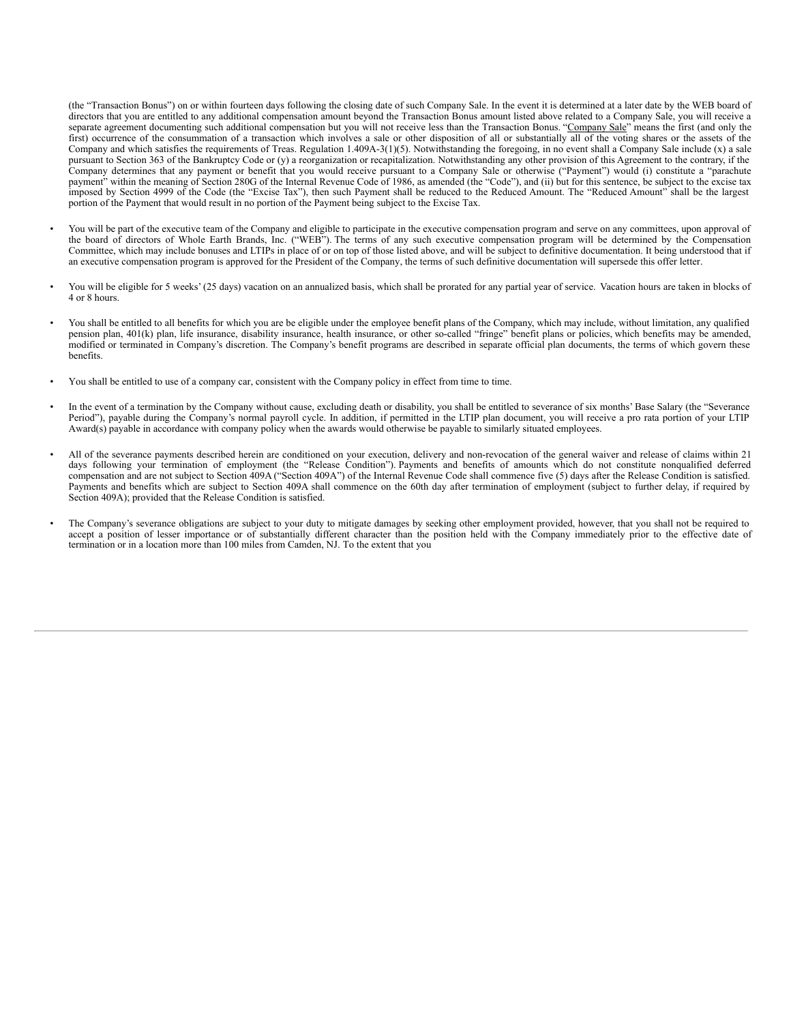<span id="page-39-0"></span>(the "Transaction Bonus") on or within fourteen days following the closing date of such Company Sale. In the event it is determined at a later date by the WEB board of directors that you are entitled to any additional compensation amount beyond the Transaction Bonus amount listed above related to a Company Sale, you will receive a separate agreement documenting such additional compensation but you will not receive less than the Transaction Bonus. "Company Sale" means the first (and only the first) occurrence of the consummation of a transaction which involves a sale or other disposition of all or substantially all of the voting shares or the assets of the Company and which satisfies the requirements of Treas. Regulation 1.409A-3(1)(5). Notwithstanding the foregoing, in no event shall a Company Sale include (x) a sale pursuant to Section 363 of the Bankruptcy Code or (y) a reorganization or recapitalization. Notwithstanding any other provision of this Agreement to the contrary, if the Company determines that any payment or benefit that you would receive pursuant to a Company Sale or otherwise ("Payment") would (i) constitute a "parachute payment" within the meaning of Section 280G of the Internal Revenue Code of 1986, as amended (the "Code"), and (ii) but for this sentence, be subject to the excise tax imposed by Section 4999 of the Code (the "Excise Tax"), then such Payment shall be reduced to the Reduced Amount. The "Reduced Amount" shall be the largest portion of the Payment that would result in no portion of the Payment being subject to the Excise Tax.

- You will be part of the executive team of the Company and eligible to participate in the executive compensation program and serve on any committees, upon approval of the board of directors of Whole Earth Brands, Inc. ("WEB"). The terms of any such executive compensation program will be determined by the Compensation Committee, which may include bonuses and LTIPs in place of or on top of those listed above, and will be subject to definitive documentation. It being understood that if an executive compensation program is approved for the President of the Company, the terms of such definitive documentation will supersede this offer letter.
- You will be eligible for 5 weeks' (25 days) vacation on an annualized basis, which shall be prorated for any partial year of service. Vacation hours are taken in blocks of 4 or 8 hours.
- You shall be entitled to all benefits for which you are be eligible under the employee benefit plans of the Company, which may include, without limitation, any qualified pension plan, 401(k) plan, life insurance, disability insurance, health insurance, or other so-called "fringe" benefit plans or policies, which benefits may be amended, modified or terminated in Company's discretion. The Company's benefit programs are described in separate official plan documents, the terms of which govern these benefits.
- You shall be entitled to use of a company car, consistent with the Company policy in effect from time to time.
- In the event of a termination by the Company without cause, excluding death or disability, you shall be entitled to severance of six months' Base Salary (the "Severance Period"), payable during the Company's normal payroll cycle. In addition, if permitted in the LTIP plan document, you will receive a pro rata portion of your LTIP Award(s) payable in accordance with company policy when the awards would otherwise be payable to similarly situated employees.
- All of the severance payments described herein are conditioned on your execution, delivery and non-revocation of the general waiver and release of claims within 21 days following your termination of employment (the "Release Condition"). Payments and benefits of amounts which do not constitute nonqualified deferred compensation and are not subject to Section 409A ("Section 409A") of the Internal Revenue Code shall commence five (5) days after the Release Condition is satisfied. Payments and benefits which are subject to Section 409A shall commence on the 60th day after termination of employment (subject to further delay, if required by Section 409A); provided that the Release Condition is satisfied.
- The Company's severance obligations are subject to your duty to mitigate damages by seeking other employment provided, however, that you shall not be required to accept a position of lesser importance or of substantially different character than the position held with the Company immediately prior to the effective date of termination or in a location more than 100 miles from Camden, NJ. To the extent that you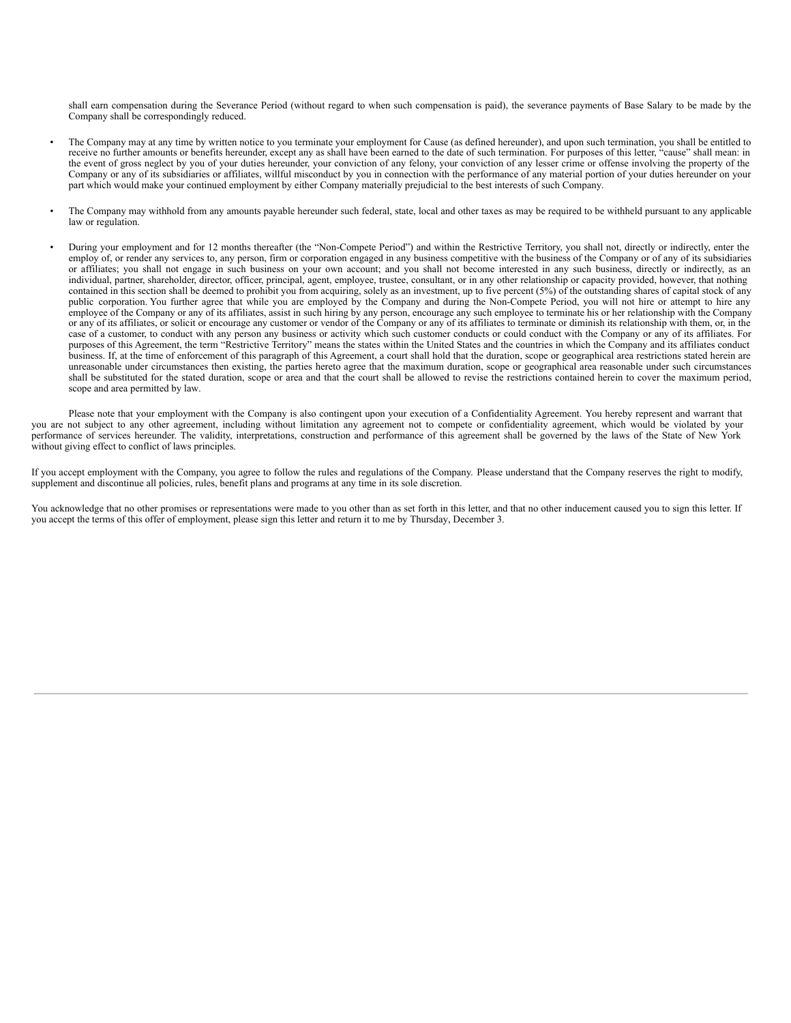shall earn compensation during the Severance Period (without regard to when such compensation is paid), the severance payments of Base Salary to be made by the Company shall be correspondingly reduced.

- The Company may at any time by written notice to you terminate your employment for Cause (as defined hereunder), and upon such termination, you shall be entitled to receive no further amounts or benefits hereunder, except any as shall have been earned to the date of such termination. For purposes of this letter, "cause" shall mean: in the event of gross neglect by you of your duties hereunder, your conviction of any felony, your conviction of any lesser crime or offense involving the property of the Company or any of its subsidiaries or affiliates, willful misconduct by you in connection with the performance of any material portion of your duties hereunder on your part which would make your continued employment by either Company materially prejudicial to the best interests of such Company.
- The Company may withhold from any amounts payable hereunder such federal, state, local and other taxes as may be required to be withheld pursuant to any applicable law or regulation.
- During your employment and for 12 months thereafter (the "Non-Compete Period") and within the Restrictive Territory, you shall not, directly or indirectly, enter the employ of, or render any services to, any person, firm or corporation engaged in any business competitive with the business of the Company or of any of its subsidiaries or affiliates; you shall not engage in such business on your own account; and you shall not become interested in any such business, directly or indirectly, as an individual, partner, shareholder, director, officer, principal, agent, employee, trustee, consultant, or in any other relationship or capacity provided, however, that nothing contained in this section shall be deemed to prohibit you from acquiring, solely as an investment, up to five percent (5%) of the outstanding shares of capital stock of any public corporation. You further agree that while you are employed by the Company and during the Non-Compete Period, you will not hire or attempt to hire any employee of the Company or any of its affiliates, assist in such hiring by any person, encourage any such employee to terminate his or her relationship with the Company or any of its affiliates, or solicit or encourage any customer or vendor of the Company or any of its affiliates to terminate or diminish its relationship with them, or, in the case of a customer, to conduct with any person any business or activity which such customer conducts or could conduct with the Company or any of its affiliates. For purposes of this Agreement, the term "Restrictive Territory" means the states within the United States and the countries in which the Company and its affiliates conduct business. If, at the time of enforcement of this paragraph of this Agreement, a court shall hold that the duration, scope or geographical area restrictions stated herein are unreasonable under circumstances then existing, the parties hereto agree that the maximum duration, scope or geographical area reasonable under such circumstances shall be substituted for the stated duration, scope or area and that the court shall be allowed to revise the restrictions contained herein to cover the maximum period, scope and area permitted by law.

Please note that your employment with the Company is also contingent upon your execution of a Confidentiality Agreement. You hereby represent and warrant that you are not subject to any other agreement, including without limitation any agreement not to compete or confidentiality agreement, which would be violated by your performance of services hereunder. The validity, interpretations, construction and performance of this agreement shall be governed by the laws of the State of New York without giving effect to conflict of laws principles.

If you accept employment with the Company, you agree to follow the rules and regulations of the Company. Please understand that the Company reserves the right to modify, supplement and discontinue all policies, rules, benefit plans and programs at any time in its sole discretion.

You acknowledge that no other promises or representations were made to you other than as set forth in this letter, and that no other inducement caused you to sign this letter. If you accept the terms of this offer of employment, please sign this letter and return it to me by Thursday, December 3.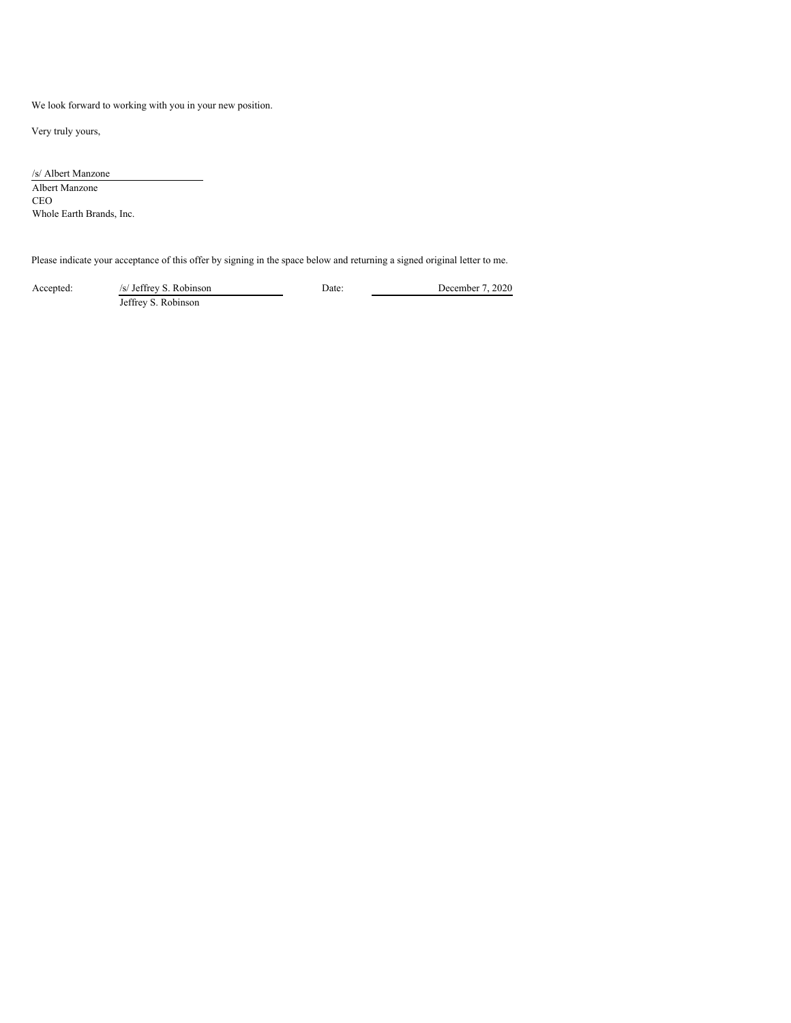We look forward to working with you in your new position.

Very truly yours,

/s/ Albert Manzone Albert Manzone CEO Whole Earth Brands, Inc.

Please indicate your acceptance of this offer by signing in the space below and returning a signed original letter to me.

| Accepted: | /s/ Jeffrey S. Robinson | Date: | December 7, 2020 |
|-----------|-------------------------|-------|------------------|
|           | Jeffrey S. Robinson     |       |                  |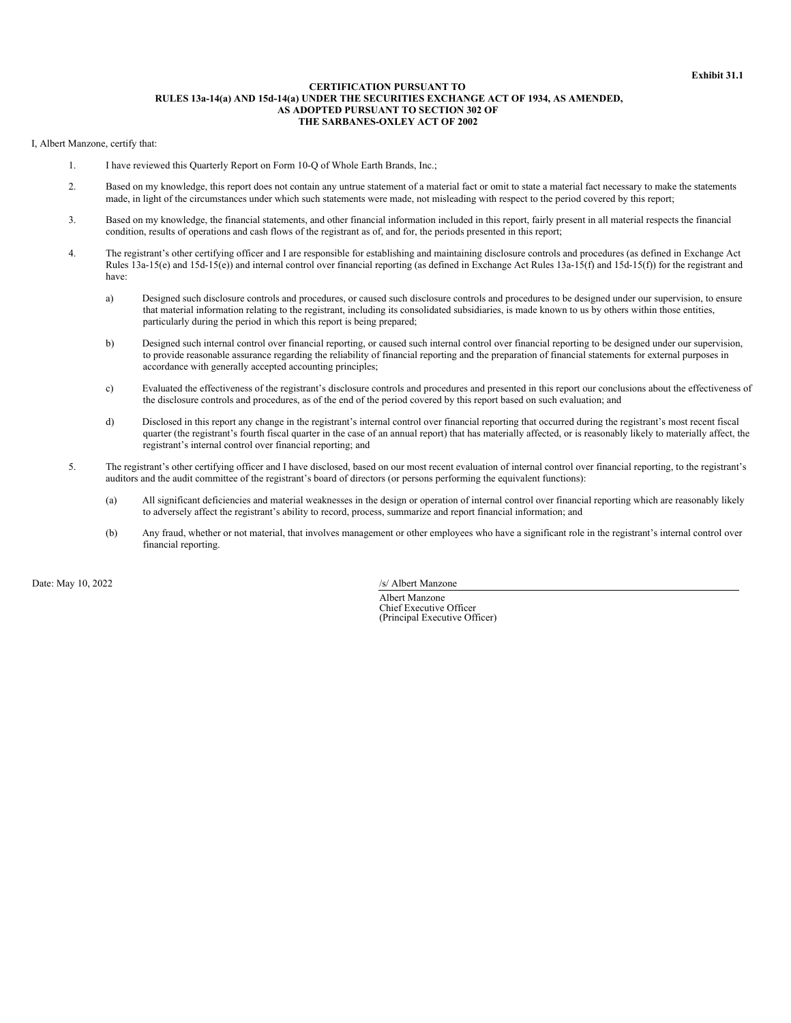### **CERTIFICATION PURSUANT TO RULES 13a-14(a) AND 15d-14(a) UNDER THE SECURITIES EXCHANGE ACT OF 1934, AS AMENDED, AS ADOPTED PURSUANT TO SECTION 302 OF THE SARBANES-OXLEY ACT OF 2002**

### <span id="page-42-0"></span>I, Albert Manzone, certify that:

- 1. I have reviewed this Quarterly Report on Form 10-Q of Whole Earth Brands, Inc.;
- 2. Based on my knowledge, this report does not contain any untrue statement of a material fact or omit to state a material fact necessary to make the statements made, in light of the circumstances under which such statements were made, not misleading with respect to the period covered by this report;
- 3. Based on my knowledge, the financial statements, and other financial information included in this report, fairly present in all material respects the financial condition, results of operations and cash flows of the registrant as of, and for, the periods presented in this report;
- 4. The registrant's other certifying officer and I are responsible for establishing and maintaining disclosure controls and procedures (as defined in Exchange Act Rules  $13a-15(e)$  and  $15d-15(e)$ ) and internal control over financial reporting (as defined in Exchange Act Rules  $13a-15(f)$  and  $15d-15(f)$ ) for the registrant and have:
	- a) Designed such disclosure controls and procedures, or caused such disclosure controls and procedures to be designed under our supervision, to ensure that material information relating to the registrant, including its consolidated subsidiaries, is made known to us by others within those entities, particularly during the period in which this report is being prepared;
	- b) Designed such internal control over financial reporting, or caused such internal control over financial reporting to be designed under our supervision, to provide reasonable assurance regarding the reliability of financial reporting and the preparation of financial statements for external purposes in accordance with generally accepted accounting principles;
	- c) Evaluated the effectiveness of the registrant's disclosure controls and procedures and presented in this report our conclusions about the effectiveness of the disclosure controls and procedures, as of the end of the period covered by this report based on such evaluation; and
	- d) Disclosed in this report any change in the registrant's internal control over financial reporting that occurred during the registrant's most recent fiscal quarter (the registrant's fourth fiscal quarter in the case of an annual report) that has materially affected, or is reasonably likely to materially affect, the registrant's internal control over financial reporting; and
- 5. The registrant's other certifying officer and I have disclosed, based on our most recent evaluation of internal control over financial reporting, to the registrant's auditors and the audit committee of the registrant's board of directors (or persons performing the equivalent functions):
	- (a) All significant deficiencies and material weaknesses in the design or operation of internal control over financial reporting which are reasonably likely to adversely affect the registrant's ability to record, process, summarize and report financial information; and
	- (b) Any fraud, whether or not material, that involves management or other employees who have a significant role in the registrant's internal control over financial reporting.

Date: May 10, 2022 /s/ Albert Manzone

Albert Manzone Chief Executive Officer (Principal Executive Officer)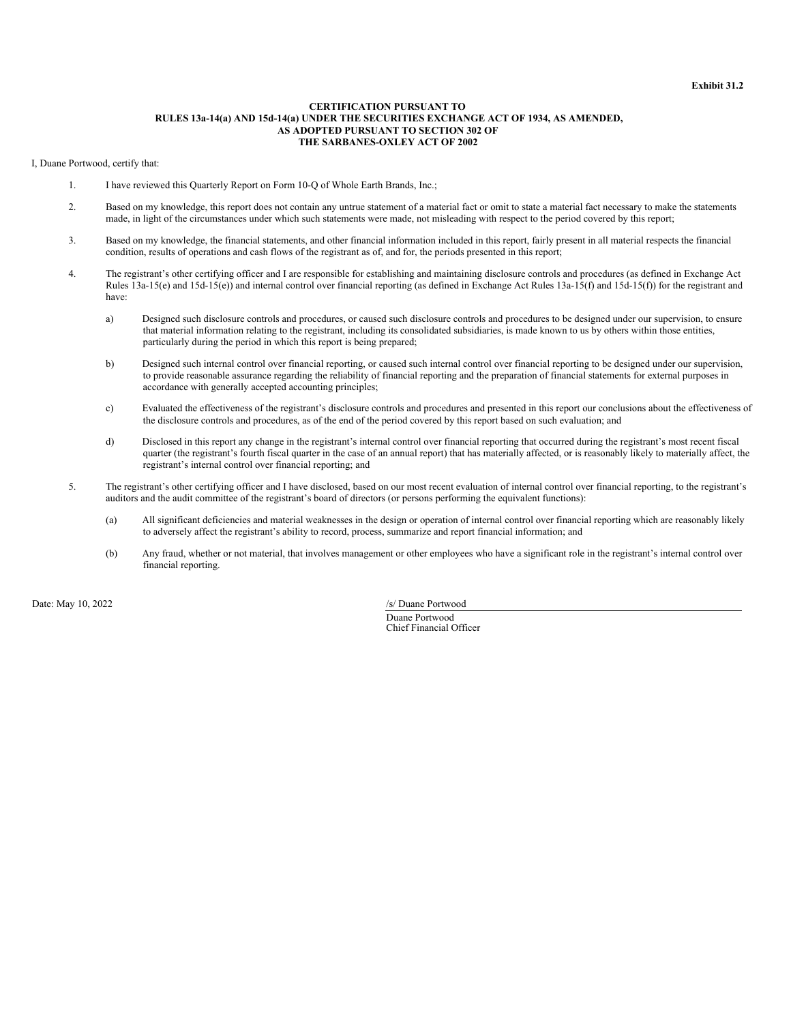#### **CERTIFICATION PURSUANT TO RULES 13a-14(a) AND 15d-14(a) UNDER THE SECURITIES EXCHANGE ACT OF 1934, AS AMENDED, AS ADOPTED PURSUANT TO SECTION 302 OF THE SARBANES-OXLEY ACT OF 2002**

#### <span id="page-43-0"></span>I, Duane Portwood, certify that:

- 1. I have reviewed this Quarterly Report on Form 10-Q of Whole Earth Brands, Inc.;
- 2. Based on my knowledge, this report does not contain any untrue statement of a material fact or omit to state a material fact necessary to make the statements made, in light of the circumstances under which such statements were made, not misleading with respect to the period covered by this report;
- 3. Based on my knowledge, the financial statements, and other financial information included in this report, fairly present in all material respects the financial condition, results of operations and cash flows of the registrant as of, and for, the periods presented in this report;
- 4. The registrant's other certifying officer and I are responsible for establishing and maintaining disclosure controls and procedures (as defined in Exchange Act Rules 13a-15(e) and 15d-15(e)) and internal control over financial reporting (as defined in Exchange Act Rules 13a-15(f) and 15d-15(f)) for the registrant and have:
	- a) Designed such disclosure controls and procedures, or caused such disclosure controls and procedures to be designed under our supervision, to ensure that material information relating to the registrant, including its consolidated subsidiaries, is made known to us by others within those entities, particularly during the period in which this report is being prepared;
	- b) Designed such internal control over financial reporting, or caused such internal control over financial reporting to be designed under our supervision, to provide reasonable assurance regarding the reliability of financial reporting and the preparation of financial statements for external purposes in accordance with generally accepted accounting principles;
	- c) Evaluated the effectiveness of the registrant's disclosure controls and procedures and presented in this report our conclusions about the effectiveness of the disclosure controls and procedures, as of the end of the period covered by this report based on such evaluation; and
	- d) Disclosed in this report any change in the registrant's internal control over financial reporting that occurred during the registrant's most recent fiscal quarter (the registrant's fourth fiscal quarter in the case of an annual report) that has materially affected, or is reasonably likely to materially affect, the registrant's internal control over financial reporting; and
- 5. The registrant's other certifying officer and I have disclosed, based on our most recent evaluation of internal control over financial reporting, to the registrant's auditors and the audit committee of the registrant's board of directors (or persons performing the equivalent functions):
	- (a) All significant deficiencies and material weaknesses in the design or operation of internal control over financial reporting which are reasonably likely to adversely affect the registrant's ability to record, process, summarize and report financial information; and
	- (b) Any fraud, whether or not material, that involves management or other employees who have a significant role in the registrant's internal control over financial reporting.

Date: May 10, 2022 /s/ Duane Portwood

Duane Portwood Chief Financial Officer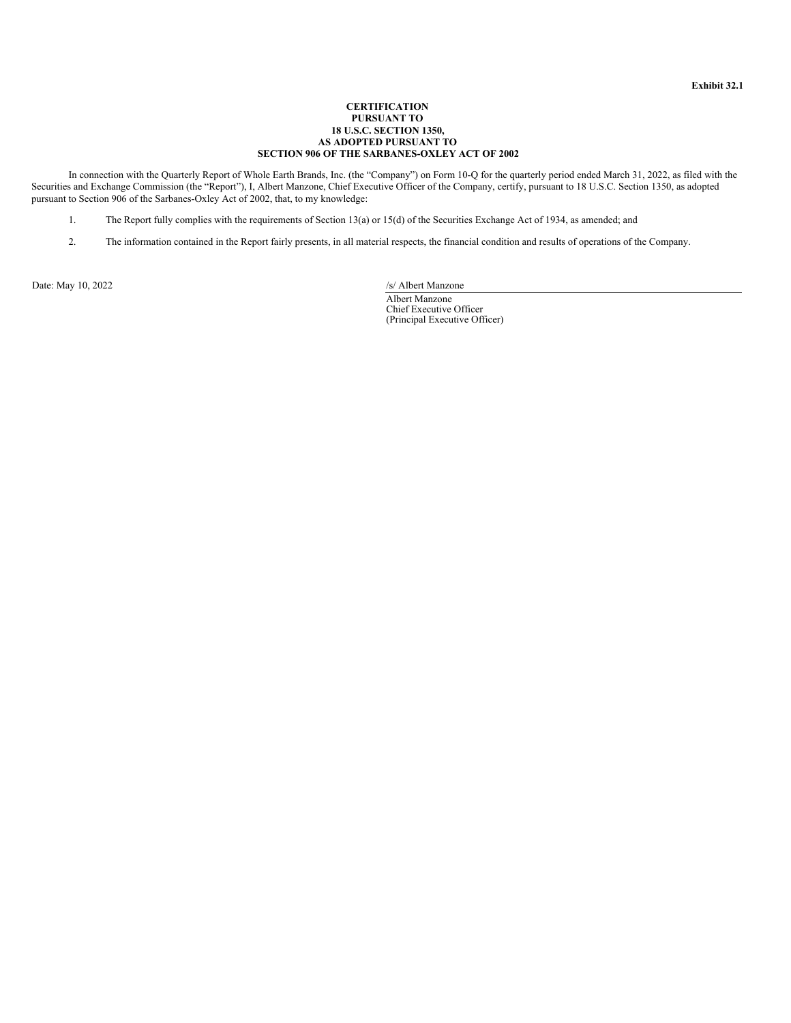## **Exhibit 32.1**

#### **CERTIFICATION PURSUANT TO 18 U.S.C. SECTION 1350, AS ADOPTED PURSUANT TO SECTION 906 OF THE SARBANES-OXLEY ACT OF 2002**

<span id="page-44-0"></span>In connection with the Quarterly Report of Whole Earth Brands, Inc. (the "Company") on Form 10-Q for the quarterly period ended March 31, 2022, as filed with the Securities and Exchange Commission (the "Report"), I, Albert Manzone, Chief Executive Officer of the Company, certify, pursuant to 18 U.S.C. Section 1350, as adopted pursuant to Section 906 of the Sarbanes-Oxley Act of 2002, that, to my knowledge:

- 1. The Report fully complies with the requirements of Section 13(a) or 15(d) of the Securities Exchange Act of 1934, as amended; and
- 2. The information contained in the Report fairly presents, in all material respects, the financial condition and results of operations of the Company.

Date: May 10, 2022 /s/ Albert Manzone

Albert Manzone Chief Executive Officer (Principal Executive Officer)